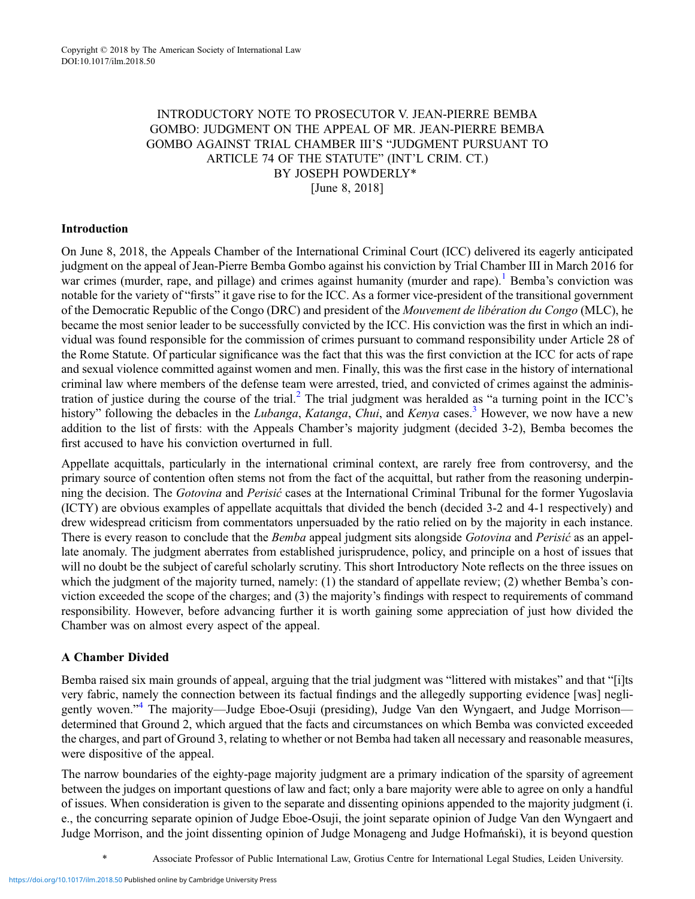## INTRODUCTORY NOTE TO PROSECUTOR V. JEAN-PIERRE BEMBA GOMBO: JUDGMENT ON THE APPEAL OF MR. JEAN-PIERRE BEMBA GOMBO AGAINST TRIAL CHAMBER III'S "JUDGMENT PURSUANT TO ARTICLE 74 OF THE STATUTE" (INT'L CRIM. CT.) BY JOSEPH POWDERLY\* [June 8, 2018]

## Introduction

On June 8, 2018, the Appeals Chamber of the International Criminal Court (ICC) delivered its eagerly anticipated judgment on the appeal of Jean-Pierre Bemba Gombo against his conviction by Trial Chamber III in March 2016 for war crimes (murder, rape, and pillage) and crimes against humanity (murder and rape).<sup>[1](#page-3-0)</sup> Bemba's conviction was notable for the variety of "firsts" it gave rise to for the ICC. As a former vice-president of the transitional government of the Democratic Republic of the Congo (DRC) and president of the Mouvement de libération du Congo (MLC), he became the most senior leader to be successfully convicted by the ICC. His conviction was the first in which an individual was found responsible for the commission of crimes pursuant to command responsibility under Article 28 of the Rome Statute. Of particular significance was the fact that this was the first conviction at the ICC for acts of rape and sexual violence committed against women and men. Finally, this was the first case in the history of international criminal law where members of the defense team were arrested, tried, and convicted of crimes against the adminis-tration of justice during the course of the trial.<sup>[2](#page-3-0)</sup> The trial judgment was heralded as "a turning point in the ICC's history" following the debacles in the Lubanga, Katanga, Chui, and Kenya cases.<sup>3</sup> However, we now have a new addition to the list of firsts: with the Appeals Chamber's majority judgment (decided 3-2), Bemba becomes the first accused to have his conviction overturned in full.

Appellate acquittals, particularly in the international criminal context, are rarely free from controversy, and the primary source of contention often stems not from the fact of the acquittal, but rather from the reasoning underpinning the decision. The Gotovina and Perisić cases at the International Criminal Tribunal for the former Yugoslavia (ICTY) are obvious examples of appellate acquittals that divided the bench (decided 3-2 and 4-1 respectively) and drew widespread criticism from commentators unpersuaded by the ratio relied on by the majority in each instance. There is every reason to conclude that the Bemba appeal judgment sits alongside Gotovina and Perisić as an appellate anomaly. The judgment aberrates from established jurisprudence, policy, and principle on a host of issues that will no doubt be the subject of careful scholarly scrutiny. This short Introductory Note reflects on the three issues on which the judgment of the majority turned, namely: (1) the standard of appellate review; (2) whether Bemba's conviction exceeded the scope of the charges; and (3) the majority's findings with respect to requirements of command responsibility. However, before advancing further it is worth gaining some appreciation of just how divided the Chamber was on almost every aspect of the appeal.

## A Chamber Divided

Bemba raised six main grounds of appeal, arguing that the trial judgment was "littered with mistakes" and that "[i]ts very fabric, namely the connection between its factual findings and the allegedly supporting evidence [was] negli-gently woven."<sup>[4](#page-3-0)</sup> The majority—Judge Eboe-Osuji (presiding), Judge Van den Wyngaert, and Judge Morrison determined that Ground 2, which argued that the facts and circumstances on which Bemba was convicted exceeded the charges, and part of Ground 3, relating to whether or not Bemba had taken all necessary and reasonable measures, were dispositive of the appeal.

The narrow boundaries of the eighty-page majority judgment are a primary indication of the sparsity of agreement between the judges on important questions of law and fact; only a bare majority were able to agree on only a handful of issues. When consideration is given to the separate and dissenting opinions appended to the majority judgment (i. e., the concurring separate opinion of Judge Eboe-Osuji, the joint separate opinion of Judge Van den Wyngaert and Judge Morrison, and the joint dissenting opinion of Judge Monageng and Judge Hofmański), it is beyond question

\* Associate Professor of Public International Law, Grotius Centre for International Legal Studies, Leiden University.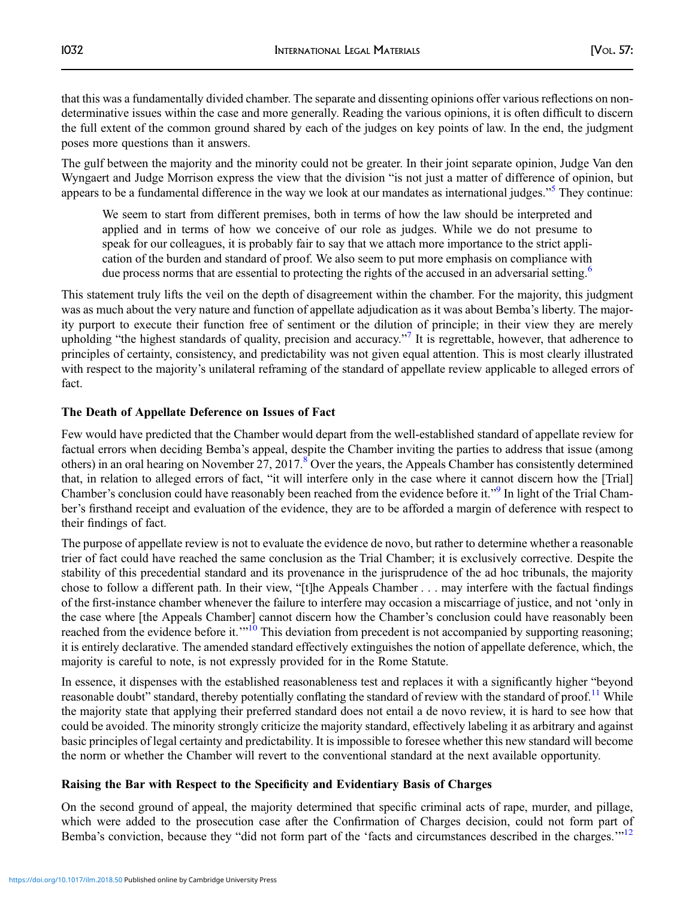that this was a fundamentally divided chamber. The separate and dissenting opinions offer various reflections on nondeterminative issues within the case and more generally. Reading the various opinions, it is often difficult to discern the full extent of the common ground shared by each of the judges on key points of law. In the end, the judgment poses more questions than it answers.

The gulf between the majority and the minority could not be greater. In their joint separate opinion, Judge Van den Wyngaert and Judge Morrison express the view that the division "is not just a matter of difference of opinion, but appears to be a fundamental difference in the way we look at our mandates as international judges."<sup>[5](#page-3-0)</sup> They continue:

We seem to start from different premises, both in terms of how the law should be interpreted and applied and in terms of how we conceive of our role as judges. While we do not presume to speak for our colleagues, it is probably fair to say that we attach more importance to the strict application of the burden and standard of proof. We also seem to put more emphasis on compliance with due process norms that are essential to protecting the rights of the accused in an adversarial setting.<sup>[6](#page-3-0)</sup>

This statement truly lifts the veil on the depth of disagreement within the chamber. For the majority, this judgment was as much about the very nature and function of appellate adjudication as it was about Bemba's liberty. The majority purport to execute their function free of sentiment or the dilution of principle; in their view they are merely upholding "the highest standards of quality, precision and accuracy."<sup>[7](#page-4-0)</sup> It is regrettable, however, that adherence to principles of certainty, consistency, and predictability was not given equal attention. This is most clearly illustrated with respect to the majority's unilateral reframing of the standard of appellate review applicable to alleged errors of fact.

## The Death of Appellate Deference on Issues of Fact

Few would have predicted that the Chamber would depart from the well-established standard of appellate review for factual errors when deciding Bemba's appeal, despite the Chamber inviting the parties to address that issue (among others) in an oral hearing on November 27, 2017.<sup>[8](#page-4-0)</sup> Over the years, the Appeals Chamber has consistently determined that, in relation to alleged errors of fact, "it will interfere only in the case where it cannot discern how the [Trial] Chamber's conclusion could have reasonably been reached from the evidence before it."<sup>[9](#page-4-0)</sup> In light of the Trial Chamber's firsthand receipt and evaluation of the evidence, they are to be afforded a margin of deference with respect to their findings of fact.

The purpose of appellate review is not to evaluate the evidence de novo, but rather to determine whether a reasonable trier of fact could have reached the same conclusion as the Trial Chamber; it is exclusively corrective. Despite the stability of this precedential standard and its provenance in the jurisprudence of the ad hoc tribunals, the majority chose to follow a different path. In their view, "[t]he Appeals Chamber . . . may interfere with the factual findings of the first-instance chamber whenever the failure to interfere may occasion a miscarriage of justice, and not 'only in the case where [the Appeals Chamber] cannot discern how the Chamber's conclusion could have reasonably been reached from the evidence before it.<sup>'"[10](#page-4-0)</sup> This deviation from precedent is not accompanied by supporting reasoning; it is entirely declarative. The amended standard effectively extinguishes the notion of appellate deference, which, the majority is careful to note, is not expressly provided for in the Rome Statute.

In essence, it dispenses with the established reasonableness test and replaces it with a significantly higher "beyond reasonable doubt" standard, thereby potentially conflating the standard of review with the standard of proof.<sup>[11](#page-4-0)</sup> While the majority state that applying their preferred standard does not entail a de novo review, it is hard to see how that could be avoided. The minority strongly criticize the majority standard, effectively labeling it as arbitrary and against basic principles of legal certainty and predictability. It is impossible to foresee whether this new standard will become the norm or whether the Chamber will revert to the conventional standard at the next available opportunity.

## Raising the Bar with Respect to the Specificity and Evidentiary Basis of Charges

On the second ground of appeal, the majority determined that specific criminal acts of rape, murder, and pillage, which were added to the prosecution case after the Confirmation of Charges decision, could not form part of Bemba's conviction, because they "did not form part of the 'facts and circumstances described in the charges."<sup>[12](#page-4-0)</sup>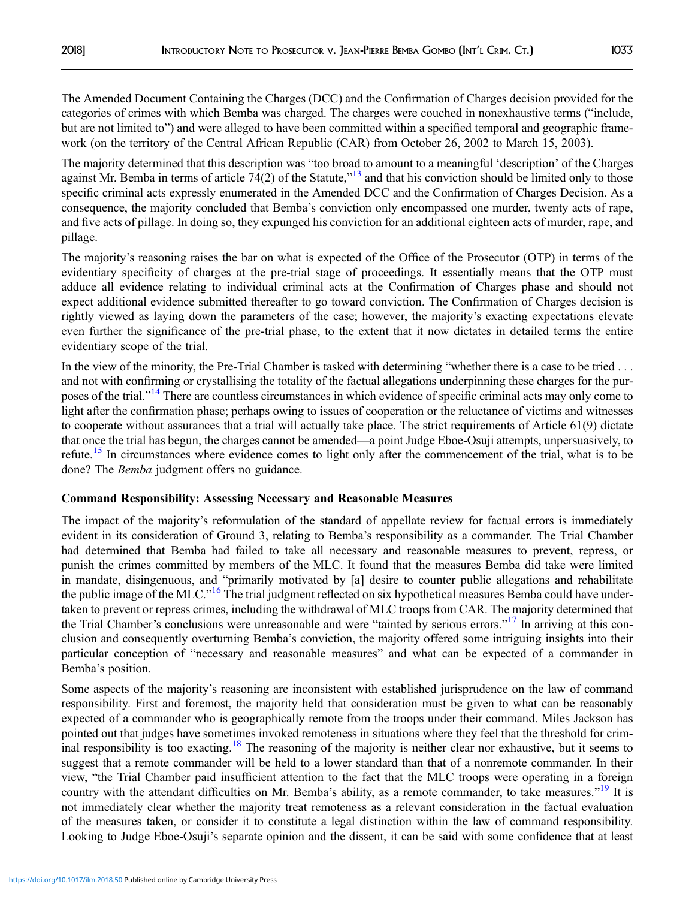The Amended Document Containing the Charges (DCC) and the Confirmation of Charges decision provided for the categories of crimes with which Bemba was charged. The charges were couched in nonexhaustive terms ("include, but are not limited to") and were alleged to have been committed within a specified temporal and geographic framework (on the territory of the Central African Republic (CAR) from October 26, 2002 to March 15, 2003).

The majority determined that this description was "too broad to amount to a meaningful 'description' of the Charges against Mr. Bemba in terms of article  $74(2)$  of the Statute,"<sup>[13](#page-4-0)</sup> and that his conviction should be limited only to those specific criminal acts expressly enumerated in the Amended DCC and the Confirmation of Charges Decision. As a consequence, the majority concluded that Bemba's conviction only encompassed one murder, twenty acts of rape, and five acts of pillage. In doing so, they expunged his conviction for an additional eighteen acts of murder, rape, and pillage.

The majority's reasoning raises the bar on what is expected of the Office of the Prosecutor (OTP) in terms of the evidentiary specificity of charges at the pre-trial stage of proceedings. It essentially means that the OTP must adduce all evidence relating to individual criminal acts at the Confirmation of Charges phase and should not expect additional evidence submitted thereafter to go toward conviction. The Confirmation of Charges decision is rightly viewed as laying down the parameters of the case; however, the majority's exacting expectations elevate even further the significance of the pre-trial phase, to the extent that it now dictates in detailed terms the entire evidentiary scope of the trial.

In the view of the minority, the Pre-Trial Chamber is tasked with determining "whether there is a case to be tried . . . and not with confirming or crystallising the totality of the factual allegations underpinning these charges for the pur-poses of the trial."<sup>[14](#page-4-0)</sup> There are countless circumstances in which evidence of specific criminal acts may only come to light after the confirmation phase; perhaps owing to issues of cooperation or the reluctance of victims and witnesses to cooperate without assurances that a trial will actually take place. The strict requirements of Article 61(9) dictate that once the trial has begun, the charges cannot be amended—a point Judge Eboe-Osuji attempts, unpersuasively, to refute.<sup>[15](#page-4-0)</sup> In circumstances where evidence comes to light only after the commencement of the trial, what is to be done? The *Bemba* judgment offers no guidance.

## Command Responsibility: Assessing Necessary and Reasonable Measures

The impact of the majority's reformulation of the standard of appellate review for factual errors is immediately evident in its consideration of Ground 3, relating to Bemba's responsibility as a commander. The Trial Chamber had determined that Bemba had failed to take all necessary and reasonable measures to prevent, repress, or punish the crimes committed by members of the MLC. It found that the measures Bemba did take were limited in mandate, disingenuous, and "primarily motivated by [a] desire to counter public allegations and rehabilitate the public image of the MLC."<sup>[16](#page-4-0)</sup> The trial judgment reflected on six hypothetical measures Bemba could have undertaken to prevent or repress crimes, including the withdrawal of MLC troops from CAR. The majority determined that the Trial Chamber's conclusions were unreasonable and were "tainted by serious errors."<sup>[17](#page-4-0)</sup> In arriving at this conclusion and consequently overturning Bemba's conviction, the majority offered some intriguing insights into their particular conception of "necessary and reasonable measures" and what can be expected of a commander in Bemba's position.

Some aspects of the majority's reasoning are inconsistent with established jurisprudence on the law of command responsibility. First and foremost, the majority held that consideration must be given to what can be reasonably expected of a commander who is geographically remote from the troops under their command. Miles Jackson has pointed out that judges have sometimes invoked remoteness in situations where they feel that the threshold for crim-inal responsibility is too exacting.<sup>[18](#page-4-0)</sup> The reasoning of the majority is neither clear nor exhaustive, but it seems to suggest that a remote commander will be held to a lower standard than that of a nonremote commander. In their view, "the Trial Chamber paid insufficient attention to the fact that the MLC troops were operating in a foreign country with the attendant difficulties on Mr. Bemba's ability, as a remote commander, to take measures."<sup>[19](#page-4-0)</sup> It is not immediately clear whether the majority treat remoteness as a relevant consideration in the factual evaluation of the measures taken, or consider it to constitute a legal distinction within the law of command responsibility. Looking to Judge Eboe-Osuji's separate opinion and the dissent, it can be said with some confidence that at least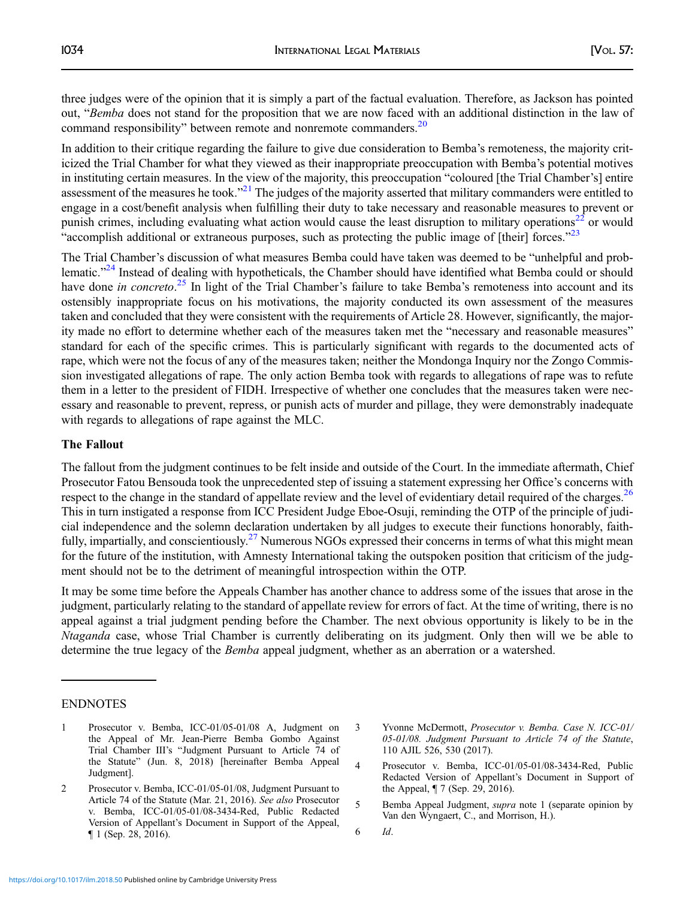<span id="page-3-0"></span>three judges were of the opinion that it is simply a part of the factual evaluation. Therefore, as Jackson has pointed out, "Bemba does not stand for the proposition that we are now faced with an additional distinction in the law of command responsibility" between remote and nonremote commanders.<sup>[20](#page-4-0)</sup>

In addition to their critique regarding the failure to give due consideration to Bemba's remoteness, the majority criticized the Trial Chamber for what they viewed as their inappropriate preoccupation with Bemba's potential motives in instituting certain measures. In the view of the majority, this preoccupation "coloured [the Trial Chamber's] entire assessment of the measures he took."<sup>[21](#page-4-0)</sup> The judges of the majority asserted that military commanders were entitled to engage in a cost/benefit analysis when fulfilling their duty to take necessary and reasonable measures to prevent or punish crimes, including evaluating what action would cause the least disruption to military operations<sup>[22](#page-4-0)</sup> or would "accomplish additional or extraneous purposes, such as protecting the public image of [their] forces."<sup>[23](#page-4-0)</sup>

The Trial Chamber's discussion of what measures Bemba could have taken was deemed to be "unhelpful and prob-lematic."<sup>[24](#page-4-0)</sup> Instead of dealing with hypotheticals, the Chamber should have identified what Bemba could or should have done in concreto.<sup>[25](#page-4-0)</sup> In light of the Trial Chamber's failure to take Bemba's remoteness into account and its ostensibly inappropriate focus on his motivations, the majority conducted its own assessment of the measures taken and concluded that they were consistent with the requirements of Article 28. However, significantly, the majority made no effort to determine whether each of the measures taken met the "necessary and reasonable measures" standard for each of the specific crimes. This is particularly significant with regards to the documented acts of rape, which were not the focus of any of the measures taken; neither the Mondonga Inquiry nor the Zongo Commission investigated allegations of rape. The only action Bemba took with regards to allegations of rape was to refute them in a letter to the president of FIDH. Irrespective of whether one concludes that the measures taken were necessary and reasonable to prevent, repress, or punish acts of murder and pillage, they were demonstrably inadequate with regards to allegations of rape against the MLC.

#### The Fallout

The fallout from the judgment continues to be felt inside and outside of the Court. In the immediate aftermath, Chief Prosecutor Fatou Bensouda took the unprecedented step of issuing a statement expressing her Office's concerns with respect to the change in the standard of appellate review and the level of evidentiary detail required of the charges.<sup>[26](#page-4-0)</sup> This in turn instigated a response from ICC President Judge Eboe-Osuji, reminding the OTP of the principle of judicial independence and the solemn declaration undertaken by all judges to execute their functions honorably, faith-fully, impartially, and conscientiously.<sup>[27](#page-4-0)</sup> Numerous NGOs expressed their concerns in terms of what this might mean for the future of the institution, with Amnesty International taking the outspoken position that criticism of the judgment should not be to the detriment of meaningful introspection within the OTP.

It may be some time before the Appeals Chamber has another chance to address some of the issues that arose in the judgment, particularly relating to the standard of appellate review for errors of fact. At the time of writing, there is no appeal against a trial judgment pending before the Chamber. The next obvious opportunity is likely to be in the Ntaganda case, whose Trial Chamber is currently deliberating on its judgment. Only then will we be able to determine the true legacy of the *Bemba* appeal judgment, whether as an aberration or a watershed.

#### ENDNOTES

- 1 Prosecutor v. Bemba, ICC-01/05-01/08 A, Judgment on the Appeal of Mr. Jean-Pierre Bemba Gombo Against Trial Chamber III's "Judgment Pursuant to Article 74 of the Statute" (Jun. 8, 2018) [hereinafter Bemba Appeal Judgment].
- 2 Prosecutor v. Bemba, ICC-01/05-01/08, Judgment Pursuant to Article 74 of the Statute (Mar. 21, 2016). See also Prosecutor v. Bemba, ICC-01/05-01/08-3434-Red, Public Redacted Version of Appellant's Document in Support of the Appeal, ¶ 1 (Sep. 28, 2016).
- 3 Yvonne McDermott, Prosecutor v. Bemba. Case N. ICC-01/ 05-01/08. Judgment Pursuant to Article 74 of the Statute, 110 AJIL 526, 530 (2017).
- 4 Prosecutor v. Bemba, ICC-01/05-01/08-3434-Red, Public Redacted Version of Appellant's Document in Support of the Appeal, ¶ 7 (Sep. 29, 2016).
- 5 Bemba Appeal Judgment, supra note 1 (separate opinion by Van den Wyngaert, C., and Morrison, H.).
- 6 Id.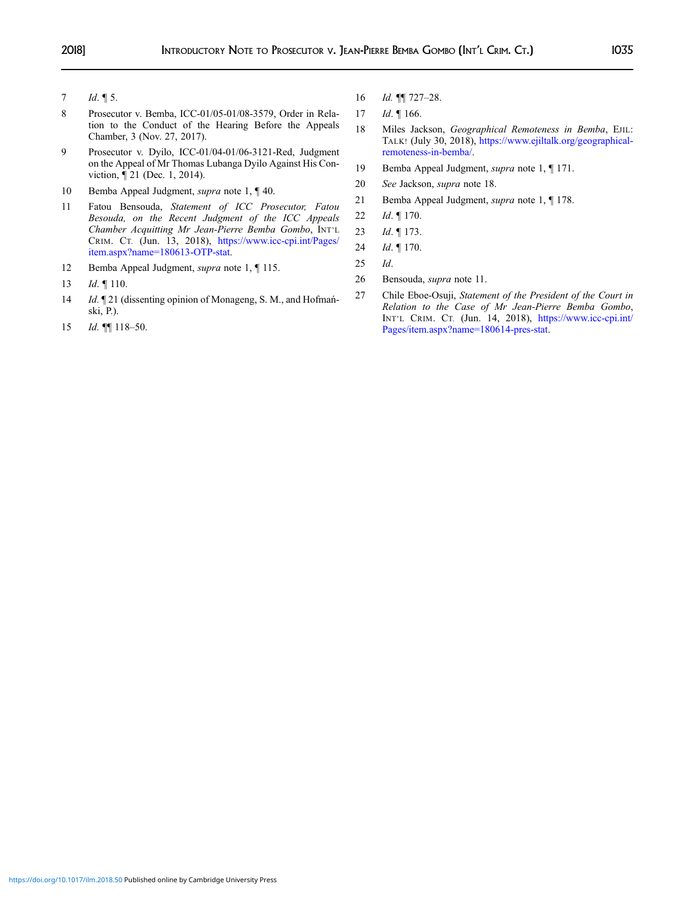- <span id="page-4-0"></span>7  $Id. \P 5.$
- 8 Prosecutor v. Bemba, ICC-01/05-01/08-3579, Order in Relation to the Conduct of the Hearing Before the Appeals Chamber, 3 (Nov. 27, 2017).
- 9 Prosecutor v. Dyilo, ICC-01/04-01/06-3121-Red, Judgment on the Appeal of Mr Thomas Lubanga Dyilo Against His Conviction, ¶ 21 (Dec. 1, 2014).
- 10 Bemba Appeal Judgment, *supra* note 1, 140.
- 11 Fatou Bensouda, Statement of ICC Prosecutor, Fatou Besouda, on the Recent Judgment of the ICC Appeals Chamber Acquitting Mr Jean-Pierre Bemba Gombo, INT'L CRIM. CT. (Jun. 13, 2018), https://www.icc-cpi.int/Pages/ item.aspx?name=180613-OTP-stat.
- 12 Bemba Appeal Judgment, supra note 1, ¶ 115.
- 13 *Id.* 110.
- 14 *Id.*  $\mathbb{I}$  21 (dissenting opinion of Monageng, S. M., and Hofmański, P.).
- 15 *Id.* **[118-50.**
- 16 *Id.* **[1]** 727-28.
- 17 *Id.* 166.
- 18 Miles Jackson, Geographical Remoteness in Bemba, EJIL: TALK! (July 30, 2018), https://www.ejiltalk.org/geographicalremoteness-in-bemba/.
- 19 Bemba Appeal Judgment, supra note 1, ¶ 171.
- 20 See Jackson, supra note 18.
- 21 Bemba Appeal Judgment, supra note 1, ¶ 178.
- 22 *Id.* 170.
- 23 Id. ¶ 173.
- 24 *Id.* 170.
- 25 Id.
- 26 Bensouda, supra note 11.
- 27 Chile Eboe-Osuji, Statement of the President of the Court in Relation to the Case of Mr Jean-Pierre Bemba Gombo, INT'L CRIM. CT. (Jun. 14, 2018), https://www.icc-cpi.int/ Pages/item.aspx?name=180614-pres-stat.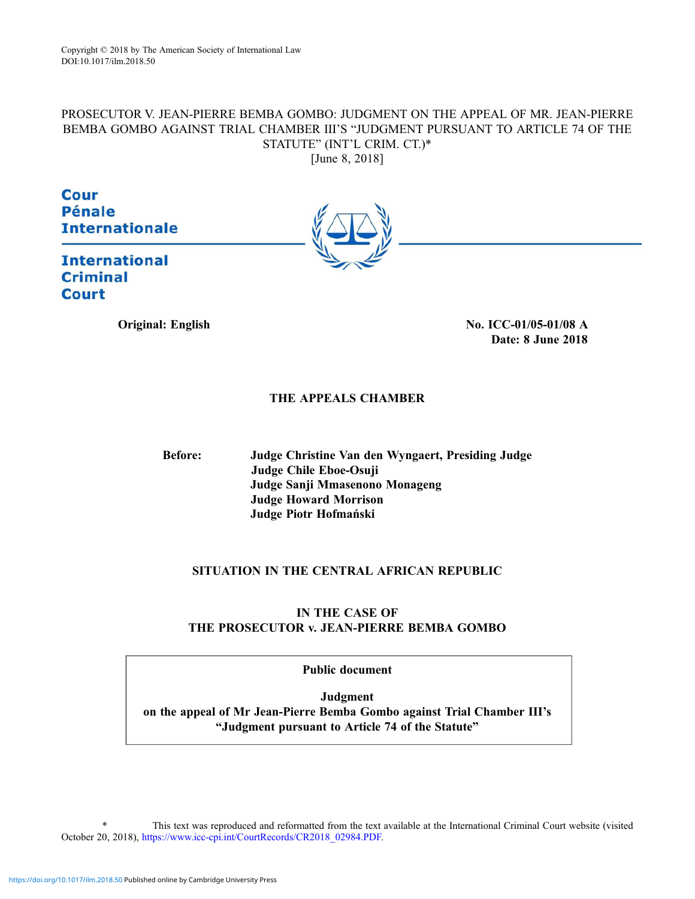# PROSECUTOR V. JEAN-PIERRE BEMBA GOMBO: JUDGMENT ON THE APPEAL OF MR. JEAN-PIERRE BEMBA GOMBO AGAINST TRIAL CHAMBER III'S "JUDGMENT PURSUANT TO ARTICLE 74 OF THE STATUTE" (INT'L CRIM. CT.)\*

[June 8, 2018]

Cour **Pénale Internationale** 



**International Criminal Court** 

> Original: English No. ICC-01/05-01/08 A Date: 8 June 2018

## THE APPEALS CHAMBER

Before: Judge Christine Van den Wyngaert, Presiding Judge Judge Chile Eboe-Osuji Judge Sanji Mmasenono Monageng Judge Howard Morrison Judge Piotr Hofmański

## SITUATION IN THE CENTRAL AFRICAN REPUBLIC

## IN THE CASE OF THE PROSECUTOR v. JEAN-PIERRE BEMBA GOMBO

Public document

Judgment on the appeal of Mr Jean-Pierre Bemba Gombo against Trial Chamber III's "Judgment pursuant to Article 74 of the Statute"

This text was reproduced and reformatted from the text available at the International Criminal Court website (visited October 20, 2018), https://www.icc-cpi.int/CourtRecords/CR2018\_02984.PDF.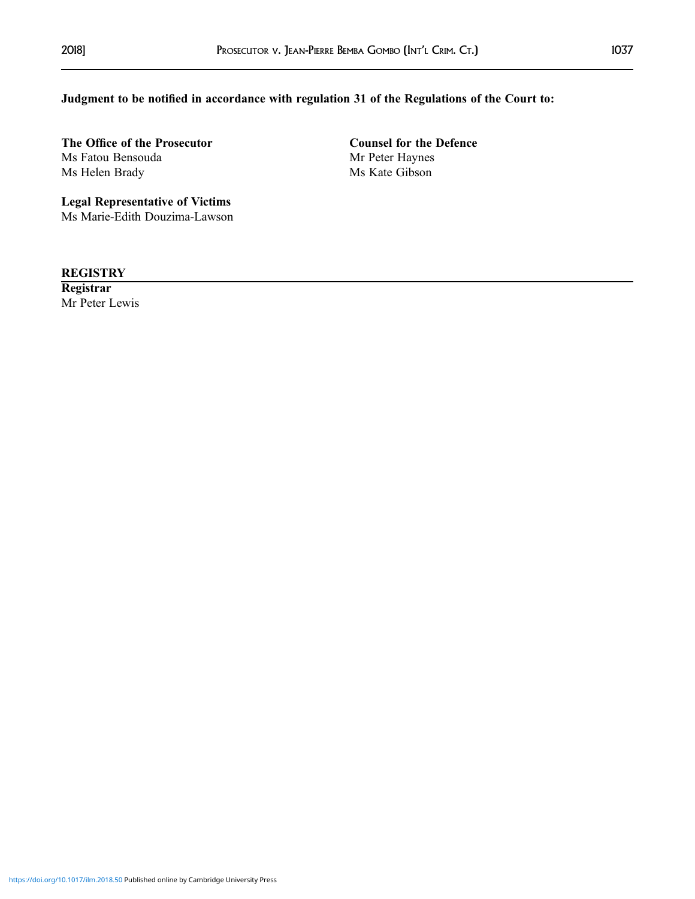## Judgment to be notified in accordance with regulation 31 of the Regulations of the Court to:

The Office of the Prosecutor Counsel for the Defence Ms Fatou Bensouda<br>
Mr Peter Haynes Ms Helen Brady Ms Kate Gibson

Legal Representative of Victims Ms Marie-Edith Douzima-Lawson

**REGISTRY** 

**Registrar** Mr Peter Lewis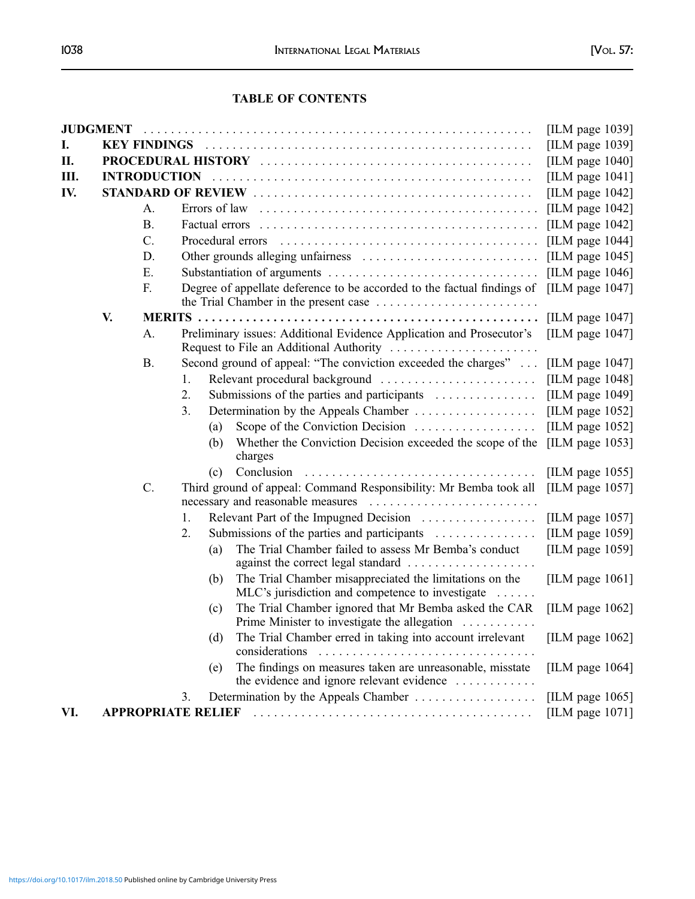## TABLE OF CONTENTS

|     |    |                           |    |                                                                   |                                                                                                                                 | [ILM page 1039]    |
|-----|----|---------------------------|----|-------------------------------------------------------------------|---------------------------------------------------------------------------------------------------------------------------------|--------------------|
| I.  |    |                           |    |                                                                   |                                                                                                                                 | [ILM page $1039$ ] |
| П.  |    |                           |    |                                                                   |                                                                                                                                 |                    |
| Ш.  |    |                           |    |                                                                   |                                                                                                                                 | [ILM page $1041$ ] |
| IV. |    |                           |    |                                                                   | [ILM page 1042]                                                                                                                 |                    |
|     |    | A.                        |    |                                                                   |                                                                                                                                 | [ILM page $1042$ ] |
|     |    | <b>B.</b>                 |    |                                                                   |                                                                                                                                 | [ILM page $1042$ ] |
|     |    | $C$ .                     |    |                                                                   | [ILM page 1044]<br>[ILM page $1045$ ]                                                                                           |                    |
|     |    | D.                        |    |                                                                   |                                                                                                                                 |                    |
|     |    | E.                        |    |                                                                   |                                                                                                                                 |                    |
|     |    | F.                        |    |                                                                   | Degree of appellate deference to be accorded to the factual findings of [ILM page 1047]                                         |                    |
|     | V. |                           |    |                                                                   |                                                                                                                                 | [ILM page 1047]    |
|     |    | A.                        |    |                                                                   | Preliminary issues: Additional Evidence Application and Prosecutor's [ILM page 1047]<br>Request to File an Additional Authority |                    |
|     |    | <b>B.</b>                 |    |                                                                   | Second ground of appeal: "The conviction exceeded the charges"                                                                  | [ILM page $1047$ ] |
|     |    |                           | 1. |                                                                   | Relevant procedural background                                                                                                  | [ILM page 1048]    |
|     |    |                           | 2. |                                                                   | Submissions of the parties and participants                                                                                     | [ILM page 1049]    |
|     |    |                           | 3. |                                                                   |                                                                                                                                 | [ILM page $1052$ ] |
|     |    |                           |    | (a)                                                               | Scope of the Conviction Decision                                                                                                | [ILM page $1052$ ] |
|     |    |                           |    | (b)                                                               | Whether the Conviction Decision exceeded the scope of the [ILM page 1053]<br>charges                                            |                    |
|     |    |                           |    | (c)                                                               | Conclusion                                                                                                                      | [ILM page $1055$ ] |
|     |    | C.                        |    | Third ground of appeal: Command Responsibility: Mr Bemba took all | [ILM page 1057]                                                                                                                 |                    |
|     |    |                           | 1. |                                                                   | Relevant Part of the Impugned Decision                                                                                          | [ILM page 1057]    |
|     |    |                           | 2. |                                                                   | Submissions of the parties and participants                                                                                     | [ILM page $1059$ ] |
|     |    |                           |    | (a)                                                               | The Trial Chamber failed to assess Mr Bemba's conduct<br>against the correct legal standard                                     | [ILM page $1059$ ] |
|     |    |                           |    | (b)                                                               | The Trial Chamber misappreciated the limitations on the<br>MLC's jurisdiction and competence to investigate                     | [ILM page $1061$ ] |
|     |    |                           |    | (c)                                                               | The Trial Chamber ignored that Mr Bemba asked the CAR<br>Prime Minister to investigate the allegation                           | [ILM page $1062$ ] |
|     |    |                           |    | (d)                                                               | The Trial Chamber erred in taking into account irrelevant<br>considerations                                                     | [ILM page 1062]    |
|     |    |                           |    | (e)                                                               | The findings on measures taken are unreasonable, misstate<br>the evidence and ignore relevant evidence                          | [ILM page 1064]    |
|     |    |                           | 3. |                                                                   |                                                                                                                                 | [ILM page $1065$ ] |
| VI. |    | <b>APPROPRIATE RELIEF</b> |    |                                                                   |                                                                                                                                 | [ILM page 1071]    |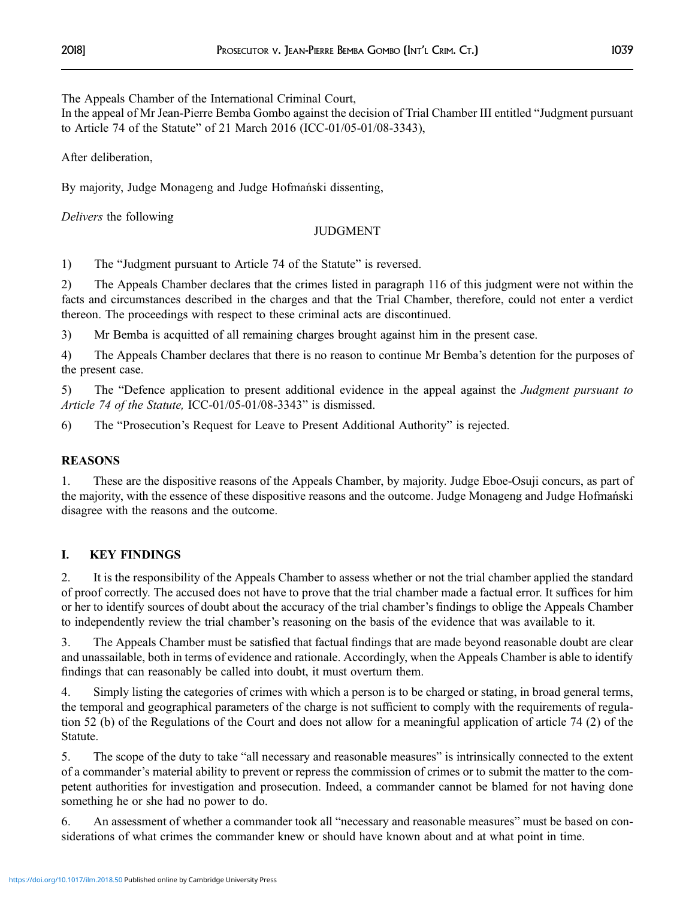The Appeals Chamber of the International Criminal Court,

In the appeal of Mr Jean-Pierre Bemba Gombo against the decision of Trial Chamber III entitled "Judgment pursuant to Article 74 of the Statute" of 21 March 2016 (ICC-01/05-01/08-3343),

After deliberation,

By majority, Judge Monageng and Judge Hofmański dissenting,

Delivers the following

## JUDGMENT

1) The "Judgment pursuant to Article 74 of the Statute" is reversed.

2) The Appeals Chamber declares that the crimes listed in paragraph 116 of this judgment were not within the facts and circumstances described in the charges and that the Trial Chamber, therefore, could not enter a verdict thereon. The proceedings with respect to these criminal acts are discontinued.

3) Mr Bemba is acquitted of all remaining charges brought against him in the present case.

4) The Appeals Chamber declares that there is no reason to continue Mr Bemba's detention for the purposes of the present case.

5) The "Defence application to present additional evidence in the appeal against the Judgment pursuant to Article 74 of the Statute, ICC-01/05-01/08-3343" is dismissed.

6) The "Prosecution's Request for Leave to Present Additional Authority" is rejected.

## REASONS

1. These are the dispositive reasons of the Appeals Chamber, by majority. Judge Eboe-Osuji concurs, as part of the majority, with the essence of these dispositive reasons and the outcome. Judge Monageng and Judge Hofmański disagree with the reasons and the outcome.

## I. KEY FINDINGS

2. It is the responsibility of the Appeals Chamber to assess whether or not the trial chamber applied the standard of proof correctly. The accused does not have to prove that the trial chamber made a factual error. It suffices for him or her to identify sources of doubt about the accuracy of the trial chamber's findings to oblige the Appeals Chamber to independently review the trial chamber's reasoning on the basis of the evidence that was available to it.

3. The Appeals Chamber must be satisfied that factual findings that are made beyond reasonable doubt are clear and unassailable, both in terms of evidence and rationale. Accordingly, when the Appeals Chamber is able to identify findings that can reasonably be called into doubt, it must overturn them.

4. Simply listing the categories of crimes with which a person is to be charged or stating, in broad general terms, the temporal and geographical parameters of the charge is not sufficient to comply with the requirements of regulation 52 (b) of the Regulations of the Court and does not allow for a meaningful application of article 74 (2) of the Statute.

5. The scope of the duty to take "all necessary and reasonable measures" is intrinsically connected to the extent of a commander's material ability to prevent or repress the commission of crimes or to submit the matter to the competent authorities for investigation and prosecution. Indeed, a commander cannot be blamed for not having done something he or she had no power to do.

6. An assessment of whether a commander took all "necessary and reasonable measures" must be based on considerations of what crimes the commander knew or should have known about and at what point in time.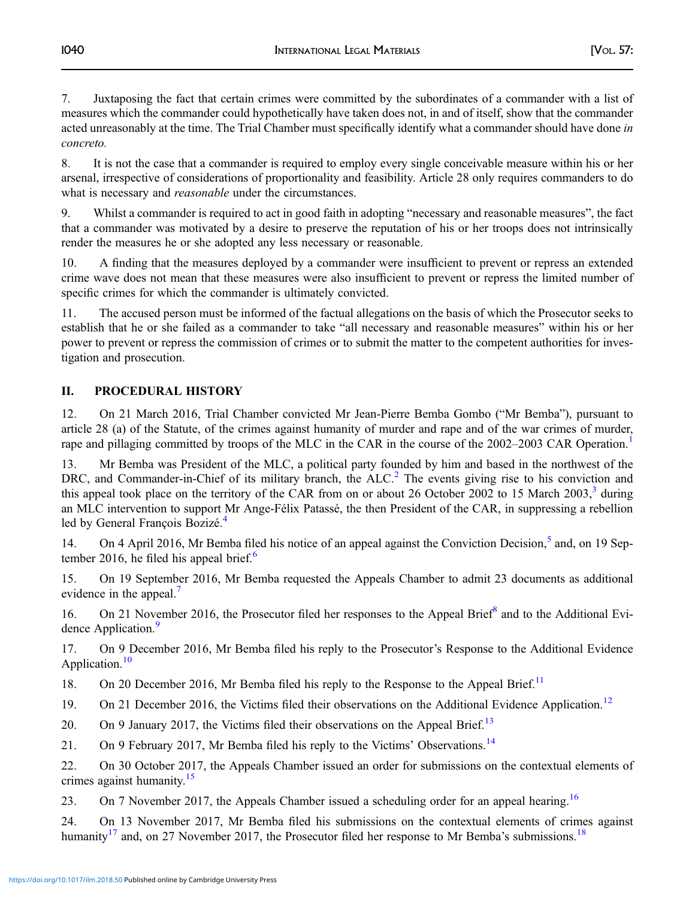7. Juxtaposing the fact that certain crimes were committed by the subordinates of a commander with a list of measures which the commander could hypothetically have taken does not, in and of itself, show that the commander acted unreasonably at the time. The Trial Chamber must specifically identify what a commander should have done in concreto.

8. It is not the case that a commander is required to employ every single conceivable measure within his or her arsenal, irrespective of considerations of proportionality and feasibility. Article 28 only requires commanders to do what is necessary and *reasonable* under the circumstances.

9. Whilst a commander is required to act in good faith in adopting "necessary and reasonable measures", the fact that a commander was motivated by a desire to preserve the reputation of his or her troops does not intrinsically render the measures he or she adopted any less necessary or reasonable.

10. A finding that the measures deployed by a commander were insufficient to prevent or repress an extended crime wave does not mean that these measures were also insufficient to prevent or repress the limited number of specific crimes for which the commander is ultimately convicted.

11. The accused person must be informed of the factual allegations on the basis of which the Prosecutor seeks to establish that he or she failed as a commander to take "all necessary and reasonable measures" within his or her power to prevent or repress the commission of crimes or to submit the matter to the competent authorities for investigation and prosecution.

## II. PROCEDURAL HISTORY

12. On 21 March 2016, Trial Chamber convicted Mr Jean-Pierre Bemba Gombo ("Mr Bemba"), pursuant to article 28 (a) of the Statute, of the crimes against humanity of murder and rape and of the war crimes of murder, rape and pillaging committed by troops of the MLC in the CAR in the course of the 2002–2003 CAR Operation.<sup>[1](#page-41-0)</sup>

13. Mr Bemba was President of the MLC, a political party founded by him and based in the northwest of the DRC, and Commander-in-Chief of its military branch, the  $ALC<sup>2</sup>$  $ALC<sup>2</sup>$  $ALC<sup>2</sup>$ . The events giving rise to his conviction and this appeal took place on the territory of the CAR from on or about 26 October 2002 to 15 March 200[3](#page-41-0), $3\frac{1}{3}$  during an MLC intervention to support Mr Ange-Félix Patassé, the then President of the CAR, in suppressing a rebellion led by General François Bozizé.<sup>[4](#page-41-0)</sup>

14. On 4 April 2016, Mr Bemba filed his notice of an appeal against the Conviction Decision.<sup>[5](#page-41-0)</sup> and, on 19 Sep-tember 201[6](#page-41-0), he filed his appeal brief.<sup>6</sup>

15. On 19 September 2016, Mr Bemba requested the Appeals Chamber to admit 23 documents as additional evidence in the appeal.<sup>[7](#page-41-0)</sup>

16. On 21 November 2016, the Prosecutor filed her responses to the Appeal Brief<sup>[8](#page-41-0)</sup> and to the Additional Evi-dence Application.<sup>[9](#page-41-0)</sup>

17. On 9 December 2016, Mr Bemba filed his reply to the Prosecutor's Response to the Additional Evidence Application.<sup>10</sup>

18. On 20 December 2016, Mr Bemba filed his reply to the Response to the Appeal Brief.<sup>[11](#page-41-0)</sup>

19. On 21 December 2016, the Victims filed their observations on the Additional Evidence Application.<sup>[12](#page-41-0)</sup>

20. On 9 January 2017, the Victims filed their observations on the Appeal Brief.<sup>[13](#page-41-0)</sup>

21. On 9 February 2017, Mr Bemba filed his reply to the Victims' Observations.<sup>[14](#page-41-0)</sup>

22. On 30 October 2017, the Appeals Chamber issued an order for submissions on the contextual elements of crimes against humanity.<sup>[15](#page-41-0)</sup>

23. On 7 November 2017, the Appeals Chamber issued a scheduling order for an appeal hearing.<sup>[16](#page-41-0)</sup>

24. On 13 November 2017, Mr Bemba filed his submissions on the contextual elements of crimes against humanity<sup>17</sup> and, on 27 November 2017, the Prosecutor filed her response to Mr Bemba's submissions.<sup>[18](#page-41-0)</sup>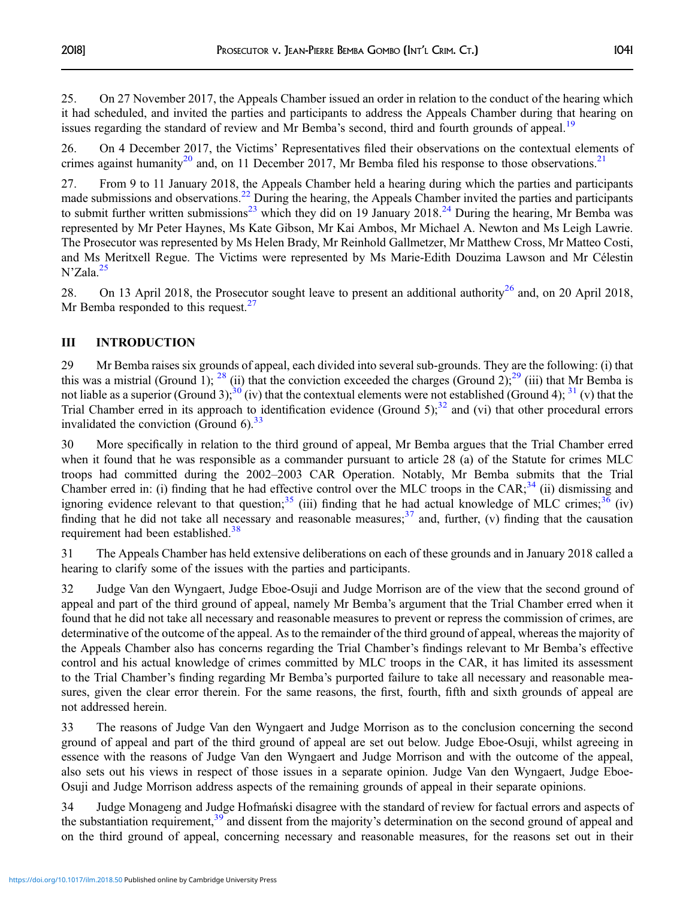25. On 27 November 2017, the Appeals Chamber issued an order in relation to the conduct of the hearing which it had scheduled, and invited the parties and participants to address the Appeals Chamber during that hearing on issues regarding the standard of review and Mr Bemba's second, third and fourth grounds of appeal.<sup>[19](#page-41-0)</sup>

26. On 4 December 2017, the Victims' Representatives filed their observations on the contextual elements of crimes against humanity<sup>[20](#page-42-0)</sup> and, on 11 December 2017, Mr Bemba filed his response to those observations.<sup>[21](#page-42-0)</sup>

27. From 9 to 11 January 2018, the Appeals Chamber held a hearing during which the parties and participants made submissions and observations.<sup>[22](#page-42-0)</sup> During the hearing, the Appeals Chamber invited the parties and participants to submit further written submissions<sup>[23](#page-42-0)</sup> which they did on 19 January 2018.<sup>[24](#page-42-0)</sup> During the hearing, Mr Bemba was represented by Mr Peter Haynes, Ms Kate Gibson, Mr Kai Ambos, Mr Michael A. Newton and Ms Leigh Lawrie. The Prosecutor was represented by Ms Helen Brady, Mr Reinhold Gallmetzer, Mr Matthew Cross, Mr Matteo Costi, and Ms Meritxell Regue. The Victims were represented by Ms Marie-Edith Douzima Lawson and Mr Célestin  $N'Zala.<sup>25</sup>$  $N'Zala.<sup>25</sup>$  $N'Zala.<sup>25</sup>$ 

28. On 13 April 2018, the Prosecutor sought leave to present an additional authority<sup>[26](#page-42-0)</sup> and, on 20 April 2018, Mr Bemba responded to this request. $27$ 

## III INTRODUCTION

29 Mr Bemba raises six grounds of appeal, each divided into several sub-grounds. They are the following: (i) that this was a mistrial (Ground 1);  $^{28}$  $^{28}$  $^{28}$  (ii) that the conviction exceeded the charges (Ground 2);  $^{29}$  $^{29}$  $^{29}$  (iii) that Mr Bemba is not liable as a superior (Ground 3);<sup>[30](#page-42-0)</sup> (iv) that the contextual elements were not established (Ground 4);<sup>[31](#page-42-0)</sup> (v) that the Trial Chamber erred in its approach to identification evidence (Ground 5);<sup>[32](#page-42-0)</sup> and (vi) that other procedural errors invalidated the conviction (Ground  $6$ ).<sup>[33](#page-42-0)</sup>

30 More specifically in relation to the third ground of appeal, Mr Bemba argues that the Trial Chamber erred when it found that he was responsible as a commander pursuant to article 28 (a) of the Statute for crimes MLC troops had committed during the 2002–2003 CAR Operation. Notably, Mr Bemba submits that the Trial Chamber erred in: (i) finding that he had effective control over the MLC troops in the CAR; $^{34}$  $^{34}$  $^{34}$  (ii) dismissing and ignoring evidence relevant to that question;<sup>[35](#page-42-0)</sup> (iii) finding that he had actual knowledge of MLC crimes;<sup>[36](#page-42-0)</sup> (iv) finding that he did not take all necessary and reasonable measures;  $37$  and, further, (v) finding that the causation requirement had been established.<sup>[38](#page-42-0)</sup>

31 The Appeals Chamber has held extensive deliberations on each of these grounds and in January 2018 called a hearing to clarify some of the issues with the parties and participants.

32 Judge Van den Wyngaert, Judge Eboe-Osuji and Judge Morrison are of the view that the second ground of appeal and part of the third ground of appeal, namely Mr Bemba's argument that the Trial Chamber erred when it found that he did not take all necessary and reasonable measures to prevent or repress the commission of crimes, are determinative of the outcome of the appeal. As to the remainder of the third ground of appeal, whereas the majority of the Appeals Chamber also has concerns regarding the Trial Chamber's findings relevant to Mr Bemba's effective control and his actual knowledge of crimes committed by MLC troops in the CAR, it has limited its assessment to the Trial Chamber's finding regarding Mr Bemba's purported failure to take all necessary and reasonable measures, given the clear error therein. For the same reasons, the first, fourth, fifth and sixth grounds of appeal are not addressed herein.

33 The reasons of Judge Van den Wyngaert and Judge Morrison as to the conclusion concerning the second ground of appeal and part of the third ground of appeal are set out below. Judge Eboe-Osuji, whilst agreeing in essence with the reasons of Judge Van den Wyngaert and Judge Morrison and with the outcome of the appeal, also sets out his views in respect of those issues in a separate opinion. Judge Van den Wyngaert, Judge Eboe-Osuji and Judge Morrison address aspects of the remaining grounds of appeal in their separate opinions.

34 Judge Monageng and Judge Hofmański disagree with the standard of review for factual errors and aspects of the substantiation requirement,<sup>[39](#page-42-0)</sup> and dissent from the majority's determination on the second ground of appeal and on the third ground of appeal, concerning necessary and reasonable measures, for the reasons set out in their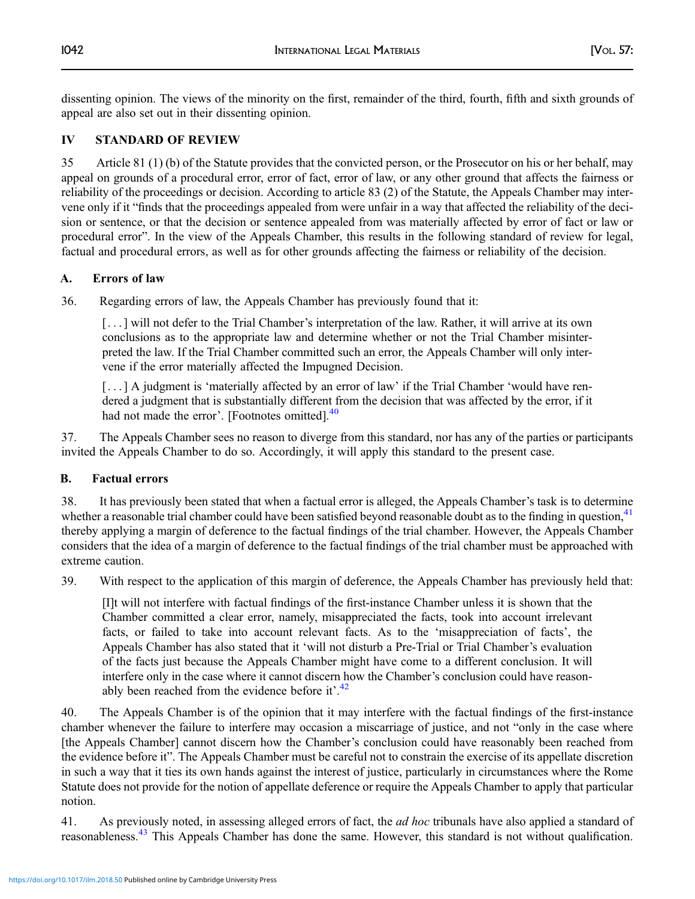dissenting opinion. The views of the minority on the first, remainder of the third, fourth, fifth and sixth grounds of appeal are also set out in their dissenting opinion.

## IV STANDARD OF REVIEW

35 Article 81 (1) (b) of the Statute provides that the convicted person, or the Prosecutor on his or her behalf, may appeal on grounds of a procedural error, error of fact, error of law, or any other ground that affects the fairness or reliability of the proceedings or decision. According to article 83 (2) of the Statute, the Appeals Chamber may intervene only if it "finds that the proceedings appealed from were unfair in a way that affected the reliability of the decision or sentence, or that the decision or sentence appealed from was materially affected by error of fact or law or procedural error". In the view of the Appeals Chamber, this results in the following standard of review for legal, factual and procedural errors, as well as for other grounds affecting the fairness or reliability of the decision.

## A. Errors of law

36. Regarding errors of law, the Appeals Chamber has previously found that it:

[. . . ] will not defer to the Trial Chamber's interpretation of the law. Rather, it will arrive at its own conclusions as to the appropriate law and determine whether or not the Trial Chamber misinterpreted the law. If the Trial Chamber committed such an error, the Appeals Chamber will only intervene if the error materially affected the Impugned Decision.

[...] A judgment is 'materially affected by an error of law' if the Trial Chamber 'would have rendered a judgment that is substantially different from the decision that was affected by the error, if it had not made the error'. [Footnotes omitted].<sup>[40](#page-42-0)</sup>

37. The Appeals Chamber sees no reason to diverge from this standard, nor has any of the parties or participants invited the Appeals Chamber to do so. Accordingly, it will apply this standard to the present case.

## B. Factual errors

38. It has previously been stated that when a factual error is alleged, the Appeals Chamber's task is to determine whether a reasonable trial chamber could have been satisfied beyond reasonable doubt as to the finding in question,<sup>[41](#page-42-0)</sup> thereby applying a margin of deference to the factual findings of the trial chamber. However, the Appeals Chamber considers that the idea of a margin of deference to the factual findings of the trial chamber must be approached with extreme caution.

39. With respect to the application of this margin of deference, the Appeals Chamber has previously held that:

[I]t will not interfere with factual findings of the first-instance Chamber unless it is shown that the Chamber committed a clear error, namely, misappreciated the facts, took into account irrelevant facts, or failed to take into account relevant facts. As to the 'misappreciation of facts', the Appeals Chamber has also stated that it 'will not disturb a Pre-Trial or Trial Chamber's evaluation of the facts just because the Appeals Chamber might have come to a different conclusion. It will interfere only in the case where it cannot discern how the Chamber's conclusion could have reason-ably been reached from the evidence before it'.<sup>[42](#page-42-0)</sup>

40. The Appeals Chamber is of the opinion that it may interfere with the factual findings of the first-instance chamber whenever the failure to interfere may occasion a miscarriage of justice, and not "only in the case where [the Appeals Chamber] cannot discern how the Chamber's conclusion could have reasonably been reached from the evidence before it". The Appeals Chamber must be careful not to constrain the exercise of its appellate discretion in such a way that it ties its own hands against the interest of justice, particularly in circumstances where the Rome Statute does not provide for the notion of appellate deference or require the Appeals Chamber to apply that particular notion.

41. As previously noted, in assessing alleged errors of fact, the *ad hoc* tribunals have also applied a standard of reasonableness.[43](#page-42-0) This Appeals Chamber has done the same. However, this standard is not without qualification.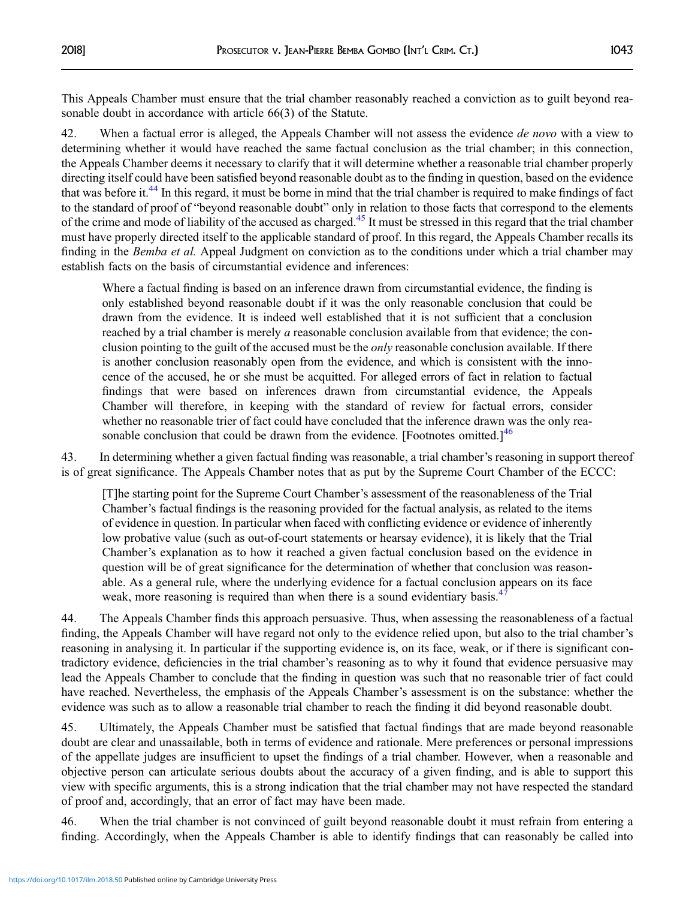This Appeals Chamber must ensure that the trial chamber reasonably reached a conviction as to guilt beyond reasonable doubt in accordance with article 66(3) of the Statute.

42. When a factual error is alleged, the Appeals Chamber will not assess the evidence *de novo* with a view to determining whether it would have reached the same factual conclusion as the trial chamber; in this connection, the Appeals Chamber deems it necessary to clarify that it will determine whether a reasonable trial chamber properly directing itself could have been satisfied beyond reasonable doubt as to the finding in question, based on the evidence that was before it[.44](#page-42-0) In this regard, it must be borne in mind that the trial chamber is required to make findings of fact to the standard of proof of "beyond reasonable doubt" only in relation to those facts that correspond to the elements of the crime and mode of liability of the accused as charged[.45](#page-42-0) It must be stressed in this regard that the trial chamber must have properly directed itself to the applicable standard of proof. In this regard, the Appeals Chamber recalls its finding in the Bemba et al. Appeal Judgment on conviction as to the conditions under which a trial chamber may establish facts on the basis of circumstantial evidence and inferences:

Where a factual finding is based on an inference drawn from circumstantial evidence, the finding is only established beyond reasonable doubt if it was the only reasonable conclusion that could be drawn from the evidence. It is indeed well established that it is not sufficient that a conclusion reached by a trial chamber is merely a reasonable conclusion available from that evidence; the conclusion pointing to the guilt of the accused must be the *only* reasonable conclusion available. If there is another conclusion reasonably open from the evidence, and which is consistent with the innocence of the accused, he or she must be acquitted. For alleged errors of fact in relation to factual findings that were based on inferences drawn from circumstantial evidence, the Appeals Chamber will therefore, in keeping with the standard of review for factual errors, consider whether no reasonable trier of fact could have concluded that the inference drawn was the only reasonable conclusion that could be drawn from the evidence. [Footnotes omitted.] $46$ 

43. In determining whether a given factual finding was reasonable, a trial chamber's reasoning in support thereof is of great significance. The Appeals Chamber notes that as put by the Supreme Court Chamber of the ECCC:

[T]he starting point for the Supreme Court Chamber's assessment of the reasonableness of the Trial Chamber's factual findings is the reasoning provided for the factual analysis, as related to the items of evidence in question. In particular when faced with conflicting evidence or evidence of inherently low probative value (such as out-of-court statements or hearsay evidence), it is likely that the Trial Chamber's explanation as to how it reached a given factual conclusion based on the evidence in question will be of great significance for the determination of whether that conclusion was reasonable. As a general rule, where the underlying evidence for a factual conclusion appears on its face weak, more reasoning is required than when there is a sound evidentiary basis.<sup>4</sup>

44. The Appeals Chamber finds this approach persuasive. Thus, when assessing the reasonableness of a factual finding, the Appeals Chamber will have regard not only to the evidence relied upon, but also to the trial chamber's reasoning in analysing it. In particular if the supporting evidence is, on its face, weak, or if there is significant contradictory evidence, deficiencies in the trial chamber's reasoning as to why it found that evidence persuasive may lead the Appeals Chamber to conclude that the finding in question was such that no reasonable trier of fact could have reached. Nevertheless, the emphasis of the Appeals Chamber's assessment is on the substance: whether the evidence was such as to allow a reasonable trial chamber to reach the finding it did beyond reasonable doubt.

45. Ultimately, the Appeals Chamber must be satisfied that factual findings that are made beyond reasonable doubt are clear and unassailable, both in terms of evidence and rationale. Mere preferences or personal impressions of the appellate judges are insufficient to upset the findings of a trial chamber. However, when a reasonable and objective person can articulate serious doubts about the accuracy of a given finding, and is able to support this view with specific arguments, this is a strong indication that the trial chamber may not have respected the standard of proof and, accordingly, that an error of fact may have been made.

46. When the trial chamber is not convinced of guilt beyond reasonable doubt it must refrain from entering a finding. Accordingly, when the Appeals Chamber is able to identify findings that can reasonably be called into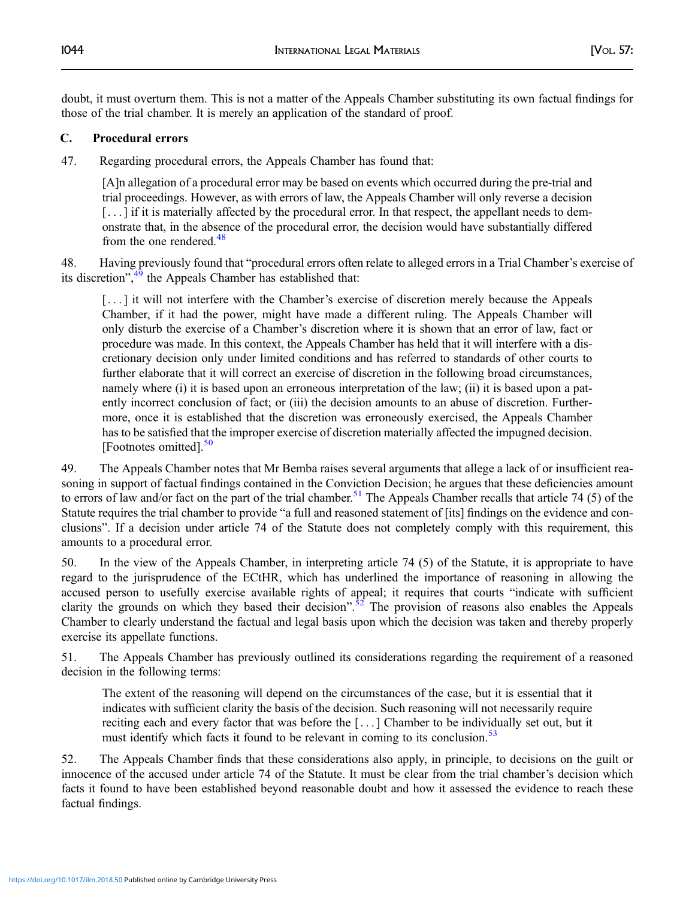doubt, it must overturn them. This is not a matter of the Appeals Chamber substituting its own factual findings for those of the trial chamber. It is merely an application of the standard of proof.

## C. Procedural errors

47. Regarding procedural errors, the Appeals Chamber has found that:

[A]n allegation of a procedural error may be based on events which occurred during the pre-trial and trial proceedings. However, as with errors of law, the Appeals Chamber will only reverse a decision [...] if it is materially affected by the procedural error. In that respect, the appellant needs to demonstrate that, in the absence of the procedural error, the decision would have substantially differed from the one rendered. $48$ 

48. Having previously found that "procedural errors often relate to alleged errors in a Trial Chamber's exercise of its discretion",<sup>[49](#page-42-0)</sup> the Appeals Chamber has established that:

[...] it will not interfere with the Chamber's exercise of discretion merely because the Appeals Chamber, if it had the power, might have made a different ruling. The Appeals Chamber will only disturb the exercise of a Chamber's discretion where it is shown that an error of law, fact or procedure was made. In this context, the Appeals Chamber has held that it will interfere with a discretionary decision only under limited conditions and has referred to standards of other courts to further elaborate that it will correct an exercise of discretion in the following broad circumstances, namely where (i) it is based upon an erroneous interpretation of the law; (ii) it is based upon a patently incorrect conclusion of fact; or (iii) the decision amounts to an abuse of discretion. Furthermore, once it is established that the discretion was erroneously exercised, the Appeals Chamber has to be satisfied that the improper exercise of discretion materially affected the impugned decision. [Footnotes omitted].<sup>[50](#page-42-0)</sup>

49. The Appeals Chamber notes that Mr Bemba raises several arguments that allege a lack of or insufficient reasoning in support of factual findings contained in the Conviction Decision; he argues that these deficiencies amount to errors of law and/or fact on the part of the trial chamber.<sup>51</sup> The Appeals Chamber recalls that article 74 (5) of the Statute requires the trial chamber to provide "a full and reasoned statement of [its] findings on the evidence and conclusions". If a decision under article 74 of the Statute does not completely comply with this requirement, this amounts to a procedural error.

50. In the view of the Appeals Chamber, in interpreting article 74 (5) of the Statute, it is appropriate to have regard to the jurisprudence of the ECtHR, which has underlined the importance of reasoning in allowing the accused person to usefully exercise available rights of appeal; it requires that courts "indicate with sufficient clarity the grounds on which they based their decision".<sup>[52](#page-42-0)</sup> The provision of reasons also enables the Appeals Chamber to clearly understand the factual and legal basis upon which the decision was taken and thereby properly exercise its appellate functions.

51. The Appeals Chamber has previously outlined its considerations regarding the requirement of a reasoned decision in the following terms:

The extent of the reasoning will depend on the circumstances of the case, but it is essential that it indicates with sufficient clarity the basis of the decision. Such reasoning will not necessarily require reciting each and every factor that was before the [ . . . ] Chamber to be individually set out, but it must identify which facts it found to be relevant in coming to its conclusion.<sup>[53](#page-42-0)</sup>

52. The Appeals Chamber finds that these considerations also apply, in principle, to decisions on the guilt or innocence of the accused under article 74 of the Statute. It must be clear from the trial chamber's decision which facts it found to have been established beyond reasonable doubt and how it assessed the evidence to reach these factual findings.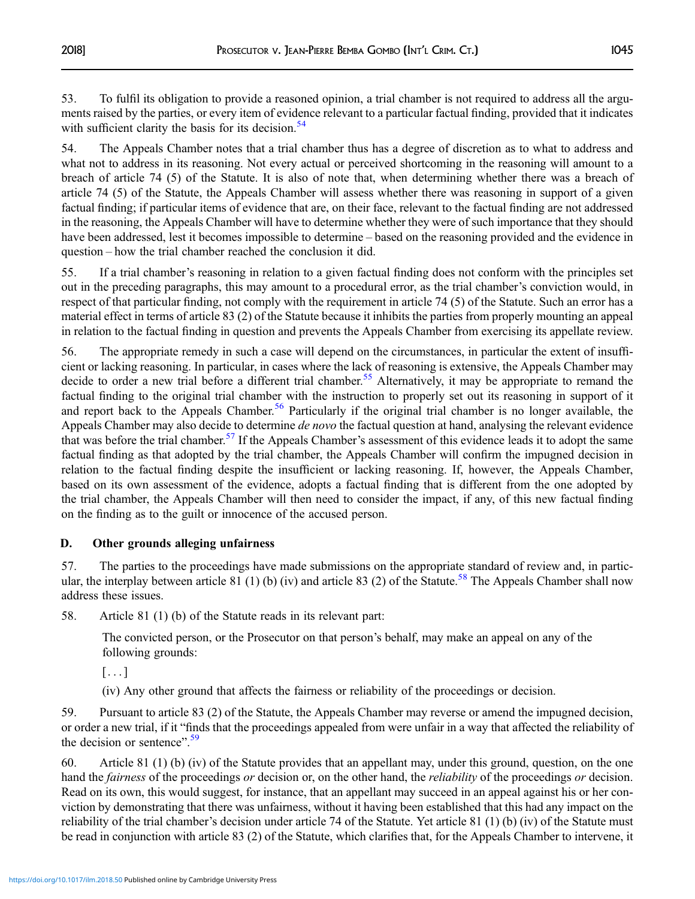53. To fulfil its obligation to provide a reasoned opinion, a trial chamber is not required to address all the arguments raised by the parties, or every item of evidence relevant to a particular factual finding, provided that it indicates with sufficient clarity the basis for its decision.<sup>[54](#page-42-0)</sup>

54. The Appeals Chamber notes that a trial chamber thus has a degree of discretion as to what to address and what not to address in its reasoning. Not every actual or perceived shortcoming in the reasoning will amount to a breach of article 74 (5) of the Statute. It is also of note that, when determining whether there was a breach of article 74 (5) of the Statute, the Appeals Chamber will assess whether there was reasoning in support of a given factual finding; if particular items of evidence that are, on their face, relevant to the factual finding are not addressed in the reasoning, the Appeals Chamber will have to determine whether they were of such importance that they should have been addressed, lest it becomes impossible to determine – based on the reasoning provided and the evidence in question – how the trial chamber reached the conclusion it did.

55. If a trial chamber's reasoning in relation to a given factual finding does not conform with the principles set out in the preceding paragraphs, this may amount to a procedural error, as the trial chamber's conviction would, in respect of that particular finding, not comply with the requirement in article 74 (5) of the Statute. Such an error has a material effect in terms of article 83 (2) of the Statute because it inhibits the parties from properly mounting an appeal in relation to the factual finding in question and prevents the Appeals Chamber from exercising its appellate review.

56. The appropriate remedy in such a case will depend on the circumstances, in particular the extent of insufficient or lacking reasoning. In particular, in cases where the lack of reasoning is extensive, the Appeals Chamber may decide to order a new trial before a different trial chamber.<sup>[55](#page-42-0)</sup> Alternatively, it may be appropriate to remand the factual finding to the original trial chamber with the instruction to properly set out its reasoning in support of it and report back to the Appeals Chamber.<sup>[56](#page-42-0)</sup> Particularly if the original trial chamber is no longer available, the Appeals Chamber may also decide to determine *de novo* the factual question at hand, analysing the relevant evidence that was before the trial chamber.<sup>[57](#page-42-0)</sup> If the Appeals Chamber's assessment of this evidence leads it to adopt the same factual finding as that adopted by the trial chamber, the Appeals Chamber will confirm the impugned decision in relation to the factual finding despite the insufficient or lacking reasoning. If, however, the Appeals Chamber, based on its own assessment of the evidence, adopts a factual finding that is different from the one adopted by the trial chamber, the Appeals Chamber will then need to consider the impact, if any, of this new factual finding on the finding as to the guilt or innocence of the accused person.

## D. Other grounds alleging unfairness

57. The parties to the proceedings have made submissions on the appropriate standard of review and, in partic-ular, the interplay between article 81 (1) (b) (iv) and article 83 (2) of the Statute.<sup>[58](#page-42-0)</sup> The Appeals Chamber shall now address these issues.

58. Article 81 (1) (b) of the Statute reads in its relevant part:

The convicted person, or the Prosecutor on that person's behalf, may make an appeal on any of the following grounds:

[...]

(iv) Any other ground that affects the fairness or reliability of the proceedings or decision.

59. Pursuant to article 83 (2) of the Statute, the Appeals Chamber may reverse or amend the impugned decision, or order a new trial, if it "finds that the proceedings appealed from were unfair in a way that affected the reliability of the decision or sentence".<sup>[59](#page-42-0)</sup>

60. Article 81 (1) (b) (iv) of the Statute provides that an appellant may, under this ground, question, on the one hand the *fairness* of the proceedings *or* decision or, on the other hand, the *reliability* of the proceedings *or* decision. Read on its own, this would suggest, for instance, that an appellant may succeed in an appeal against his or her conviction by demonstrating that there was unfairness, without it having been established that this had any impact on the reliability of the trial chamber's decision under article 74 of the Statute. Yet article 81 (1) (b) (iv) of the Statute must be read in conjunction with article 83 (2) of the Statute, which clarifies that, for the Appeals Chamber to intervene, it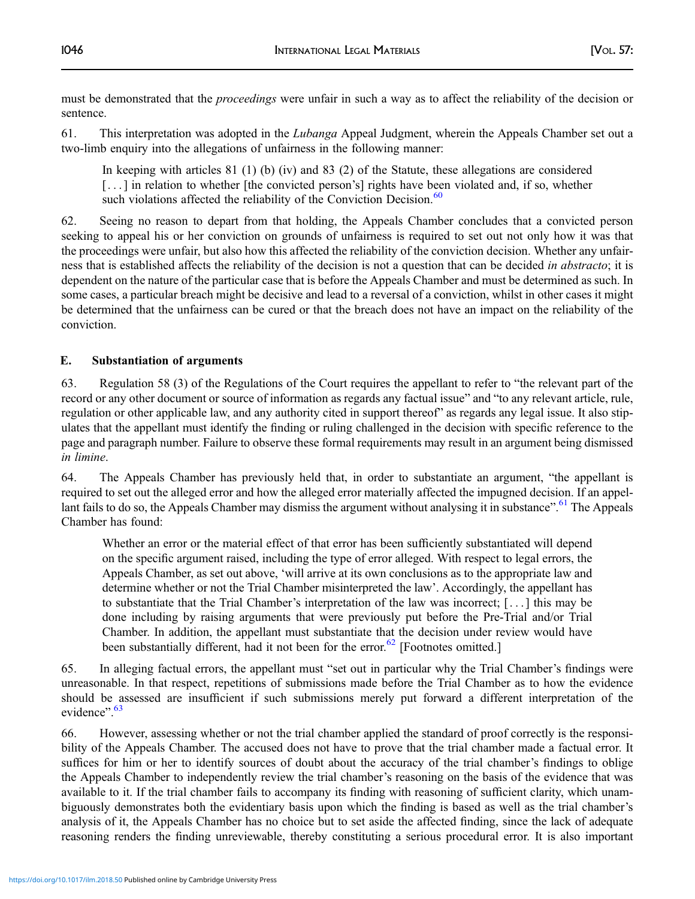must be demonstrated that the *proceedings* were unfair in such a way as to affect the reliability of the decision or sentence.

61. This interpretation was adopted in the Lubanga Appeal Judgment, wherein the Appeals Chamber set out a two-limb enquiry into the allegations of unfairness in the following manner:

In keeping with articles 81 (1) (b) (iv) and 83 (2) of the Statute, these allegations are considered [...] in relation to whether [the convicted person's] rights have been violated and, if so, whether such violations affected the reliability of the Conviction Decision.<sup>[60](#page-42-0)</sup>

62. Seeing no reason to depart from that holding, the Appeals Chamber concludes that a convicted person seeking to appeal his or her conviction on grounds of unfairness is required to set out not only how it was that the proceedings were unfair, but also how this affected the reliability of the conviction decision. Whether any unfairness that is established affects the reliability of the decision is not a question that can be decided *in abstracto*; it is dependent on the nature of the particular case that is before the Appeals Chamber and must be determined as such. In some cases, a particular breach might be decisive and lead to a reversal of a conviction, whilst in other cases it might be determined that the unfairness can be cured or that the breach does not have an impact on the reliability of the conviction.

## E. Substantiation of arguments

63. Regulation 58 (3) of the Regulations of the Court requires the appellant to refer to "the relevant part of the record or any other document or source of information as regards any factual issue" and "to any relevant article, rule, regulation or other applicable law, and any authority cited in support thereof" as regards any legal issue. It also stipulates that the appellant must identify the finding or ruling challenged in the decision with specific reference to the page and paragraph number. Failure to observe these formal requirements may result in an argument being dismissed in limine.

64. The Appeals Chamber has previously held that, in order to substantiate an argument, "the appellant is required to set out the alleged error and how the alleged error materially affected the impugned decision. If an appel-lant fails to do so, the Appeals Chamber may dismiss the argument without analysing it in substance".<sup>[61](#page-42-0)</sup> The Appeals Chamber has found:

Whether an error or the material effect of that error has been sufficiently substantiated will depend on the specific argument raised, including the type of error alleged. With respect to legal errors, the Appeals Chamber, as set out above, 'will arrive at its own conclusions as to the appropriate law and determine whether or not the Trial Chamber misinterpreted the law'. Accordingly, the appellant has to substantiate that the Trial Chamber's interpretation of the law was incorrect; [ . . . ] this may be done including by raising arguments that were previously put before the Pre-Trial and/or Trial Chamber. In addition, the appellant must substantiate that the decision under review would have been substantially different, had it not been for the error.<sup>[62](#page-42-0)</sup> [Footnotes omitted.]

65. In alleging factual errors, the appellant must "set out in particular why the Trial Chamber's findings were unreasonable. In that respect, repetitions of submissions made before the Trial Chamber as to how the evidence should be assessed are insufficient if such submissions merely put forward a different interpretation of the evidence".<sup>[63](#page-42-0)</sup>

66. However, assessing whether or not the trial chamber applied the standard of proof correctly is the responsibility of the Appeals Chamber. The accused does not have to prove that the trial chamber made a factual error. It suffices for him or her to identify sources of doubt about the accuracy of the trial chamber's findings to oblige the Appeals Chamber to independently review the trial chamber's reasoning on the basis of the evidence that was available to it. If the trial chamber fails to accompany its finding with reasoning of sufficient clarity, which unambiguously demonstrates both the evidentiary basis upon which the finding is based as well as the trial chamber's analysis of it, the Appeals Chamber has no choice but to set aside the affected finding, since the lack of adequate reasoning renders the finding unreviewable, thereby constituting a serious procedural error. It is also important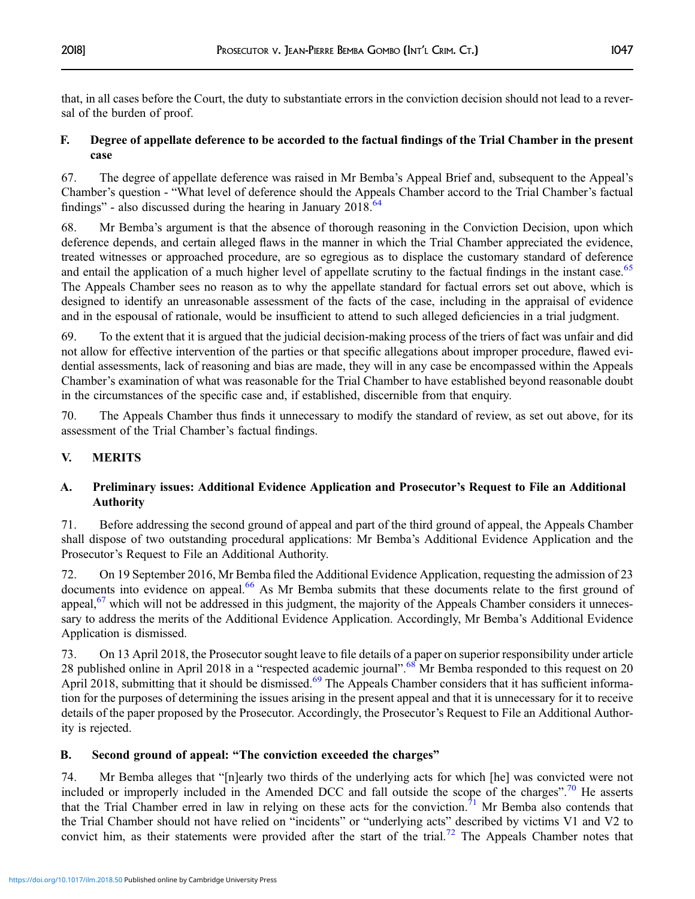that, in all cases before the Court, the duty to substantiate errors in the conviction decision should not lead to a reversal of the burden of proof.

## F. Degree of appellate deference to be accorded to the factual findings of the Trial Chamber in the present case

67. The degree of appellate deference was raised in Mr Bemba's Appeal Brief and, subsequent to the Appeal's Chamber's question - "What level of deference should the Appeals Chamber accord to the Trial Chamber's factual findings" - also discussed during the hearing in January  $2018<sup>64</sup>$ 

68. Mr Bemba's argument is that the absence of thorough reasoning in the Conviction Decision, upon which deference depends, and certain alleged flaws in the manner in which the Trial Chamber appreciated the evidence, treated witnesses or approached procedure, are so egregious as to displace the customary standard of deference and entail the application of a much higher level of appellate scrutiny to the factual findings in the instant case.<sup>[65](#page-42-0)</sup> The Appeals Chamber sees no reason as to why the appellate standard for factual errors set out above, which is designed to identify an unreasonable assessment of the facts of the case, including in the appraisal of evidence and in the espousal of rationale, would be insufficient to attend to such alleged deficiencies in a trial judgment.

69. To the extent that it is argued that the judicial decision-making process of the triers of fact was unfair and did not allow for effective intervention of the parties or that specific allegations about improper procedure, flawed evidential assessments, lack of reasoning and bias are made, they will in any case be encompassed within the Appeals Chamber's examination of what was reasonable for the Trial Chamber to have established beyond reasonable doubt in the circumstances of the specific case and, if established, discernible from that enquiry.

70. The Appeals Chamber thus finds it unnecessary to modify the standard of review, as set out above, for its assessment of the Trial Chamber's factual findings.

## V. MERITS

## A. Preliminary issues: Additional Evidence Application and Prosecutor's Request to File an Additional Authority

71. Before addressing the second ground of appeal and part of the third ground of appeal, the Appeals Chamber shall dispose of two outstanding procedural applications: Mr Bemba's Additional Evidence Application and the Prosecutor's Request to File an Additional Authority.

72. On 19 September 2016, Mr Bemba filed the Additional Evidence Application, requesting the admission of 23 documents into evidence on appeal.<sup>[66](#page-42-0)</sup> As Mr Bemba submits that these documents relate to the first ground of appeal, $67$  which will not be addressed in this judgment, the majority of the Appeals Chamber considers it unnecessary to address the merits of the Additional Evidence Application. Accordingly, Mr Bemba's Additional Evidence Application is dismissed.

73. On 13 April 2018, the Prosecutor sought leave to file details of a paper on superior responsibility under article 28 published online in April 2018 in a "respected academic journal".<sup>[68](#page-42-0)</sup> Mr Bemba responded to this request on 20 April 2018, submitting that it should be dismissed.<sup>[69](#page-43-0)</sup> The Appeals Chamber considers that it has sufficient information for the purposes of determining the issues arising in the present appeal and that it is unnecessary for it to receive details of the paper proposed by the Prosecutor. Accordingly, the Prosecutor's Request to File an Additional Authority is rejected.

## B. Second ground of appeal: "The conviction exceeded the charges"

74. Mr Bemba alleges that "[n]early two thirds of the underlying acts for which [he] was convicted were not included or improperly included in the Amended DCC and fall outside the scope of the charges".<sup>[70](#page-43-0)</sup> He asserts that the Trial Chamber erred in law in relying on these acts for the conviction.<sup>71</sup> Mr Bemba also contends that the Trial Chamber should not have relied on "incidents" or "underlying acts" described by victims V1 and V2 to convict him, as their statements were provided after the start of the trial.<sup>[72](#page-43-0)</sup> The Appeals Chamber notes that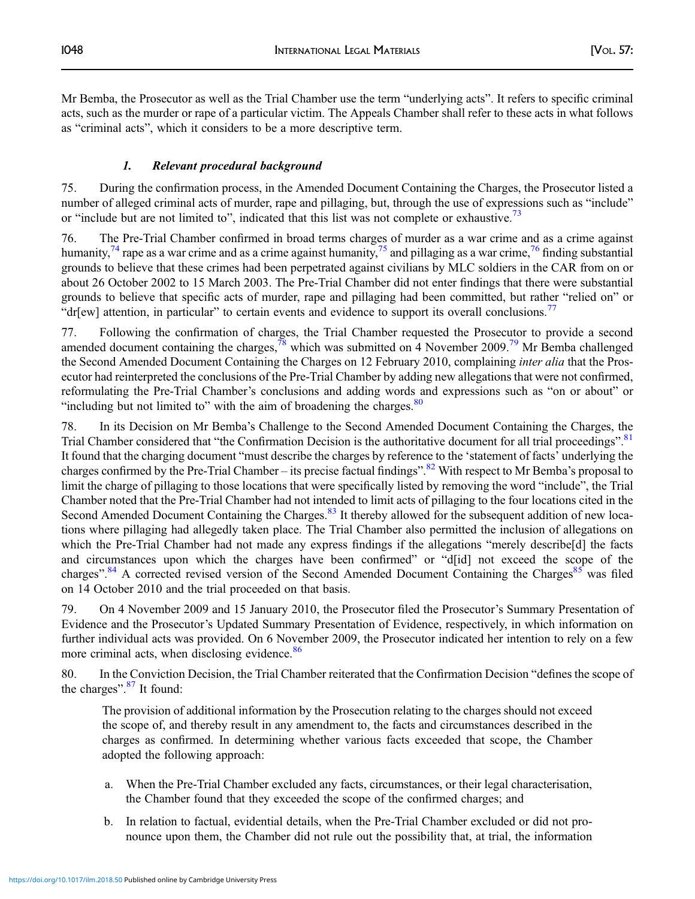Mr Bemba, the Prosecutor as well as the Trial Chamber use the term "underlying acts". It refers to specific criminal acts, such as the murder or rape of a particular victim. The Appeals Chamber shall refer to these acts in what follows as "criminal acts", which it considers to be a more descriptive term.

## 1. Relevant procedural background

75. During the confirmation process, in the Amended Document Containing the Charges, the Prosecutor listed a number of alleged criminal acts of murder, rape and pillaging, but, through the use of expressions such as "include" or "include but are not limited to", indicated that this list was not complete or exhaustive.<sup>[73](#page-43-0)</sup>

76. The Pre-Trial Chamber confirmed in broad terms charges of murder as a war crime and as a crime against humanity,<sup>74</sup> rape as a war crime and as a crime against humanity,<sup>[75](#page-43-0)</sup> and pillaging as a war crime,<sup>[76](#page-43-0)</sup> finding substantial grounds to believe that these crimes had been perpetrated against civilians by MLC soldiers in the CAR from on or about 26 October 2002 to 15 March 2003. The Pre-Trial Chamber did not enter findings that there were substantial grounds to believe that specific acts of murder, rape and pillaging had been committed, but rather "relied on" or "dr[ew] attention, in particular" to certain events and evidence to support its overall conclusions.<sup>[77](#page-43-0)</sup>

77. Following the confirmation of charges, the Trial Chamber requested the Prosecutor to provide a second amended document containing the charges,<sup>78</sup> which was submitted on 4 November 2009.<sup>[79](#page-43-0)</sup> Mr Bemba challenged the Second Amended Document Containing the Charges on 12 February 2010, complaining *inter alia* that the Prosecutor had reinterpreted the conclusions of the Pre-Trial Chamber by adding new allegations that were not confirmed, reformulating the Pre-Trial Chamber's conclusions and adding words and expressions such as "on or about" or "including but not limited to" with the aim of broadening the charges. $80$ 

78. In its Decision on Mr Bemba's Challenge to the Second Amended Document Containing the Charges, the Trial Chamber considered that "the Confirmation Decision is the authoritative document for all trial proceedings".<sup>[81](#page-43-0)</sup> It found that the charging document "must describe the charges by reference to the 'statement of facts' underlying the charges confirmed by the Pre-Trial Chamber – its precise factual findings".<sup>[82](#page-43-0)</sup> With respect to Mr Bemba's proposal to limit the charge of pillaging to those locations that were specifically listed by removing the word "include", the Trial Chamber noted that the Pre-Trial Chamber had not intended to limit acts of pillaging to the four locations cited in the Second Amended Document Containing the Charges.<sup>[83](#page-43-0)</sup> It thereby allowed for the subsequent addition of new locations where pillaging had allegedly taken place. The Trial Chamber also permitted the inclusion of allegations on which the Pre-Trial Chamber had not made any express findings if the allegations "merely describe[d] the facts and circumstances upon which the charges have been confirmed" or "d[id] not exceed the scope of the charges".<sup>[84](#page-43-0)</sup> A corrected revised version of the Second Amended Document Containing the Charges<sup>85</sup> was filed on 14 October 2010 and the trial proceeded on that basis.

79. On 4 November 2009 and 15 January 2010, the Prosecutor filed the Prosecutor's Summary Presentation of Evidence and the Prosecutor's Updated Summary Presentation of Evidence, respectively, in which information on further individual acts was provided. On 6 November 2009, the Prosecutor indicated her intention to rely on a few more criminal acts, when disclosing evidence.<sup>[86](#page-43-0)</sup>

80. In the Conviction Decision, the Trial Chamber reiterated that the Confirmation Decision "defines the scope of the charges".<sup>[87](#page-43-0)</sup> It found:

The provision of additional information by the Prosecution relating to the charges should not exceed the scope of, and thereby result in any amendment to, the facts and circumstances described in the charges as confirmed. In determining whether various facts exceeded that scope, the Chamber adopted the following approach:

- a. When the Pre-Trial Chamber excluded any facts, circumstances, or their legal characterisation, the Chamber found that they exceeded the scope of the confirmed charges; and
- b. In relation to factual, evidential details, when the Pre-Trial Chamber excluded or did not pronounce upon them, the Chamber did not rule out the possibility that, at trial, the information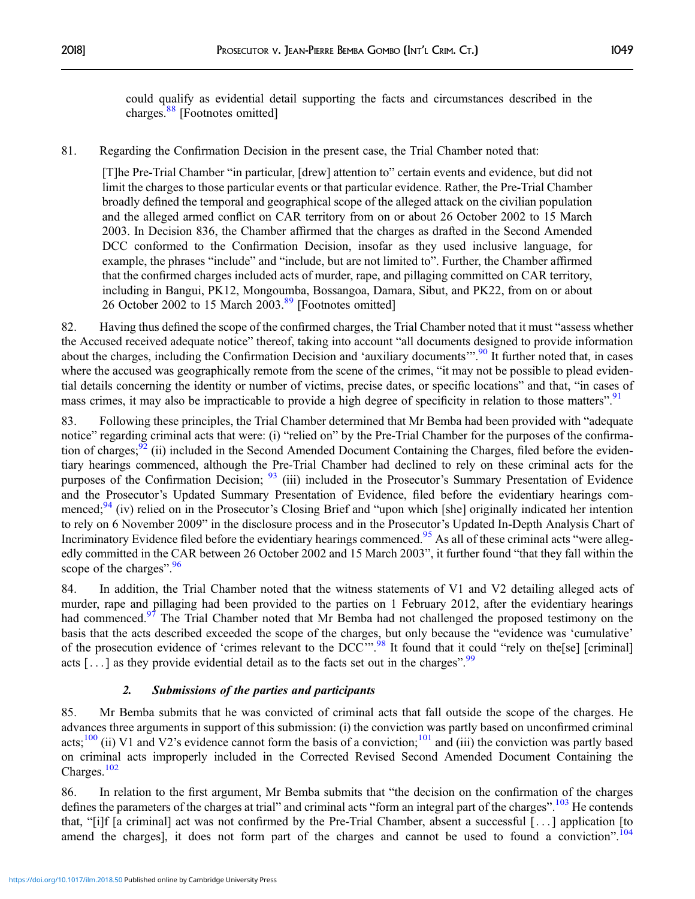could qualify as evidential detail supporting the facts and circumstances described in the charges.<sup>[88](#page-43-0)</sup> [Footnotes omitted]

81. Regarding the Confirmation Decision in the present case, the Trial Chamber noted that:

[T]he Pre-Trial Chamber "in particular, [drew] attention to" certain events and evidence, but did not limit the charges to those particular events or that particular evidence. Rather, the Pre-Trial Chamber broadly defined the temporal and geographical scope of the alleged attack on the civilian population and the alleged armed conflict on CAR territory from on or about 26 October 2002 to 15 March 2003. In Decision 836, the Chamber affirmed that the charges as drafted in the Second Amended DCC conformed to the Confirmation Decision, insofar as they used inclusive language, for example, the phrases "include" and "include, but are not limited to". Further, the Chamber affirmed that the confirmed charges included acts of murder, rape, and pillaging committed on CAR territory, including in Bangui, PK12, Mongoumba, Bossangoa, Damara, Sibut, and PK22, from on or about 26 October 2002 to 15 March 2003.<sup>[89](#page-43-0)</sup> [Footnotes omitted]

82. Having thus defined the scope of the confirmed charges, the Trial Chamber noted that it must "assess whether the Accused received adequate notice" thereof, taking into account "all documents designed to provide information about the charges, including the Confirmation Decision and 'auxiliary documents'".<sup>[90](#page-43-0)</sup> It further noted that, in cases where the accused was geographically remote from the scene of the crimes, "it may not be possible to plead evidential details concerning the identity or number of victims, precise dates, or specific locations" and that, "in cases of mass crimes, it may also be impracticable to provide a high degree of specificity in relation to those matters".<sup>[91](#page-43-0)</sup>

83. Following these principles, the Trial Chamber determined that Mr Bemba had been provided with "adequate notice" regarding criminal acts that were: (i) "relied on" by the Pre-Trial Chamber for the purposes of the confirmation of charges;  $92$  (ii) included in the Second Amended Document Containing the Charges, filed before the evidentiary hearings commenced, although the Pre-Trial Chamber had declined to rely on these criminal acts for the purposes of the Confirmation Decision; <sup>[93](#page-43-0)</sup> (iii) included in the Prosecutor's Summary Presentation of Evidence and the Prosecutor's Updated Summary Presentation of Evidence, filed before the evidentiary hearings com-menced;<sup>[94](#page-43-0)</sup> (iv) relied on in the Prosecutor's Closing Brief and "upon which [she] originally indicated her intention to rely on 6 November 2009" in the disclosure process and in the Prosecutor's Updated In-Depth Analysis Chart of Incriminatory Evidence filed before the evidentiary hearings commenced.<sup>[95](#page-43-0)</sup> As all of these criminal acts "were allegedly committed in the CAR between 26 October 2002 and 15 March 2003", it further found "that they fall within the scope of the charges".<sup>[96](#page-43-0)</sup>

84. In addition, the Trial Chamber noted that the witness statements of V1 and V2 detailing alleged acts of murder, rape and pillaging had been provided to the parties on 1 February 2012, after the evidentiary hearings had commenced.<sup>[97](#page-43-0)</sup> The Trial Chamber noted that Mr Bemba had not challenged the proposed testimony on the basis that the acts described exceeded the scope of the charges, but only because the "evidence was 'cumulative' of the prosecution evidence of 'crimes relevant to the DCC'".<sup>[98](#page-43-0)</sup> It found that it could "rely on the[se] [criminal] acts  $[...]$  as they provide evidential detail as to the facts set out in the charges".<sup>[99](#page-43-0)</sup>

## 2. Submissions of the parties and participants

85. Mr Bemba submits that he was convicted of criminal acts that fall outside the scope of the charges. He advances three arguments in support of this submission: (i) the conviction was partly based on unconfirmed criminal acts;<sup>[100](#page-43-0)</sup> (ii) V1 and V2's evidence cannot form the basis of a conviction;<sup>[101](#page-43-0)</sup> and (iii) the conviction was partly based on criminal acts improperly included in the Corrected Revised Second Amended Document Containing the Charges.<sup>[102](#page-43-0)</sup>

86. In relation to the first argument, Mr Bemba submits that "the decision on the confirmation of the charges defines the parameters of the charges at trial" and criminal acts "form an integral part of the charges".<sup>[103](#page-43-0)</sup> He contends that, "[i]f [a criminal] act was not confirmed by the Pre-Trial Chamber, absent a successful [ . . . ] application [to amend the charges], it does not form part of the charges and cannot be used to found a conviction". <sup>[104](#page-43-0)</sup>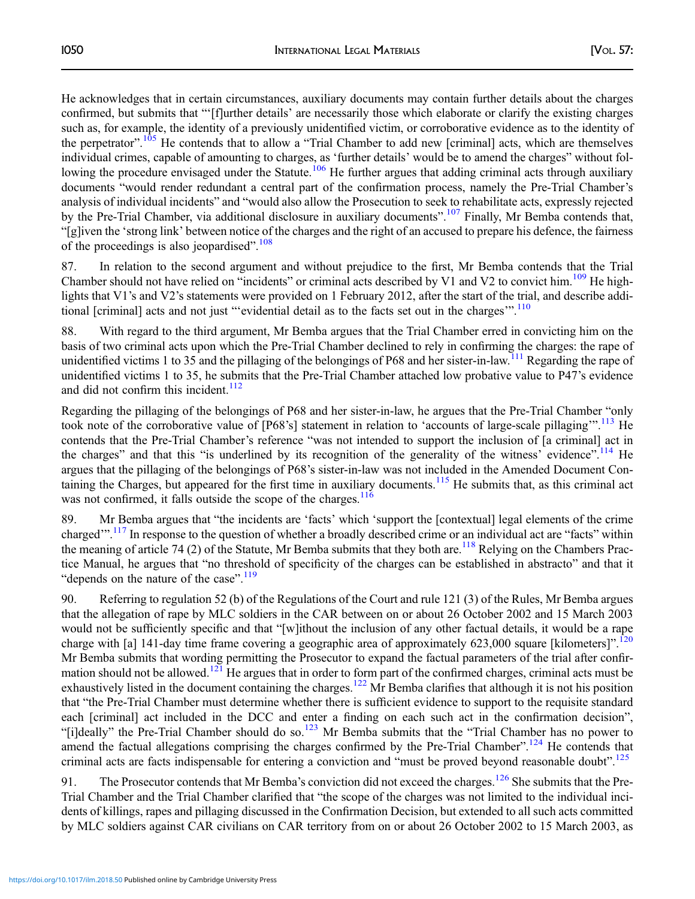He acknowledges that in certain circumstances, auxiliary documents may contain further details about the charges confirmed, but submits that "'[f]urther details' are necessarily those which elaborate or clarify the existing charges such as, for example, the identity of a previously unidentified victim, or corroborative evidence as to the identity of the perpetrator".<sup>[105](#page-43-0)</sup> He contends that to allow a "Trial Chamber to add new [criminal] acts, which are themselves individual crimes, capable of amounting to charges, as 'further details' would be to amend the charges" without fol-lowing the procedure envisaged under the Statute.<sup>[106](#page-43-0)</sup> He further argues that adding criminal acts through auxiliary documents "would render redundant a central part of the confirmation process, namely the Pre-Trial Chamber's analysis of individual incidents" and "would also allow the Prosecution to seek to rehabilitate acts, expressly rejected by the Pre-Trial Chamber, via additional disclosure in auxiliary documents".<sup>[107](#page-43-0)</sup> Finally, Mr Bemba contends that, "[g]iven the 'strong link' between notice of the charges and the right of an accused to prepare his defence, the fairness of the proceedings is also jeopardised".<sup>[108](#page-43-0)</sup>

87. In relation to the second argument and without prejudice to the first, Mr Bemba contends that the Trial Chamber should not have relied on "incidents" or criminal acts described by V1 and V2 to convict him.<sup>[109](#page-43-0)</sup> He highlights that V1's and V2's statements were provided on 1 February 2012, after the start of the trial, and describe addi-tional [criminal] acts and not just "'evidential detail as to the facts set out in the charges".<sup>[110](#page-43-0)</sup>

88. With regard to the third argument, Mr Bemba argues that the Trial Chamber erred in convicting him on the basis of two criminal acts upon which the Pre-Trial Chamber declined to rely in confirming the charges: the rape of unidentified victims 1 to 35 and the pillaging of the belongings of P68 and her sister-in-law.<sup>[111](#page-43-0)</sup> Regarding the rape of unidentified victims 1 to 35, he submits that the Pre-Trial Chamber attached low probative value to P47's evidence and did not confirm this incident.  $\frac{112}{2}$  $\frac{112}{2}$  $\frac{112}{2}$ 

Regarding the pillaging of the belongings of P68 and her sister-in-law, he argues that the Pre-Trial Chamber "only took note of the corroborative value of [P68's] statement in relation to 'accounts of large-scale pillaging".<sup>[113](#page-43-0)</sup> He contends that the Pre-Trial Chamber's reference "was not intended to support the inclusion of [a criminal] act in the charges" and that this "is underlined by its recognition of the generality of the witness' evidence".<sup>[114](#page-43-0)</sup> He argues that the pillaging of the belongings of P68's sister-in-law was not included in the Amended Document Con-taining the Charges, but appeared for the first time in auxiliary documents.<sup>[115](#page-43-0)</sup> He submits that, as this criminal act was not confirmed, it falls outside the scope of the charges. $116$ 

89. Mr Bemba argues that "the incidents are 'facts' which 'support the [contextual] legal elements of the crime charged".<sup>[117](#page-43-0)</sup> In response to the question of whether a broadly described crime or an individual act are "facts" within the meaning of article 74 (2) of the Statute, Mr Bemba submits that they both are.<sup>[118](#page-43-0)</sup> Relying on the Chambers Practice Manual, he argues that "no threshold of specificity of the charges can be established in abstracto" and that it "depends on the nature of the case".<sup>[119](#page-43-0)</sup>

90. Referring to regulation 52 (b) of the Regulations of the Court and rule 121 (3) of the Rules, Mr Bemba argues that the allegation of rape by MLC soldiers in the CAR between on or about 26 October 2002 and 15 March 2003 would not be sufficiently specific and that "[w]ithout the inclusion of any other factual details, it would be a rape charge with [a] 141-day time frame covering a geographic area of approximately 623,000 square [kilometers]".<sup>[120](#page-43-0)</sup> Mr Bemba submits that wording permitting the Prosecutor to expand the factual parameters of the trial after confir-mation should not be allowed.<sup>[121](#page-43-0)</sup> He argues that in order to form part of the confirmed charges, criminal acts must be exhaustively listed in the document containing the charges.<sup>[122](#page-43-0)</sup> Mr Bemba clarifies that although it is not his position that "the Pre-Trial Chamber must determine whether there is sufficient evidence to support to the requisite standard each [criminal] act included in the DCC and enter a finding on each such act in the confirmation decision", "[i]deally" the Pre-Trial Chamber should do so.<sup>123</sup> Mr Bemba submits that the "Trial Chamber has no power to amend the factual allegations comprising the charges confirmed by the Pre-Trial Chamber".<sup>[124](#page-44-0)</sup> He contends that criminal acts are facts indispensable for entering a conviction and "must be proved beyond reasonable doubt".<sup>[125](#page-44-0)</sup>

91. The Prosecutor contends that Mr Bemba's conviction did not exceed the charges.<sup>[126](#page-44-0)</sup> She submits that the Pre-Trial Chamber and the Trial Chamber clarified that "the scope of the charges was not limited to the individual incidents of killings, rapes and pillaging discussed in the Confirmation Decision, but extended to all such acts committed by MLC soldiers against CAR civilians on CAR territory from on or about 26 October 2002 to 15 March 2003, as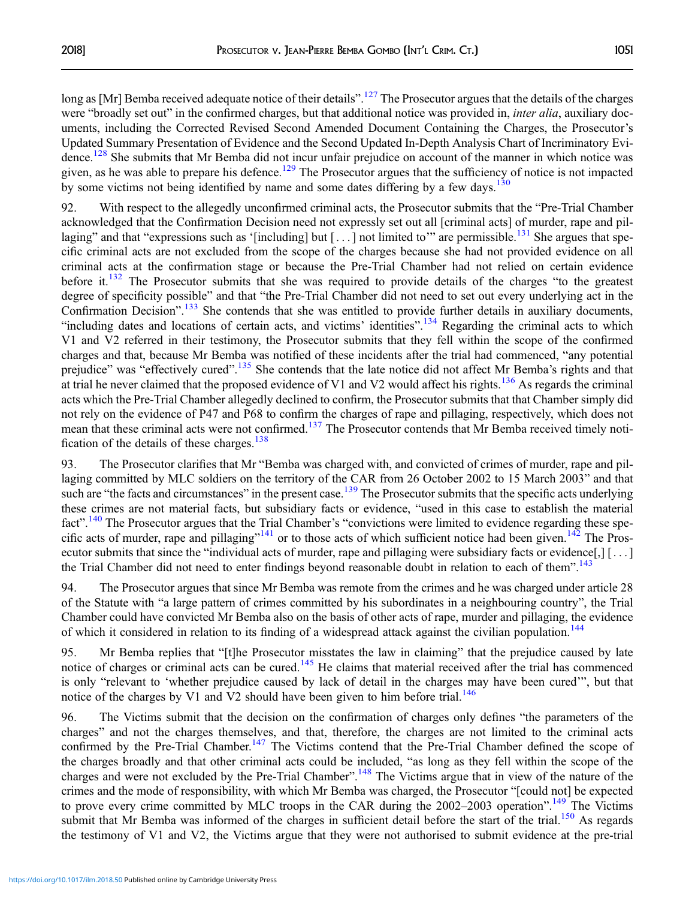long as [Mr] Bemba received adequate notice of their details".<sup>[127](#page-44-0)</sup> The Prosecutor argues that the details of the charges were "broadly set out" in the confirmed charges, but that additional notice was provided in, *inter alia*, auxiliary documents, including the Corrected Revised Second Amended Document Containing the Charges, the Prosecutor's Updated Summary Presentation of Evidence and the Second Updated In-Depth Analysis Chart of Incriminatory Evi-dence.<sup>[128](#page-44-0)</sup> She submits that Mr Bemba did not incur unfair prejudice on account of the manner in which notice was given, as he was able to prepare his defence.<sup>129</sup> The Prosecutor argues that the sufficiency of notice is not impacted by some victims not being identified by name and some dates differing by a few days.<sup>[130](#page-44-0)</sup>

92. With respect to the allegedly unconfirmed criminal acts, the Prosecutor submits that the "Pre-Trial Chamber acknowledged that the Confirmation Decision need not expressly set out all [criminal acts] of murder, rape and pillaging" and that "expressions such as '[including] but  $[...]$  not limited to" are permissible.<sup>[131](#page-44-0)</sup> She argues that specific criminal acts are not excluded from the scope of the charges because she had not provided evidence on all criminal acts at the confirmation stage or because the Pre-Trial Chamber had not relied on certain evidence before it.<sup>[132](#page-44-0)</sup> The Prosecutor submits that she was required to provide details of the charges "to the greatest degree of specificity possible" and that "the Pre-Trial Chamber did not need to set out every underlying act in the Confirmation Decision".<sup>[133](#page-44-0)</sup> She contends that she was entitled to provide further details in auxiliary documents, "including dates and locations of certain acts, and victims' identities".<sup>[134](#page-44-0)</sup> Regarding the criminal acts to which V1 and V2 referred in their testimony, the Prosecutor submits that they fell within the scope of the confirmed charges and that, because Mr Bemba was notified of these incidents after the trial had commenced, "any potential prejudice" was "effectively cured".<sup>[135](#page-44-0)</sup> She contends that the late notice did not affect Mr Bemba's rights and that at trial he never claimed that the proposed evidence of V1 and V2 would affect his rights.<sup>[136](#page-44-0)</sup> As regards the criminal acts which the Pre-Trial Chamber allegedly declined to confirm, the Prosecutor submits that that Chamber simply did not rely on the evidence of P47 and P68 to confirm the charges of rape and pillaging, respectively, which does not mean that these criminal acts were not confirmed.<sup>[137](#page-44-0)</sup> The Prosecutor contends that Mr Bemba received timely notification of the details of these charges. $138$ 

93. The Prosecutor clarifies that Mr "Bemba was charged with, and convicted of crimes of murder, rape and pillaging committed by MLC soldiers on the territory of the CAR from 26 October 2002 to 15 March 2003" and that such are "the facts and circumstances" in the present case.<sup>[139](#page-44-0)</sup> The Prosecutor submits that the specific acts underlying these crimes are not material facts, but subsidiary facts or evidence, "used in this case to establish the material fact".<sup>[140](#page-44-0)</sup> The Prosecutor argues that the Trial Chamber's "convictions were limited to evidence regarding these spe-cific acts of murder, rape and pillaging"<sup>[141](#page-44-0)</sup> or to those acts of which sufficient notice had been given.<sup>[142](#page-44-0)</sup> The Prosecutor submits that since the "individual acts of murder, rape and pillaging were subsidiary facts or evidence[,] [ . . . ] the Trial Chamber did not need to enter findings beyond reasonable doubt in relation to each of them".<sup>[143](#page-44-0)</sup>

94. The Prosecutor argues that since Mr Bemba was remote from the crimes and he was charged under article 28 of the Statute with "a large pattern of crimes committed by his subordinates in a neighbouring country", the Trial Chamber could have convicted Mr Bemba also on the basis of other acts of rape, murder and pillaging, the evidence of which it considered in relation to its finding of a widespread attack against the civilian population.<sup>[144](#page-44-0)</sup>

95. Mr Bemba replies that "[t]he Prosecutor misstates the law in claiming" that the prejudice caused by late notice of charges or criminal acts can be cured.<sup>[145](#page-44-0)</sup> He claims that material received after the trial has commenced is only "relevant to 'whether prejudice caused by lack of detail in the charges may have been cured'", but that notice of the charges by V1 and V2 should have been given to him before trial.<sup>[146](#page-44-0)</sup>

96. The Victims submit that the decision on the confirmation of charges only defines "the parameters of the charges" and not the charges themselves, and that, therefore, the charges are not limited to the criminal acts confirmed by the Pre-Trial Chamber.<sup>[147](#page-44-0)</sup> The Victims contend that the Pre-Trial Chamber defined the scope of the charges broadly and that other criminal acts could be included, "as long as they fell within the scope of the charges and were not excluded by the Pre-Trial Chamber".<sup>[148](#page-44-0)</sup> The Victims argue that in view of the nature of the crimes and the mode of responsibility, with which Mr Bemba was charged, the Prosecutor "[could not] be expected to prove every crime committed by MLC troops in the CAR during the 2002–2003 operation".<sup>[149](#page-44-0)</sup> The Victims submit that Mr Bemba was informed of the charges in sufficient detail before the start of the trial.<sup>[150](#page-44-0)</sup> As regards the testimony of V1 and V2, the Victims argue that they were not authorised to submit evidence at the pre-trial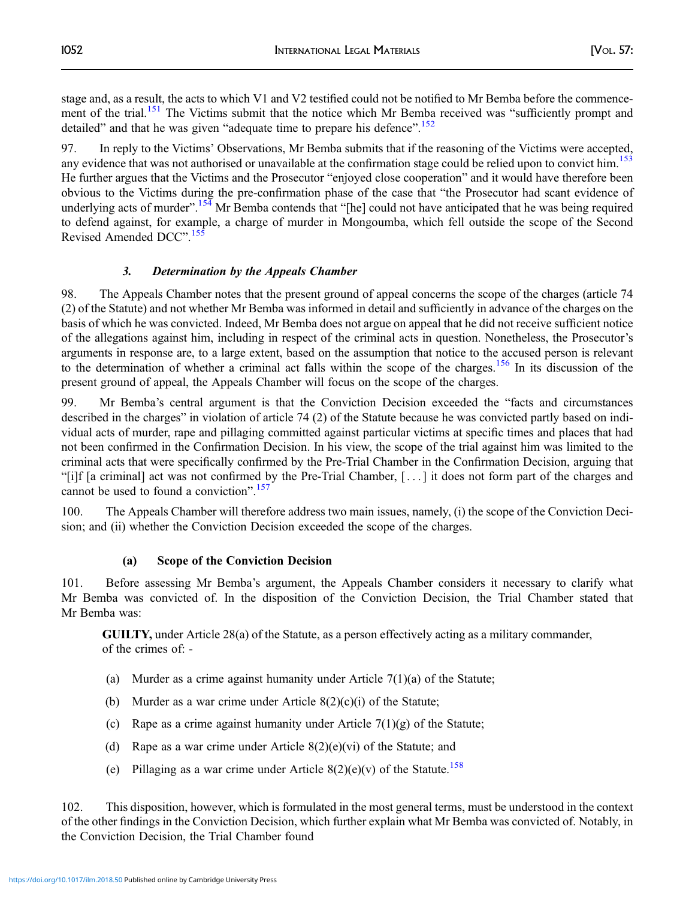stage and, as a result, the acts to which V1 and V2 testified could not be notified to Mr Bemba before the commence-ment of the trial.<sup>[151](#page-44-0)</sup> The Victims submit that the notice which Mr Bemba received was "sufficiently prompt and detailed" and that he was given "adequate time to prepare his defence".<sup>[152](#page-44-0)</sup>

97. In reply to the Victims' Observations, Mr Bemba submits that if the reasoning of the Victims were accepted, any evidence that was not authorised or unavailable at the confirmation stage could be relied upon to convict him.<sup>[153](#page-44-0)</sup> He further argues that the Victims and the Prosecutor "enjoyed close cooperation" and it would have therefore been obvious to the Victims during the pre-confirmation phase of the case that "the Prosecutor had scant evidence of underlying acts of murder".<sup>[154](#page-44-0)</sup> Mr Bemba contends that "[he] could not have anticipated that he was being required to defend against, for example, a charge of murder in Mongoumba, which fell outside the scope of the Second Revised Amended DCC".<sup>[155](#page-44-0)</sup>

## 3. Determination by the Appeals Chamber

98. The Appeals Chamber notes that the present ground of appeal concerns the scope of the charges (article 74 (2) of the Statute) and not whether Mr Bemba was informed in detail and sufficiently in advance of the charges on the basis of which he was convicted. Indeed, Mr Bemba does not argue on appeal that he did not receive sufficient notice of the allegations against him, including in respect of the criminal acts in question. Nonetheless, the Prosecutor's arguments in response are, to a large extent, based on the assumption that notice to the accused person is relevant to the determination of whether a criminal act falls within the scope of the charges.<sup>[156](#page-44-0)</sup> In its discussion of the present ground of appeal, the Appeals Chamber will focus on the scope of the charges.

99. Mr Bemba's central argument is that the Conviction Decision exceeded the "facts and circumstances described in the charges" in violation of article 74 (2) of the Statute because he was convicted partly based on individual acts of murder, rape and pillaging committed against particular victims at specific times and places that had not been confirmed in the Confirmation Decision. In his view, the scope of the trial against him was limited to the criminal acts that were specifically confirmed by the Pre-Trial Chamber in the Confirmation Decision, arguing that "[i]f [a criminal] act was not confirmed by the Pre-Trial Chamber, [ . . . ] it does not form part of the charges and cannot be used to found a conviction". [157](#page-44-0)

100. The Appeals Chamber will therefore address two main issues, namely, (i) the scope of the Conviction Decision; and (ii) whether the Conviction Decision exceeded the scope of the charges.

## (a) Scope of the Conviction Decision

101. Before assessing Mr Bemba's argument, the Appeals Chamber considers it necessary to clarify what Mr Bemba was convicted of. In the disposition of the Conviction Decision, the Trial Chamber stated that Mr Bemba was:

GUILTY, under Article 28(a) of the Statute, as a person effectively acting as a military commander, of the crimes of: -

- (a) Murder as a crime against humanity under Article 7(1)(a) of the Statute;
- (b) Murder as a war crime under Article  $8(2)(c)(i)$  of the Statute;
- (c) Rape as a crime against humanity under Article  $7(1)(g)$  of the Statute;
- (d) Rape as a war crime under Article  $8(2)(e)(vi)$  of the Statute; and
- (e) Pillaging as a war crime under Article  $8(2)(e)(v)$  of the Statute.<sup>[158](#page-44-0)</sup>

102. This disposition, however, which is formulated in the most general terms, must be understood in the context of the other findings in the Conviction Decision, which further explain what Mr Bemba was convicted of. Notably, in the Conviction Decision, the Trial Chamber found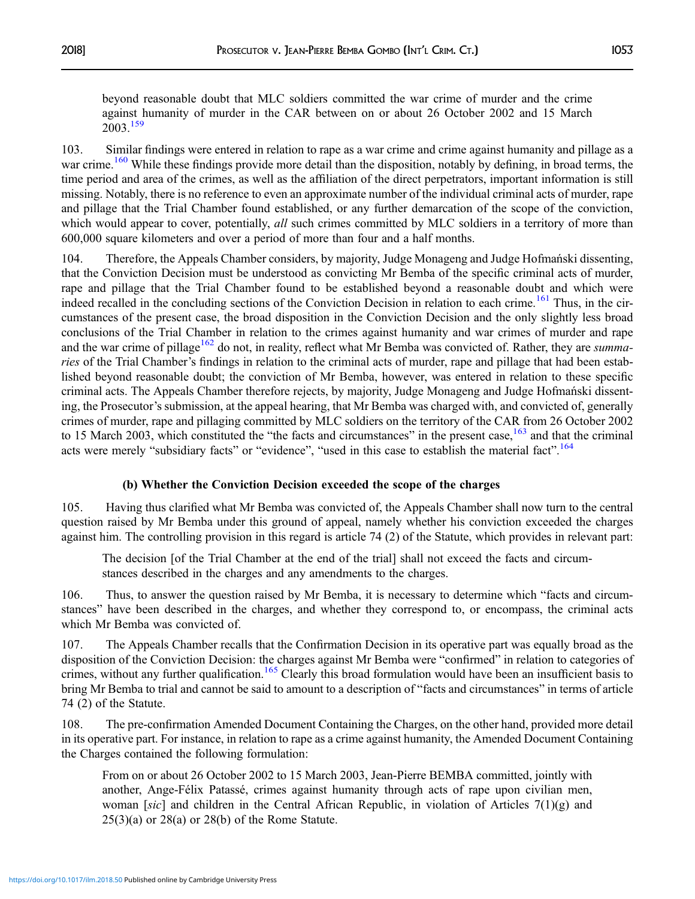beyond reasonable doubt that MLC soldiers committed the war crime of murder and the crime against humanity of murder in the CAR between on or about 26 October 2002 and 15 March 2003.[159](#page-44-0)

103. Similar findings were entered in relation to rape as a war crime and crime against humanity and pillage as a war crime.<sup>[160](#page-44-0)</sup> While these findings provide more detail than the disposition, notably by defining, in broad terms, the time period and area of the crimes, as well as the affiliation of the direct perpetrators, important information is still missing. Notably, there is no reference to even an approximate number of the individual criminal acts of murder, rape and pillage that the Trial Chamber found established, or any further demarcation of the scope of the conviction, which would appear to cover, potentially, *all* such crimes committed by MLC soldiers in a territory of more than 600,000 square kilometers and over a period of more than four and a half months.

104. Therefore, the Appeals Chamber considers, by majority, Judge Monageng and Judge Hofmański dissenting, that the Conviction Decision must be understood as convicting Mr Bemba of the specific criminal acts of murder, rape and pillage that the Trial Chamber found to be established beyond a reasonable doubt and which were indeed recalled in the concluding sections of the Conviction Decision in relation to each crime.<sup>[161](#page-44-0)</sup> Thus, in the circumstances of the present case, the broad disposition in the Conviction Decision and the only slightly less broad conclusions of the Trial Chamber in relation to the crimes against humanity and war crimes of murder and rape and the war crime of pillage<sup>[162](#page-44-0)</sup> do not, in reality, reflect what Mr Bemba was convicted of. Rather, they are summaries of the Trial Chamber's findings in relation to the criminal acts of murder, rape and pillage that had been established beyond reasonable doubt; the conviction of Mr Bemba, however, was entered in relation to these specific criminal acts. The Appeals Chamber therefore rejects, by majority, Judge Monageng and Judge Hofmański dissenting, the Prosecutor's submission, at the appeal hearing, that Mr Bemba was charged with, and convicted of, generally crimes of murder, rape and pillaging committed by MLC soldiers on the territory of the CAR from 26 October 2002 to 15 March 2003, which constituted the "the facts and circumstances" in the present case, $163$  and that the criminal acts were merely "subsidiary facts" or "evidence", "used in this case to establish the material fact".<sup>[164](#page-44-0)</sup>

#### (b) Whether the Conviction Decision exceeded the scope of the charges

105. Having thus clarified what Mr Bemba was convicted of, the Appeals Chamber shall now turn to the central question raised by Mr Bemba under this ground of appeal, namely whether his conviction exceeded the charges against him. The controlling provision in this regard is article 74 (2) of the Statute, which provides in relevant part:

The decision [of the Trial Chamber at the end of the trial] shall not exceed the facts and circumstances described in the charges and any amendments to the charges.

106. Thus, to answer the question raised by Mr Bemba, it is necessary to determine which "facts and circumstances" have been described in the charges, and whether they correspond to, or encompass, the criminal acts which Mr Bemba was convicted of.

107. The Appeals Chamber recalls that the Confirmation Decision in its operative part was equally broad as the disposition of the Conviction Decision: the charges against Mr Bemba were "confirmed" in relation to categories of crimes, without any further qualification.<sup>[165](#page-44-0)</sup> Clearly this broad formulation would have been an insufficient basis to bring Mr Bemba to trial and cannot be said to amount to a description of "facts and circumstances" in terms of article 74 (2) of the Statute.

108. The pre-confirmation Amended Document Containing the Charges, on the other hand, provided more detail in its operative part. For instance, in relation to rape as a crime against humanity, the Amended Document Containing the Charges contained the following formulation:

From on or about 26 October 2002 to 15 March 2003, Jean-Pierre BEMBA committed, jointly with another, Ange-Félix Patassé, crimes against humanity through acts of rape upon civilian men, woman [sic] and children in the Central African Republic, in violation of Articles 7(1)(g) and 25(3)(a) or 28(a) or 28(b) of the Rome Statute.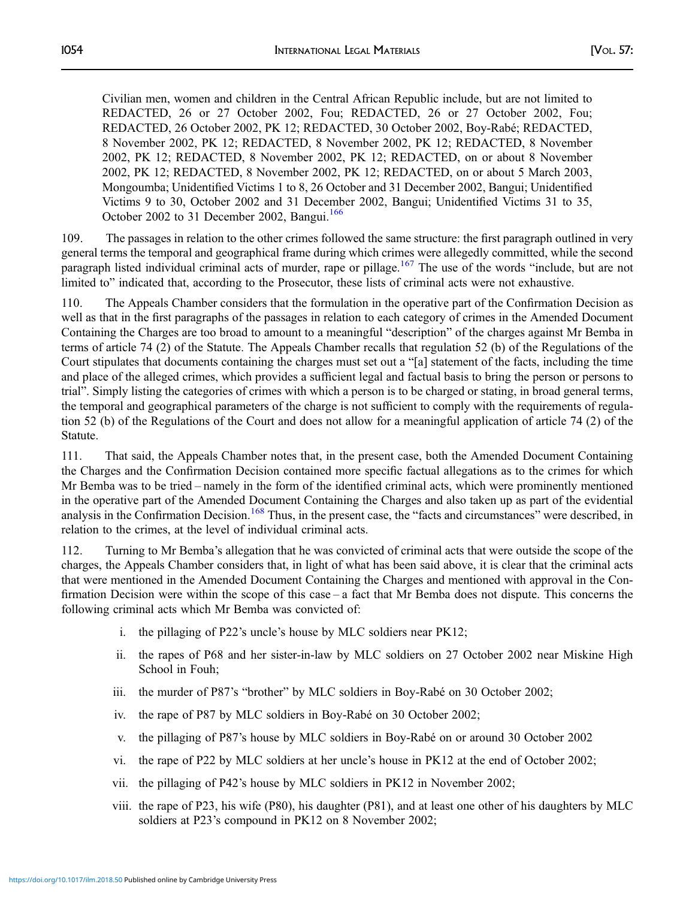Civilian men, women and children in the Central African Republic include, but are not limited to REDACTED, 26 or 27 October 2002, Fou; REDACTED, 26 or 27 October 2002, Fou; REDACTED, 26 October 2002, PK 12; REDACTED, 30 October 2002, Boy-Rabé; REDACTED, 8 November 2002, PK 12; REDACTED, 8 November 2002, PK 12; REDACTED, 8 November 2002, PK 12; REDACTED, 8 November 2002, PK 12; REDACTED, on or about 8 November 2002, PK 12; REDACTED, 8 November 2002, PK 12; REDACTED, on or about 5 March 2003, Mongoumba; Unidentified Victims 1 to 8, 26 October and 31 December 2002, Bangui; Unidentified Victims 9 to 30, October 2002 and 31 December 2002, Bangui; Unidentified Victims 31 to 35, October 2002 to 31 December 2002, Bangui.<sup>[166](#page-44-0)</sup>

109. The passages in relation to the other crimes followed the same structure: the first paragraph outlined in very general terms the temporal and geographical frame during which crimes were allegedly committed, while the second paragraph listed individual criminal acts of murder, rape or pillage.<sup>[167](#page-44-0)</sup> The use of the words "include, but are not limited to" indicated that, according to the Prosecutor, these lists of criminal acts were not exhaustive.

110. The Appeals Chamber considers that the formulation in the operative part of the Confirmation Decision as well as that in the first paragraphs of the passages in relation to each category of crimes in the Amended Document Containing the Charges are too broad to amount to a meaningful "description" of the charges against Mr Bemba in terms of article 74 (2) of the Statute. The Appeals Chamber recalls that regulation 52 (b) of the Regulations of the Court stipulates that documents containing the charges must set out a "[a] statement of the facts, including the time and place of the alleged crimes, which provides a sufficient legal and factual basis to bring the person or persons to trial". Simply listing the categories of crimes with which a person is to be charged or stating, in broad general terms, the temporal and geographical parameters of the charge is not sufficient to comply with the requirements of regulation 52 (b) of the Regulations of the Court and does not allow for a meaningful application of article 74 (2) of the Statute.

111. That said, the Appeals Chamber notes that, in the present case, both the Amended Document Containing the Charges and the Confirmation Decision contained more specific factual allegations as to the crimes for which Mr Bemba was to be tried – namely in the form of the identified criminal acts, which were prominently mentioned in the operative part of the Amended Document Containing the Charges and also taken up as part of the evidential analysis in the Confirmation Decision.<sup>[168](#page-44-0)</sup> Thus, in the present case, the "facts and circumstances" were described, in relation to the crimes, at the level of individual criminal acts.

112. Turning to Mr Bemba's allegation that he was convicted of criminal acts that were outside the scope of the charges, the Appeals Chamber considers that, in light of what has been said above, it is clear that the criminal acts that were mentioned in the Amended Document Containing the Charges and mentioned with approval in the Confirmation Decision were within the scope of this case – a fact that Mr Bemba does not dispute. This concerns the following criminal acts which Mr Bemba was convicted of:

- i. the pillaging of P22's uncle's house by MLC soldiers near PK12;
- ii. the rapes of P68 and her sister-in-law by MLC soldiers on 27 October 2002 near Miskine High School in Fouh;
- iii. the murder of P87's "brother" by MLC soldiers in Boy-Rabé on 30 October 2002;
- iv. the rape of P87 by MLC soldiers in Boy-Rabé on 30 October 2002;
- v. the pillaging of P87's house by MLC soldiers in Boy-Rabé on or around 30 October 2002
- vi. the rape of P22 by MLC soldiers at her uncle's house in PK12 at the end of October 2002;
- vii. the pillaging of P42's house by MLC soldiers in PK12 in November 2002;
- viii. the rape of P23, his wife (P80), his daughter (P81), and at least one other of his daughters by MLC soldiers at P23's compound in PK12 on 8 November 2002;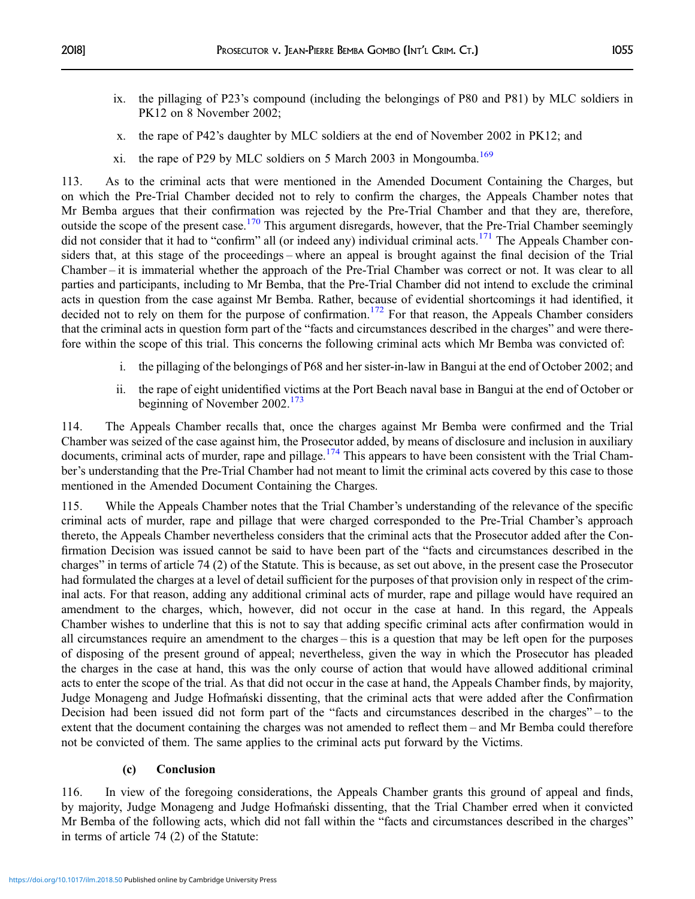- ix. the pillaging of P23's compound (including the belongings of P80 and P81) by MLC soldiers in PK12 on 8 November 2002;
- x. the rape of P42's daughter by MLC soldiers at the end of November 2002 in PK12; and
- xi. the rape of P29 by MLC soldiers on 5 March 2003 in Mongoumba.<sup>[169](#page-44-0)</sup>

113. As to the criminal acts that were mentioned in the Amended Document Containing the Charges, but on which the Pre-Trial Chamber decided not to rely to confirm the charges, the Appeals Chamber notes that Mr Bemba argues that their confirmation was rejected by the Pre-Trial Chamber and that they are, therefore, outside the scope of the present case.<sup>[170](#page-44-0)</sup> This argument disregards, however, that the Pre-Trial Chamber seemingly did not consider that it had to "confirm" all (or indeed any) individual criminal acts.<sup>[171](#page-44-0)</sup> The Appeals Chamber considers that, at this stage of the proceedings – where an appeal is brought against the final decision of the Trial Chamber – it is immaterial whether the approach of the Pre-Trial Chamber was correct or not. It was clear to all parties and participants, including to Mr Bemba, that the Pre-Trial Chamber did not intend to exclude the criminal acts in question from the case against Mr Bemba. Rather, because of evidential shortcomings it had identified, it decided not to rely on them for the purpose of confirmation.<sup>[172](#page-44-0)</sup> For that reason, the Appeals Chamber considers that the criminal acts in question form part of the "facts and circumstances described in the charges" and were therefore within the scope of this trial. This concerns the following criminal acts which Mr Bemba was convicted of:

- i. the pillaging of the belongings of P68 and her sister-in-law in Bangui at the end of October 2002; and
- ii. the rape of eight unidentified victims at the Port Beach naval base in Bangui at the end of October or beginning of November 2002.<sup>[173](#page-44-0)</sup>

114. The Appeals Chamber recalls that, once the charges against Mr Bemba were confirmed and the Trial Chamber was seized of the case against him, the Prosecutor added, by means of disclosure and inclusion in auxiliary documents, criminal acts of murder, rape and pillage.<sup>[174](#page-44-0)</sup> This appears to have been consistent with the Trial Chamber's understanding that the Pre-Trial Chamber had not meant to limit the criminal acts covered by this case to those mentioned in the Amended Document Containing the Charges.

115. While the Appeals Chamber notes that the Trial Chamber's understanding of the relevance of the specific criminal acts of murder, rape and pillage that were charged corresponded to the Pre-Trial Chamber's approach thereto, the Appeals Chamber nevertheless considers that the criminal acts that the Prosecutor added after the Confirmation Decision was issued cannot be said to have been part of the "facts and circumstances described in the charges" in terms of article 74 (2) of the Statute. This is because, as set out above, in the present case the Prosecutor had formulated the charges at a level of detail sufficient for the purposes of that provision only in respect of the criminal acts. For that reason, adding any additional criminal acts of murder, rape and pillage would have required an amendment to the charges, which, however, did not occur in the case at hand. In this regard, the Appeals Chamber wishes to underline that this is not to say that adding specific criminal acts after confirmation would in all circumstances require an amendment to the charges – this is a question that may be left open for the purposes of disposing of the present ground of appeal; nevertheless, given the way in which the Prosecutor has pleaded the charges in the case at hand, this was the only course of action that would have allowed additional criminal acts to enter the scope of the trial. As that did not occur in the case at hand, the Appeals Chamber finds, by majority, Judge Monageng and Judge Hofmański dissenting, that the criminal acts that were added after the Confirmation Decision had been issued did not form part of the "facts and circumstances described in the charges" – to the extent that the document containing the charges was not amended to reflect them – and Mr Bemba could therefore not be convicted of them. The same applies to the criminal acts put forward by the Victims.

## (c) Conclusion

116. In view of the foregoing considerations, the Appeals Chamber grants this ground of appeal and finds, by majority, Judge Monageng and Judge Hofmański dissenting, that the Trial Chamber erred when it convicted Mr Bemba of the following acts, which did not fall within the "facts and circumstances described in the charges" in terms of article 74 (2) of the Statute: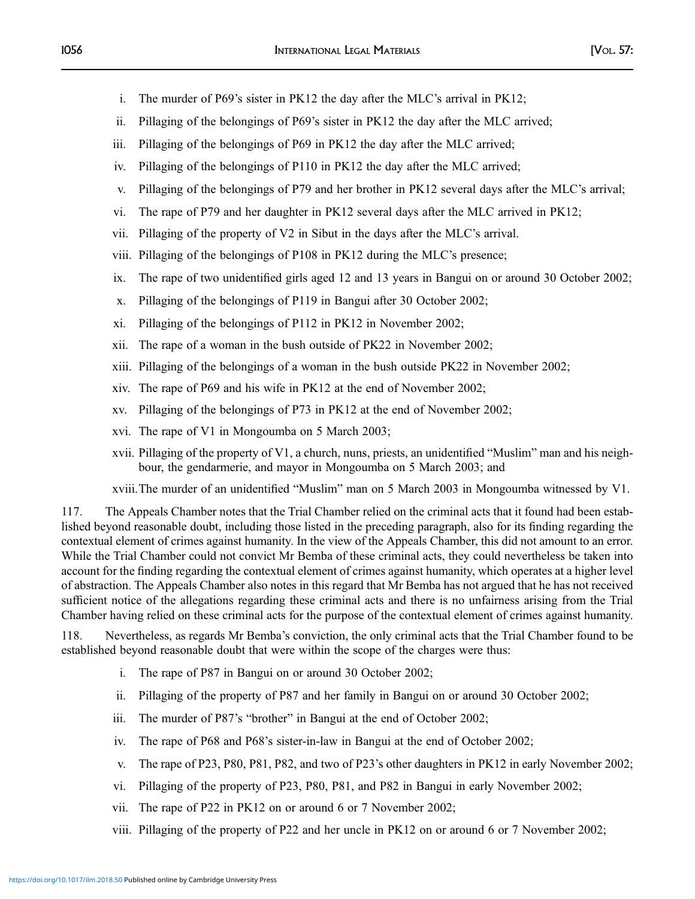- i. The murder of P69's sister in PK12 the day after the MLC's arrival in PK12;
- ii. Pillaging of the belongings of P69's sister in PK12 the day after the MLC arrived;
- iii. Pillaging of the belongings of P69 in PK12 the day after the MLC arrived;
- iv. Pillaging of the belongings of P110 in PK12 the day after the MLC arrived;
- v. Pillaging of the belongings of P79 and her brother in PK12 several days after the MLC's arrival;
- vi. The rape of P79 and her daughter in PK12 several days after the MLC arrived in PK12;
- vii. Pillaging of the property of V2 in Sibut in the days after the MLC's arrival.
- viii. Pillaging of the belongings of P108 in PK12 during the MLC's presence;
- ix. The rape of two unidentified girls aged 12 and 13 years in Bangui on or around 30 October 2002;
- x. Pillaging of the belongings of P119 in Bangui after 30 October 2002;
- xi. Pillaging of the belongings of P112 in PK12 in November 2002;
- xii. The rape of a woman in the bush outside of PK22 in November 2002;
- xiii. Pillaging of the belongings of a woman in the bush outside PK22 in November 2002;
- xiv. The rape of P69 and his wife in PK12 at the end of November 2002;
- xv. Pillaging of the belongings of P73 in PK12 at the end of November 2002;
- xvi. The rape of V1 in Mongoumba on 5 March 2003;
- xvii. Pillaging of the property of V1, a church, nuns, priests, an unidentified "Muslim" man and his neighbour, the gendarmerie, and mayor in Mongoumba on 5 March 2003; and

xviii.The murder of an unidentified "Muslim" man on 5 March 2003 in Mongoumba witnessed by V1.

117. The Appeals Chamber notes that the Trial Chamber relied on the criminal acts that it found had been established beyond reasonable doubt, including those listed in the preceding paragraph, also for its finding regarding the contextual element of crimes against humanity. In the view of the Appeals Chamber, this did not amount to an error. While the Trial Chamber could not convict Mr Bemba of these criminal acts, they could nevertheless be taken into account for the finding regarding the contextual element of crimes against humanity, which operates at a higher level of abstraction. The Appeals Chamber also notes in this regard that Mr Bemba has not argued that he has not received sufficient notice of the allegations regarding these criminal acts and there is no unfairness arising from the Trial Chamber having relied on these criminal acts for the purpose of the contextual element of crimes against humanity.

118. Nevertheless, as regards Mr Bemba's conviction, the only criminal acts that the Trial Chamber found to be established beyond reasonable doubt that were within the scope of the charges were thus:

- i. The rape of P87 in Bangui on or around 30 October 2002;
- ii. Pillaging of the property of P87 and her family in Bangui on or around 30 October 2002;
- iii. The murder of P87's "brother" in Bangui at the end of October 2002;
- iv. The rape of P68 and P68's sister-in-law in Bangui at the end of October 2002;
- v. The rape of P23, P80, P81, P82, and two of P23's other daughters in PK12 in early November 2002;
- vi. Pillaging of the property of P23, P80, P81, and P82 in Bangui in early November 2002;
- vii. The rape of P22 in PK12 on or around 6 or 7 November 2002;
- viii. Pillaging of the property of P22 and her uncle in PK12 on or around 6 or 7 November 2002;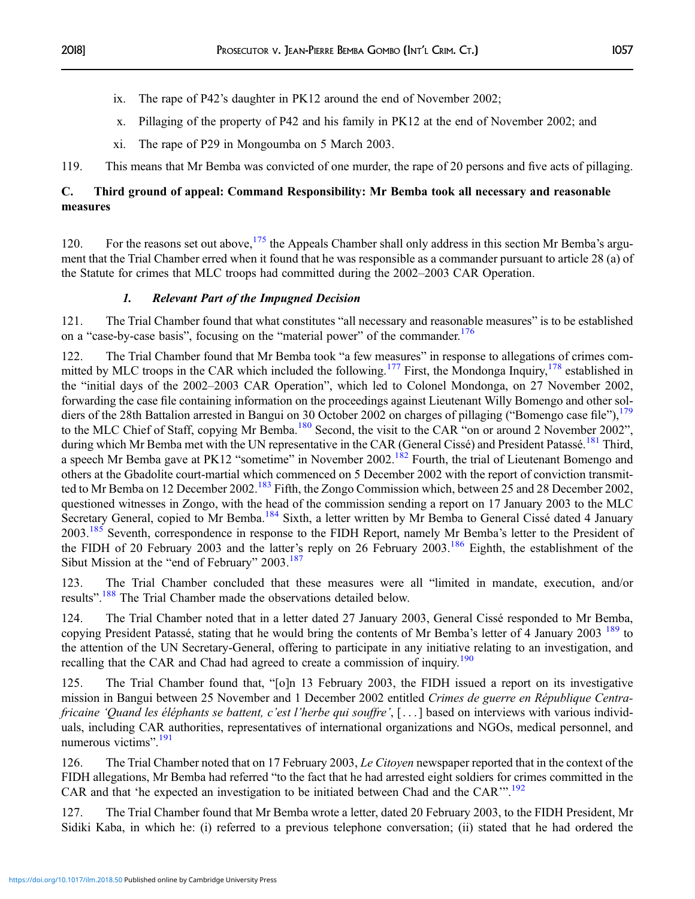- ix. The rape of P42's daughter in PK12 around the end of November 2002;
- x. Pillaging of the property of P42 and his family in PK12 at the end of November 2002; and
- xi. The rape of P29 in Mongoumba on 5 March 2003.

119. This means that Mr Bemba was convicted of one murder, the rape of 20 persons and five acts of pillaging.

## C. Third ground of appeal: Command Responsibility: Mr Bemba took all necessary and reasonable measures

120. For the reasons set out above,  $175$  the Appeals Chamber shall only address in this section Mr Bemba's argument that the Trial Chamber erred when it found that he was responsible as a commander pursuant to article 28 (a) of the Statute for crimes that MLC troops had committed during the 2002–2003 CAR Operation.

## 1. Relevant Part of the Impugned Decision

121. The Trial Chamber found that what constitutes "all necessary and reasonable measures" is to be established on a "case-by-case basis", focusing on the "material power" of the commander.<sup>[176](#page-44-0)</sup>

122. The Trial Chamber found that Mr Bemba took "a few measures" in response to allegations of crimes com-mitted by MLC troops in the CAR which included the following.<sup>[177](#page-44-0)</sup> First, the Mondonga Inquiry,<sup>[178](#page-44-0)</sup> established in the "initial days of the 2002–2003 CAR Operation", which led to Colonel Mondonga, on 27 November 2002, forwarding the case file containing information on the proceedings against Lieutenant Willy Bomengo and other soldiers of the 28th Battalion arrested in Bangui on 30 October 2002 on charges of pillaging ("Bomengo case file"), $^{179}$  $^{179}$  $^{179}$ to the MLC Chief of Staff, copying Mr Bemba.<sup>[180](#page-44-0)</sup> Second, the visit to the CAR "on or around 2 November 2002", during which Mr Bemba met with the UN representative in the CAR (General Cissé) and President Patassé.<sup>[181](#page-44-0)</sup> Third, a speech Mr Bemba gave at PK12 "sometime" in November 2002.<sup>[182](#page-44-0)</sup> Fourth, the trial of Lieutenant Bomengo and others at the Gbadolite court-martial which commenced on 5 December 2002 with the report of conviction transmitted to Mr Bemba on 12 December 2002.<sup>183</sup> Fifth, the Zongo Commission which, between 25 and 28 December 2002, questioned witnesses in Zongo, with the head of the commission sending a report on 17 January 2003 to the MLC Secretary General, copied to Mr Bemba.<sup>[184](#page-44-0)</sup> Sixth, a letter written by Mr Bemba to General Cissé dated 4 January 2003.<sup>[185](#page-44-0)</sup> Seventh, correspondence in response to the FIDH Report, namely Mr Bemba's letter to the President of the FIDH of 20 February 2003 and the latter's reply on 26 February 2003.<sup>[186](#page-44-0)</sup> Eighth, the establishment of the Sibut Mission at the "end of February" 2003.<sup>[187](#page-44-0)</sup>

123. The Trial Chamber concluded that these measures were all "limited in mandate, execution, and/or results".<sup>[188](#page-44-0)</sup> The Trial Chamber made the observations detailed below.

124. The Trial Chamber noted that in a letter dated 27 January 2003, General Cissé responded to Mr Bemba, copying President Patassé, stating that he would bring the contents of Mr Bemba's letter of 4 January 2003 <sup>[189](#page-44-0)</sup> to the attention of the UN Secretary-General, offering to participate in any initiative relating to an investigation, and recalling that the CAR and Chad had agreed to create a commission of inquiry.<sup>[190](#page-44-0)</sup>

125. The Trial Chamber found that, "[o]n 13 February 2003, the FIDH issued a report on its investigative mission in Bangui between 25 November and 1 December 2002 entitled Crimes de guerre en République Centrafricaine 'Quand les éléphants se battent, c'est l'herbe qui souffre', [ . . . ] based on interviews with various individuals, including CAR authorities, representatives of international organizations and NGOs, medical personnel, and numerous victims".<sup>[191](#page-44-0)</sup>

126. The Trial Chamber noted that on 17 February 2003, Le Citoyen newspaper reported that in the context of the FIDH allegations, Mr Bemba had referred "to the fact that he had arrested eight soldiers for crimes committed in the CAR and that 'he expected an investigation to be initiated between Chad and the CAR'". [192](#page-44-0)

127. The Trial Chamber found that Mr Bemba wrote a letter, dated 20 February 2003, to the FIDH President, Mr Sidiki Kaba, in which he: (i) referred to a previous telephone conversation; (ii) stated that he had ordered the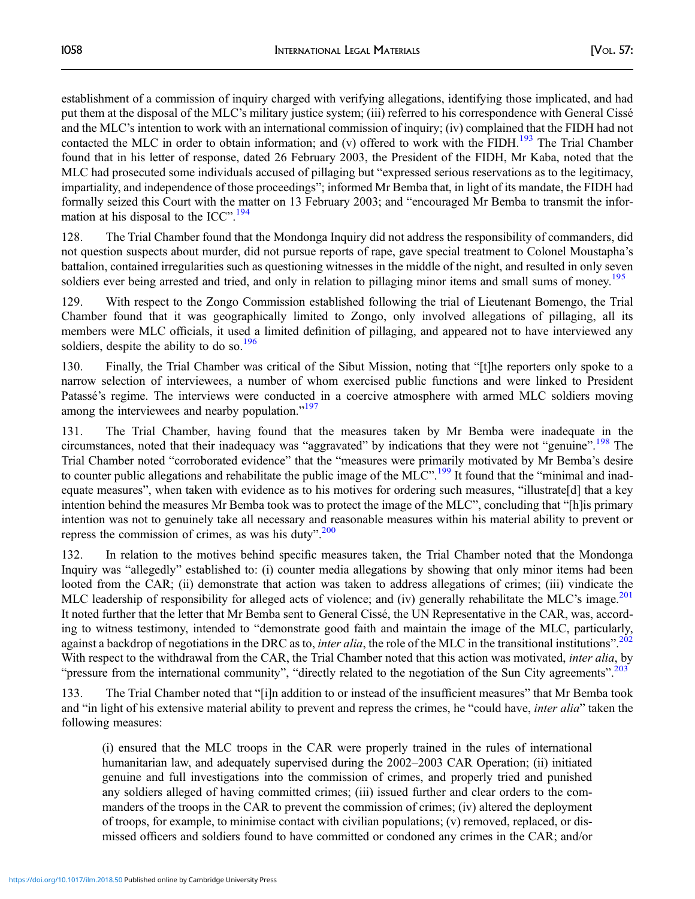establishment of a commission of inquiry charged with verifying allegations, identifying those implicated, and had put them at the disposal of the MLC's military justice system; (iii) referred to his correspondence with General Cissé and the MLC's intention to work with an international commission of inquiry; (iv) complained that the FIDH had not contacted the MLC in order to obtain information; and (v) offered to work with the FIDH.<sup>[193](#page-44-0)</sup> The Trial Chamber found that in his letter of response, dated 26 February 2003, the President of the FIDH, Mr Kaba, noted that the MLC had prosecuted some individuals accused of pillaging but "expressed serious reservations as to the legitimacy, impartiality, and independence of those proceedings"; informed Mr Bemba that, in light of its mandate, the FIDH had formally seized this Court with the matter on 13 February 2003; and "encouraged Mr Bemba to transmit the infor-mation at his disposal to the ICC".<sup>[194](#page-44-0)</sup>

128. The Trial Chamber found that the Mondonga Inquiry did not address the responsibility of commanders, did not question suspects about murder, did not pursue reports of rape, gave special treatment to Colonel Moustapha's battalion, contained irregularities such as questioning witnesses in the middle of the night, and resulted in only seven soldiers ever being arrested and tried, and only in relation to pillaging minor items and small sums of money.<sup>195</sup>

129. With respect to the Zongo Commission established following the trial of Lieutenant Bomengo, the Trial Chamber found that it was geographically limited to Zongo, only involved allegations of pillaging, all its members were MLC officials, it used a limited definition of pillaging, and appeared not to have interviewed any soldiers, despite the ability to do so. $196$ 

130. Finally, the Trial Chamber was critical of the Sibut Mission, noting that "[t]he reporters only spoke to a narrow selection of interviewees, a number of whom exercised public functions and were linked to President Patassé's regime. The interviews were conducted in a coercive atmosphere with armed MLC soldiers moving among the interviewees and nearby population."<sup>[197](#page-44-0)</sup>

131. The Trial Chamber, having found that the measures taken by Mr Bemba were inadequate in the circumstances, noted that their inadequacy was "aggravated" by indications that they were not "genuine".<sup>[198](#page-45-0)</sup> The Trial Chamber noted "corroborated evidence" that the "measures were primarily motivated by Mr Bemba's desire to counter public allegations and rehabilitate the public image of the MLC".<sup>[199](#page-45-0)</sup> It found that the "minimal and inadequate measures", when taken with evidence as to his motives for ordering such measures, "illustrate[d] that a key intention behind the measures Mr Bemba took was to protect the image of the MLC", concluding that "[h]is primary intention was not to genuinely take all necessary and reasonable measures within his material ability to prevent or repress the commission of crimes, as was his duty".<sup>[200](#page-45-0)</sup>

132. In relation to the motives behind specific measures taken, the Trial Chamber noted that the Mondonga Inquiry was "allegedly" established to: (i) counter media allegations by showing that only minor items had been looted from the CAR; (ii) demonstrate that action was taken to address allegations of crimes; (iii) vindicate the MLC leadership of responsibility for alleged acts of violence; and (iv) generally rehabilitate the MLC's image.<sup>[201](#page-45-0)</sup> It noted further that the letter that Mr Bemba sent to General Cissé, the UN Representative in the CAR, was, according to witness testimony, intended to "demonstrate good faith and maintain the image of the MLC, particularly, against a backdrop of negotiations in the DRC as to, *inter alia*, the role of the MLC in the transitional institutions".<sup>[202](#page-45-0)</sup> With respect to the withdrawal from the CAR, the Trial Chamber noted that this action was motivated, *inter alia*, by "pressure from the international community", "directly related to the negotiation of the Sun City agreements".<sup>[203](#page-45-0)</sup>

133. The Trial Chamber noted that "[i]n addition to or instead of the insufficient measures" that Mr Bemba took and "in light of his extensive material ability to prevent and repress the crimes, he "could have, *inter alia*" taken the following measures:

(i) ensured that the MLC troops in the CAR were properly trained in the rules of international humanitarian law, and adequately supervised during the 2002–2003 CAR Operation; (ii) initiated genuine and full investigations into the commission of crimes, and properly tried and punished any soldiers alleged of having committed crimes; (iii) issued further and clear orders to the commanders of the troops in the CAR to prevent the commission of crimes; (iv) altered the deployment of troops, for example, to minimise contact with civilian populations; (v) removed, replaced, or dismissed officers and soldiers found to have committed or condoned any crimes in the CAR; and/or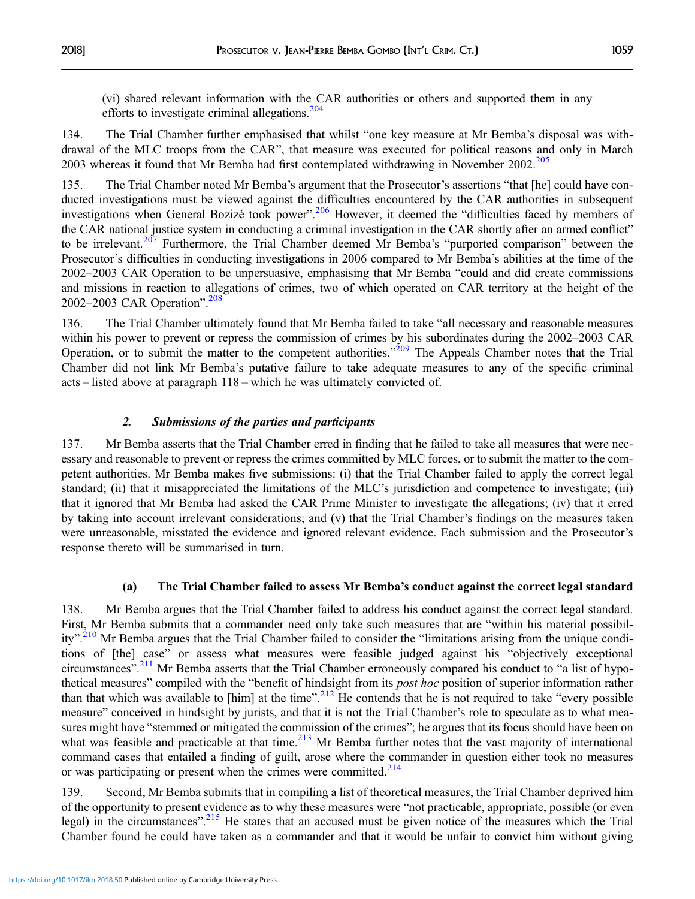(vi) shared relevant information with the CAR authorities or others and supported them in any efforts to investigate criminal allegations.<sup>[204](#page-45-0)</sup>

134. The Trial Chamber further emphasised that whilst "one key measure at Mr Bemba's disposal was withdrawal of the MLC troops from the CAR", that measure was executed for political reasons and only in March 2003 whereas it found that Mr Bemba had first contemplated withdrawing in November 2002.<sup>205</sup>

135. The Trial Chamber noted Mr Bemba's argument that the Prosecutor's assertions "that [he] could have conducted investigations must be viewed against the difficulties encountered by the CAR authorities in subsequent investigations when General Bozizé took power".<sup>[206](#page-45-0)</sup> However, it deemed the "difficulties faced by members of the CAR national justice system in conducting a criminal investigation in the CAR shortly after an armed conflict" to be irrelevant.<sup>[207](#page-45-0)</sup> Furthermore, the Trial Chamber deemed Mr Bemba's "purported comparison" between the Prosecutor's difficulties in conducting investigations in 2006 compared to Mr Bemba's abilities at the time of the 2002–2003 CAR Operation to be unpersuasive, emphasising that Mr Bemba "could and did create commissions and missions in reaction to allegations of crimes, two of which operated on CAR territory at the height of the 2002–2003 CAR Operation". [208](#page-45-0)

136. The Trial Chamber ultimately found that Mr Bemba failed to take "all necessary and reasonable measures within his power to prevent or repress the commission of crimes by his subordinates during the 2002–2003 CAR Operation, or to submit the matter to the competent authorities."<sup>[209](#page-45-0)</sup> The Appeals Chamber notes that the Trial Chamber did not link Mr Bemba's putative failure to take adequate measures to any of the specific criminal acts – listed above at paragraph 118 – which he was ultimately convicted of.

#### 2. Submissions of the parties and participants

137. Mr Bemba asserts that the Trial Chamber erred in finding that he failed to take all measures that were necessary and reasonable to prevent or repress the crimes committed by MLC forces, or to submit the matter to the competent authorities. Mr Bemba makes five submissions: (i) that the Trial Chamber failed to apply the correct legal standard; (ii) that it misappreciated the limitations of the MLC's jurisdiction and competence to investigate; (iii) that it ignored that Mr Bemba had asked the CAR Prime Minister to investigate the allegations; (iv) that it erred by taking into account irrelevant considerations; and (v) that the Trial Chamber's findings on the measures taken were unreasonable, misstated the evidence and ignored relevant evidence. Each submission and the Prosecutor's response thereto will be summarised in turn.

#### (a) The Trial Chamber failed to assess Mr Bemba's conduct against the correct legal standard

138. Mr Bemba argues that the Trial Chamber failed to address his conduct against the correct legal standard. First, Mr Bemba submits that a commander need only take such measures that are "within his material possibil-ity".<sup>[210](#page-45-0)</sup> Mr Bemba argues that the Trial Chamber failed to consider the "limitations arising from the unique conditions of [the] case" or assess what measures were feasible judged against his "objectively exceptional circumstances".<sup>[211](#page-45-0)</sup> Mr Bemba asserts that the Trial Chamber erroneously compared his conduct to "a list of hypothetical measures" compiled with the "benefit of hindsight from its post hoc position of superior information rather than that which was available to [him] at the time".<sup>[212](#page-45-0)</sup> He contends that he is not required to take "every possible measure" conceived in hindsight by jurists, and that it is not the Trial Chamber's role to speculate as to what measures might have "stemmed or mitigated the commission of the crimes"; he argues that its focus should have been on what was feasible and practicable at that time.<sup>[213](#page-45-0)</sup> Mr Bemba further notes that the vast majority of international command cases that entailed a finding of guilt, arose where the commander in question either took no measures or was participating or present when the crimes were committed.<sup>[214](#page-45-0)</sup>

139. Second, Mr Bemba submits that in compiling a list of theoretical measures, the Trial Chamber deprived him of the opportunity to present evidence as to why these measures were "not practicable, appropriate, possible (or even legal) in the circumstances".<sup>[215](#page-45-0)</sup> He states that an accused must be given notice of the measures which the Trial Chamber found he could have taken as a commander and that it would be unfair to convict him without giving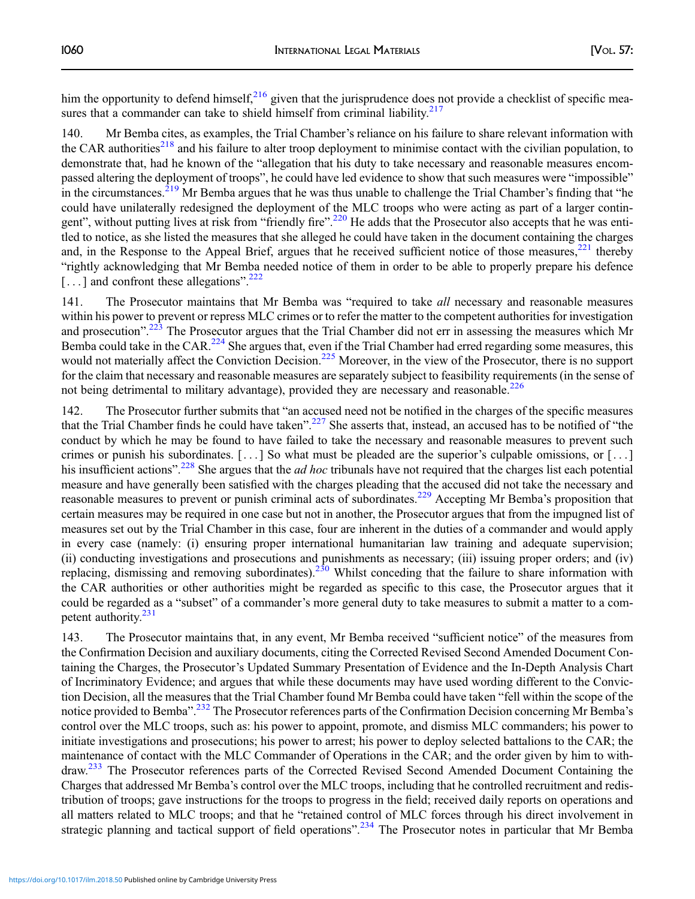him the opportunity to defend himself, $216$  given that the jurisprudence does not provide a checklist of specific mea-sures that a commander can take to shield himself from criminal liability.<sup>[217](#page-45-0)</sup>

140. Mr Bemba cites, as examples, the Trial Chamber's reliance on his failure to share relevant information with the CAR authorities<sup>[218](#page-45-0)</sup> and his failure to alter troop deployment to minimise contact with the civilian population, to demonstrate that, had he known of the "allegation that his duty to take necessary and reasonable measures encompassed altering the deployment of troops", he could have led evidence to show that such measures were "impossible" in the circumstances.<sup>[219](#page-45-0)</sup> Mr Bemba argues that he was thus unable to challenge the Trial Chamber's finding that "he could have unilaterally redesigned the deployment of the MLC troops who were acting as part of a larger contin-gent", without putting lives at risk from "friendly fire".<sup>[220](#page-45-0)</sup> He adds that the Prosecutor also accepts that he was entitled to notice, as she listed the measures that she alleged he could have taken in the document containing the charges and, in the Response to the Appeal Brief, argues that he received sufficient notice of those measures, $221$  thereby "rightly acknowledging that Mr Bemba needed notice of them in order to be able to properly prepare his defence [...] and confront these allegations".<sup>[222](#page-45-0)</sup>

141. The Prosecutor maintains that Mr Bemba was "required to take *all* necessary and reasonable measures within his power to prevent or repress MLC crimes or to refer the matter to the competent authorities for investigation and prosecution".<sup>[223](#page-45-0)</sup> The Prosecutor argues that the Trial Chamber did not err in assessing the measures which Mr Bemba could take in the CAR.<sup>224</sup> She argues that, even if the Trial Chamber had erred regarding some measures, this would not materially affect the Conviction Decision.<sup>[225](#page-45-0)</sup> Moreover, in the view of the Prosecutor, there is no support for the claim that necessary and reasonable measures are separately subject to feasibility requirements (in the sense of not being detrimental to military advantage), provided they are necessary and reasonable.<sup>[226](#page-45-0)</sup>

142. The Prosecutor further submits that "an accused need not be notified in the charges of the specific measures that the Trial Chamber finds he could have taken".<sup>[227](#page-45-0)</sup> She asserts that, instead, an accused has to be notified of "the conduct by which he may be found to have failed to take the necessary and reasonable measures to prevent such crimes or punish his subordinates. [...] So what must be pleaded are the superior's culpable omissions, or [...] his insufficient actions".<sup>[228](#page-45-0)</sup> She argues that the *ad hoc* tribunals have not required that the charges list each potential measure and have generally been satisfied with the charges pleading that the accused did not take the necessary and reasonable measures to prevent or punish criminal acts of subordinates.<sup>[229](#page-45-0)</sup> Accepting Mr Bemba's proposition that certain measures may be required in one case but not in another, the Prosecutor argues that from the impugned list of measures set out by the Trial Chamber in this case, four are inherent in the duties of a commander and would apply in every case (namely: (i) ensuring proper international humanitarian law training and adequate supervision; (ii) conducting investigations and prosecutions and punishments as necessary; (iii) issuing proper orders; and (iv) replacing, dismissing and removing subordinates).<sup>[230](#page-45-0)</sup> Whilst conceding that the failure to share information with the CAR authorities or other authorities might be regarded as specific to this case, the Prosecutor argues that it could be regarded as a "subset" of a commander's more general duty to take measures to submit a matter to a competent authority.<sup>231</sup>

143. The Prosecutor maintains that, in any event, Mr Bemba received "sufficient notice" of the measures from the Confirmation Decision and auxiliary documents, citing the Corrected Revised Second Amended Document Containing the Charges, the Prosecutor's Updated Summary Presentation of Evidence and the In-Depth Analysis Chart of Incriminatory Evidence; and argues that while these documents may have used wording different to the Conviction Decision, all the measures that the Trial Chamber found Mr Bemba could have taken "fell within the scope of the notice provided to Bemba".<sup>[232](#page-45-0)</sup> The Prosecutor references parts of the Confirmation Decision concerning Mr Bemba's control over the MLC troops, such as: his power to appoint, promote, and dismiss MLC commanders; his power to initiate investigations and prosecutions; his power to arrest; his power to deploy selected battalions to the CAR; the maintenance of contact with the MLC Commander of Operations in the CAR; and the order given by him to withdraw.[233](#page-45-0) The Prosecutor references parts of the Corrected Revised Second Amended Document Containing the Charges that addressed Mr Bemba's control over the MLC troops, including that he controlled recruitment and redistribution of troops; gave instructions for the troops to progress in the field; received daily reports on operations and all matters related to MLC troops; and that he "retained control of MLC forces through his direct involvement in strategic planning and tactical support of field operations".<sup>[234](#page-45-0)</sup> The Prosecutor notes in particular that Mr Bemba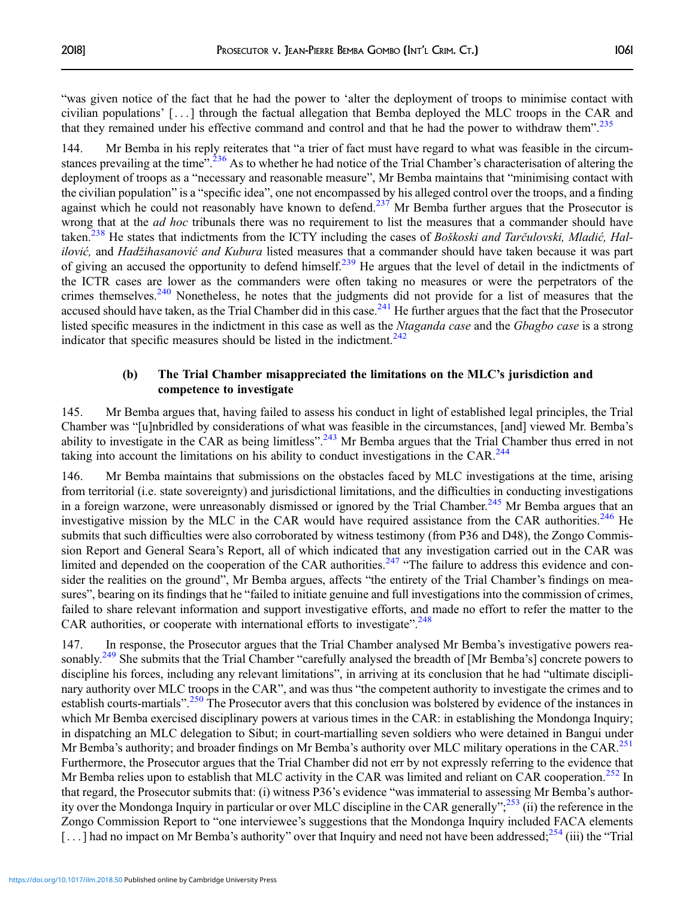"was given notice of the fact that he had the power to 'alter the deployment of troops to minimise contact with civilian populations' [. . . ] through the factual allegation that Bemba deployed the MLC troops in the CAR and that they remained under his effective command and control and that he had the power to withdraw them".<sup>[235](#page-45-0)</sup>

144. Mr Bemba in his reply reiterates that "a trier of fact must have regard to what was feasible in the circum-stances prevailing at the time".<sup>[236](#page-45-0)</sup> As to whether he had notice of the Trial Chamber's characterisation of altering the deployment of troops as a "necessary and reasonable measure", Mr Bemba maintains that "minimising contact with the civilian population" is a "specific idea", one not encompassed by his alleged control over the troops, and a finding against which he could not reasonably have known to defend.<sup>[237](#page-45-0)</sup> Mr Bemba further argues that the Prosecutor is wrong that at the *ad hoc* tribunals there was no requirement to list the measures that a commander should have taken.<sup>238</sup> He states that indictments from the ICTY including the cases of Boškoski and Tarčulovski, Mladić, Halilović, and Hadžihasanović and Kubura listed measures that a commander should have taken because it was part of giving an accused the opportunity to defend himself.<sup>[239](#page-45-0)</sup> He argues that the level of detail in the indictments of the ICTR cases are lower as the commanders were often taking no measures or were the perpetrators of the crimes themselves.<sup>[240](#page-45-0)</sup> Nonetheless, he notes that the judgments did not provide for a list of measures that the accused should have taken, as the Trial Chamber did in this case. $^{241}$  $^{241}$  $^{241}$  He further argues that the fact that the Prosecutor listed specific measures in the indictment in this case as well as the Ntaganda case and the Gbagbo case is a strong indicator that specific measures should be listed in the indictment. $242$ 

## (b) The Trial Chamber misappreciated the limitations on the MLC's jurisdiction and competence to investigate

145. Mr Bemba argues that, having failed to assess his conduct in light of established legal principles, the Trial Chamber was "[u]nbridled by considerations of what was feasible in the circumstances, [and] viewed Mr. Bemba's ability to investigate in the CAR as being limitless".<sup>[243](#page-45-0)</sup> Mr Bemba argues that the Trial Chamber thus erred in not taking into account the limitations on his ability to conduct investigations in the CAR. $^{244}$  $^{244}$  $^{244}$ 

146. Mr Bemba maintains that submissions on the obstacles faced by MLC investigations at the time, arising from territorial (i.e. state sovereignty) and jurisdictional limitations, and the difficulties in conducting investigations in a foreign warzone, were unreasonably dismissed or ignored by the Trial Chamber.<sup>[245](#page-45-0)</sup> Mr Bemba argues that an investigative mission by the MLC in the CAR would have required assistance from the CAR authorities.<sup>[246](#page-45-0)</sup> He submits that such difficulties were also corroborated by witness testimony (from P36 and D48), the Zongo Commission Report and General Seara's Report, all of which indicated that any investigation carried out in the CAR was limited and depended on the cooperation of the CAR authorities.<sup>[247](#page-45-0)</sup> "The failure to address this evidence and consider the realities on the ground", Mr Bemba argues, affects "the entirety of the Trial Chamber's findings on measures", bearing on its findings that he "failed to initiate genuine and full investigations into the commission of crimes, failed to share relevant information and support investigative efforts, and made no effort to refer the matter to the CAR authorities, or cooperate with international efforts to investigate".<sup>[248](#page-45-0)</sup>

147. In response, the Prosecutor argues that the Trial Chamber analysed Mr Bemba's investigative powers reasonably.<sup>249</sup> She submits that the Trial Chamber "carefully analysed the breadth of [Mr Bemba's] concrete powers to discipline his forces, including any relevant limitations", in arriving at its conclusion that he had "ultimate disciplinary authority over MLC troops in the CAR", and was thus "the competent authority to investigate the crimes and to establish courts-martials".<sup>[250](#page-45-0)</sup> The Prosecutor avers that this conclusion was bolstered by evidence of the instances in which Mr Bemba exercised disciplinary powers at various times in the CAR: in establishing the Mondonga Inquiry; in dispatching an MLC delegation to Sibut; in court-martialling seven soldiers who were detained in Bangui under Mr Bemba's authority; and broader findings on Mr Bemba's authority over MLC military operations in the CAR.<sup>[251](#page-45-0)</sup> Furthermore, the Prosecutor argues that the Trial Chamber did not err by not expressly referring to the evidence that Mr Bemba relies upon to establish that MLC activity in the CAR was limited and reliant on CAR cooperation.<sup>[252](#page-45-0)</sup> In that regard, the Prosecutor submits that: (i) witness P36's evidence "was immaterial to assessing Mr Bemba's author-ity over the Mondonga Inquiry in particular or over MLC discipline in the CAR generally";<sup>[253](#page-45-0)</sup> (ii) the reference in the Zongo Commission Report to "one interviewee's suggestions that the Mondonga Inquiry included FACA elements [...] had no impact on Mr Bemba's authority" over that Inquiry and need not have been addressed;  $^{254}$  $^{254}$  $^{254}$  (iii) the "Trial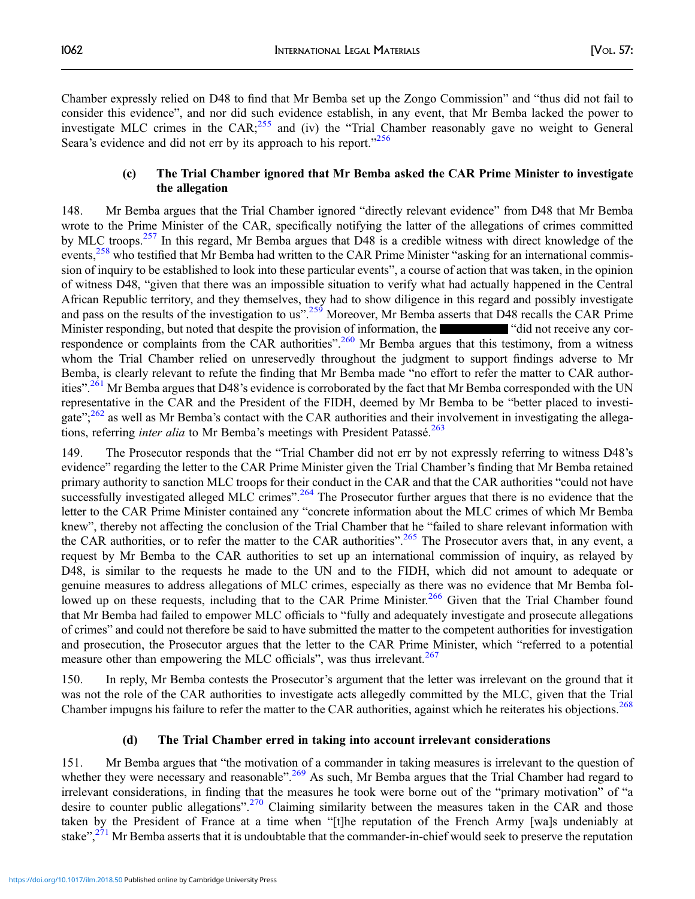Chamber expressly relied on D48 to find that Mr Bemba set up the Zongo Commission" and "thus did not fail to consider this evidence", and nor did such evidence establish, in any event, that Mr Bemba lacked the power to investigate MLC crimes in the  $CAR<sup>255</sup>$  $CAR<sup>255</sup>$  $CAR<sup>255</sup>$  and (iv) the "Trial Chamber reasonably gave no weight to General Seara's evidence and did not err by its approach to his report."[256](#page-45-0)

## (c) The Trial Chamber ignored that Mr Bemba asked the CAR Prime Minister to investigate the allegation

148. Mr Bemba argues that the Trial Chamber ignored "directly relevant evidence" from D48 that Mr Bemba wrote to the Prime Minister of the CAR, specifically notifying the latter of the allegations of crimes committed by MLC troops.<sup>257</sup> In this regard, Mr Bemba argues that D48 is a credible witness with direct knowledge of the events,<sup>[258](#page-45-0)</sup> who testified that Mr Bemba had written to the CAR Prime Minister "asking for an international commission of inquiry to be established to look into these particular events", a course of action that was taken, in the opinion of witness D48, "given that there was an impossible situation to verify what had actually happened in the Central African Republic territory, and they themselves, they had to show diligence in this regard and possibly investigate and pass on the results of the investigation to us".<sup>[259](#page-45-0)</sup> Moreover, Mr Bemba asserts that D48 recalls the CAR Prime Minister responding, but noted that despite the provision of information, the "did not receive any cor-respondence or complaints from the CAR authorities".<sup>[260](#page-45-0)</sup> Mr Bemba argues that this testimony, from a witness whom the Trial Chamber relied on unreservedly throughout the judgment to support findings adverse to Mr Bemba, is clearly relevant to refute the finding that Mr Bemba made "no effort to refer the matter to CAR author-ities".<sup>[261](#page-45-0)</sup> Mr Bemba argues that D48's evidence is corroborated by the fact that Mr Bemba corresponded with the UN representative in the CAR and the President of the FIDH, deemed by Mr Bemba to be "better placed to investi-gate";<sup>[262](#page-45-0)</sup> as well as Mr Bemba's contact with the CAR authorities and their involvement in investigating the allega-tions, referring inter alia to Mr Bemba's meetings with President Patassé.<sup>[263](#page-45-0)</sup>

149. The Prosecutor responds that the "Trial Chamber did not err by not expressly referring to witness D48's evidence" regarding the letter to the CAR Prime Minister given the Trial Chamber's finding that Mr Bemba retained primary authority to sanction MLC troops for their conduct in the CAR and that the CAR authorities "could not have successfully investigated alleged MLC crimes".<sup>[264](#page-45-0)</sup> The Prosecutor further argues that there is no evidence that the letter to the CAR Prime Minister contained any "concrete information about the MLC crimes of which Mr Bemba knew", thereby not affecting the conclusion of the Trial Chamber that he "failed to share relevant information with the CAR authorities, or to refer the matter to the CAR authorities".<sup>[265](#page-45-0)</sup> The Prosecutor avers that, in any event, a request by Mr Bemba to the CAR authorities to set up an international commission of inquiry, as relayed by D48, is similar to the requests he made to the UN and to the FIDH, which did not amount to adequate or genuine measures to address allegations of MLC crimes, especially as there was no evidence that Mr Bemba fol-lowed up on these requests, including that to the CAR Prime Minister.<sup>[266](#page-46-0)</sup> Given that the Trial Chamber found that Mr Bemba had failed to empower MLC officials to "fully and adequately investigate and prosecute allegations of crimes" and could not therefore be said to have submitted the matter to the competent authorities for investigation and prosecution, the Prosecutor argues that the letter to the CAR Prime Minister, which "referred to a potential measure other than empowering the MLC officials", was thus irrelevant.<sup>[267](#page-46-0)</sup>

150. In reply, Mr Bemba contests the Prosecutor's argument that the letter was irrelevant on the ground that it was not the role of the CAR authorities to investigate acts allegedly committed by the MLC, given that the Trial Chamber impugns his failure to refer the matter to the CAR authorities, against which he reiterates his objections.<sup>[268](#page-46-0)</sup>

## (d) The Trial Chamber erred in taking into account irrelevant considerations

151. Mr Bemba argues that "the motivation of a commander in taking measures is irrelevant to the question of whether they were necessary and reasonable".<sup>[269](#page-46-0)</sup> As such, Mr Bemba argues that the Trial Chamber had regard to irrelevant considerations, in finding that the measures he took were borne out of the "primary motivation" of "a desire to counter public allegations".<sup>[270](#page-46-0)</sup> Claiming similarity between the measures taken in the CAR and those taken by the President of France at a time when "[t]he reputation of the French Army [wa]s undeniably at stake",<sup>[271](#page-46-0)</sup> Mr Bemba asserts that it is undoubtable that the commander-in-chief would seek to preserve the reputation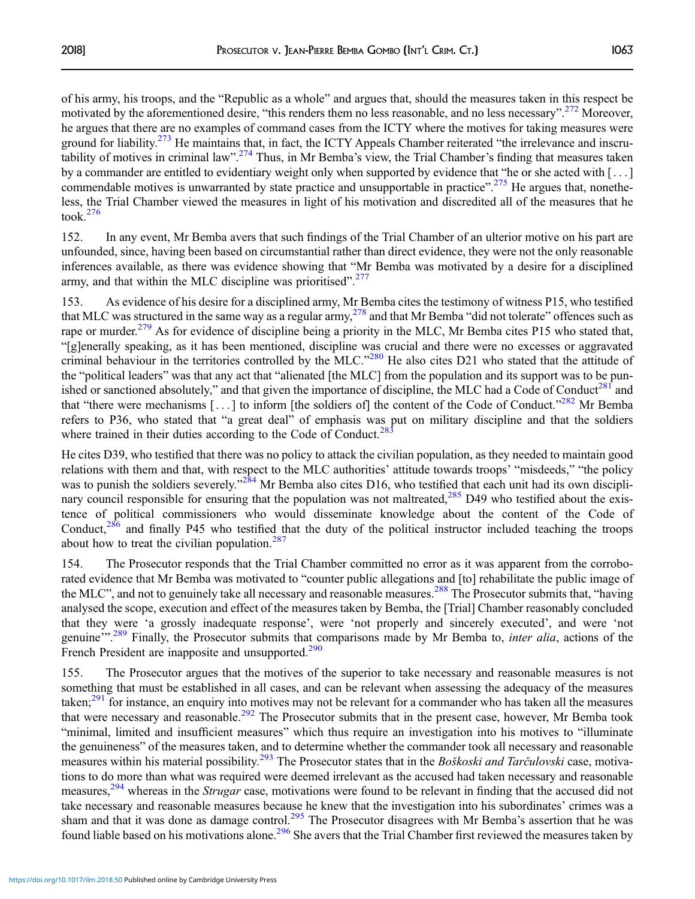of his army, his troops, and the "Republic as a whole" and argues that, should the measures taken in this respect be motivated by the aforementioned desire, "this renders them no less reasonable, and no less necessary".<sup>[272](#page-46-0)</sup> Moreover, he argues that there are no examples of command cases from the ICTY where the motives for taking measures were ground for liability.<sup>[273](#page-46-0)</sup> He maintains that, in fact, the ICTY Appeals Chamber reiterated "the irrelevance and inscru-tability of motives in criminal law".<sup>[274](#page-46-0)</sup> Thus, in Mr Bemba's view, the Trial Chamber's finding that measures taken by a commander are entitled to evidentiary weight only when supported by evidence that "he or she acted with [ . . . ] commendable motives is unwarranted by state practice and unsupportable in practice".<sup>[275](#page-46-0)</sup> He argues that, nonetheless, the Trial Chamber viewed the measures in light of his motivation and discredited all of the measures that he took. $276$ 

152. In any event, Mr Bemba avers that such findings of the Trial Chamber of an ulterior motive on his part are unfounded, since, having been based on circumstantial rather than direct evidence, they were not the only reasonable inferences available, as there was evidence showing that "Mr Bemba was motivated by a desire for a disciplined army, and that within the MLC discipline was prioritised".<sup>[277](#page-46-0)</sup>

153. As evidence of his desire for a disciplined army, Mr Bemba cites the testimony of witness P15, who testified that MLC was structured in the same way as a regular army,<sup>[278](#page-46-0)</sup> and that Mr Bemba "did not tolerate" offences such as rape or murder.<sup>[279](#page-46-0)</sup> As for evidence of discipline being a priority in the MLC, Mr Bemba cites P15 who stated that, "[g]enerally speaking, as it has been mentioned, discipline was crucial and there were no excesses or aggravated criminal behaviour in the territories controlled by the MLC."<sup>[280](#page-46-0)</sup> He also cites D21 who stated that the attitude of the "political leaders" was that any act that "alienated [the MLC] from the population and its support was to be punished or sanctioned absolutely," and that given the importance of discipline, the MLC had a Code of Conduct<sup>281</sup> and that "there were mechanisms [...] to inform [the soldiers of] the content of the Code of Conduct."<sup>[282](#page-46-0)</sup> Mr Bemba refers to P36, who stated that "a great deal" of emphasis was put on military discipline and that the soldiers where trained in their duties according to the Code of Conduct.<sup>[283](#page-46-0)</sup>

He cites D39, who testified that there was no policy to attack the civilian population, as they needed to maintain good relations with them and that, with respect to the MLC authorities' attitude towards troops' "misdeeds," "the policy was to punish the soldiers severely."<sup>[284](#page-46-0)</sup> Mr Bemba also cites D16, who testified that each unit had its own disciplinary council responsible for ensuring that the population was not maltreated, $^{285}$  $^{285}$  $^{285}$  D49 who testified about the existence of political commissioners who would disseminate knowledge about the content of the Code of Conduct, $^{286}$  $^{286}$  $^{286}$  and finally P45 who testified that the duty of the political instructor included teaching the troops about how to treat the civilian population. $287$ 

154. The Prosecutor responds that the Trial Chamber committed no error as it was apparent from the corroborated evidence that Mr Bemba was motivated to "counter public allegations and [to] rehabilitate the public image of the MLC", and not to genuinely take all necessary and reasonable measures.<sup>[288](#page-46-0)</sup> The Prosecutor submits that, "having analysed the scope, execution and effect of the measures taken by Bemba, the [Trial] Chamber reasonably concluded that they were 'a grossly inadequate response', were 'not properly and sincerely executed', and were 'not genuine".<sup>[289](#page-46-0)</sup> Finally, the Prosecutor submits that comparisons made by Mr Bemba to, *inter alia*, actions of the French President are inapposite and unsupported.<sup>[290](#page-46-0)</sup>

155. The Prosecutor argues that the motives of the superior to take necessary and reasonable measures is not something that must be established in all cases, and can be relevant when assessing the adequacy of the measures taken;<sup>[291](#page-46-0)</sup> for instance, an enquiry into motives may not be relevant for a commander who has taken all the measures that were necessary and reasonable.<sup>[292](#page-46-0)</sup> The Prosecutor submits that in the present case, however, Mr Bemba took "minimal, limited and insufficient measures" which thus require an investigation into his motives to "illuminate the genuineness" of the measures taken, and to determine whether the commander took all necessary and reasonable measures within his material possibility.<sup>[293](#page-46-0)</sup> The Prosecutor states that in the Boškoski and Tarčulovski case, motivations to do more than what was required were deemed irrelevant as the accused had taken necessary and reasonable measures,<sup>294</sup> whereas in the *Strugar* case, motivations were found to be relevant in finding that the accused did not take necessary and reasonable measures because he knew that the investigation into his subordinates' crimes was a sham and that it was done as damage control.<sup>[295](#page-46-0)</sup> The Prosecutor disagrees with Mr Bemba's assertion that he was found liable based on his motivations alone.<sup>[296](#page-46-0)</sup> She avers that the Trial Chamber first reviewed the measures taken by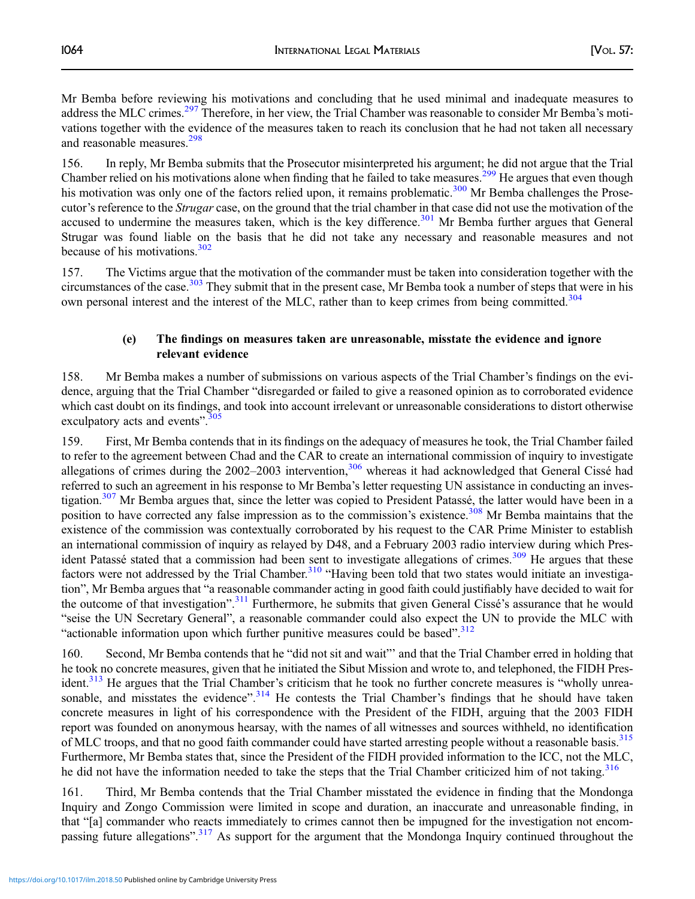Mr Bemba before reviewing his motivations and concluding that he used minimal and inadequate measures to address the MLC crimes.<sup>[297](#page-46-0)</sup> Therefore, in her view, the Trial Chamber was reasonable to consider Mr Bemba's motivations together with the evidence of the measures taken to reach its conclusion that he had not taken all necessary and reasonable measures.<sup>[298](#page-46-0)</sup>

156. In reply, Mr Bemba submits that the Prosecutor misinterpreted his argument; he did not argue that the Trial Chamber relied on his motivations alone when finding that he failed to take measures.<sup>[299](#page-46-0)</sup> He argues that even though his motivation was only one of the factors relied upon, it remains problematic.<sup>[300](#page-46-0)</sup> Mr Bemba challenges the Prosecutor's reference to the Strugar case, on the ground that the trial chamber in that case did not use the motivation of the accused to undermine the measures taken, which is the key difference.<sup>[301](#page-46-0)</sup> Mr Bemba further argues that General Strugar was found liable on the basis that he did not take any necessary and reasonable measures and not because of his motivations.[302](#page-46-0)

157. The Victims argue that the motivation of the commander must be taken into consideration together with the circumstances of the case.<sup>[303](#page-46-0)</sup> They submit that in the present case, Mr Bemba took a number of steps that were in his own personal interest and the interest of the MLC, rather than to keep crimes from being committed.<sup>[304](#page-46-0)</sup>

## (e) The findings on measures taken are unreasonable, misstate the evidence and ignore relevant evidence

158. Mr Bemba makes a number of submissions on various aspects of the Trial Chamber's findings on the evidence, arguing that the Trial Chamber "disregarded or failed to give a reasoned opinion as to corroborated evidence which cast doubt on its findings, and took into account irrelevant or unreasonable considerations to distort otherwise exculpatory acts and events".<sup>[305](#page-46-0)</sup>

159. First, Mr Bemba contends that in its findings on the adequacy of measures he took, the Trial Chamber failed to refer to the agreement between Chad and the CAR to create an international commission of inquiry to investigate allegations of crimes during the 2002–2003 intervention,<sup>[306](#page-46-0)</sup> whereas it had acknowledged that General Cissé had referred to such an agreement in his response to Mr Bemba's letter requesting UN assistance in conducting an investigation.[307](#page-46-0) Mr Bemba argues that, since the letter was copied to President Patassé, the latter would have been in a position to have corrected any false impression as to the commission's existence.<sup>[308](#page-46-0)</sup> Mr Bemba maintains that the existence of the commission was contextually corroborated by his request to the CAR Prime Minister to establish an international commission of inquiry as relayed by D48, and a February 2003 radio interview during which Pres-ident Patassé stated that a commission had been sent to investigate allegations of crimes.<sup>[309](#page-46-0)</sup> He argues that these factors were not addressed by the Trial Chamber.<sup>310</sup> "Having been told that two states would initiate an investigation", Mr Bemba argues that "a reasonable commander acting in good faith could justifiably have decided to wait for the outcome of that investigation".<sup>[311](#page-46-0)</sup> Furthermore, he submits that given General Cissé's assurance that he would "seise the UN Secretary General", a reasonable commander could also expect the UN to provide the MLC with "actionable information upon which further punitive measures could be based".<sup>[312](#page-46-0)</sup>

160. Second, Mr Bemba contends that he "did not sit and wait"' and that the Trial Chamber erred in holding that he took no concrete measures, given that he initiated the Sibut Mission and wrote to, and telephoned, the FIDH President. $313$  He argues that the Trial Chamber's criticism that he took no further concrete measures is "wholly unrea-sonable, and misstates the evidence".<sup>[314](#page-46-0)</sup> He contests the Trial Chamber's findings that he should have taken concrete measures in light of his correspondence with the President of the FIDH, arguing that the 2003 FIDH report was founded on anonymous hearsay, with the names of all witnesses and sources withheld, no identification of MLC troops, and that no good faith commander could have started arresting people without a reasonable basis.<sup>[315](#page-46-0)</sup> Furthermore, Mr Bemba states that, since the President of the FIDH provided information to the ICC, not the MLC, he did not have the information needed to take the steps that the Trial Chamber criticized him of not taking.<sup>[316](#page-46-0)</sup>

161. Third, Mr Bemba contends that the Trial Chamber misstated the evidence in finding that the Mondonga Inquiry and Zongo Commission were limited in scope and duration, an inaccurate and unreasonable finding, in that "[a] commander who reacts immediately to crimes cannot then be impugned for the investigation not encom-passing future allegations".<sup>[317](#page-46-0)</sup> As support for the argument that the Mondonga Inquiry continued throughout the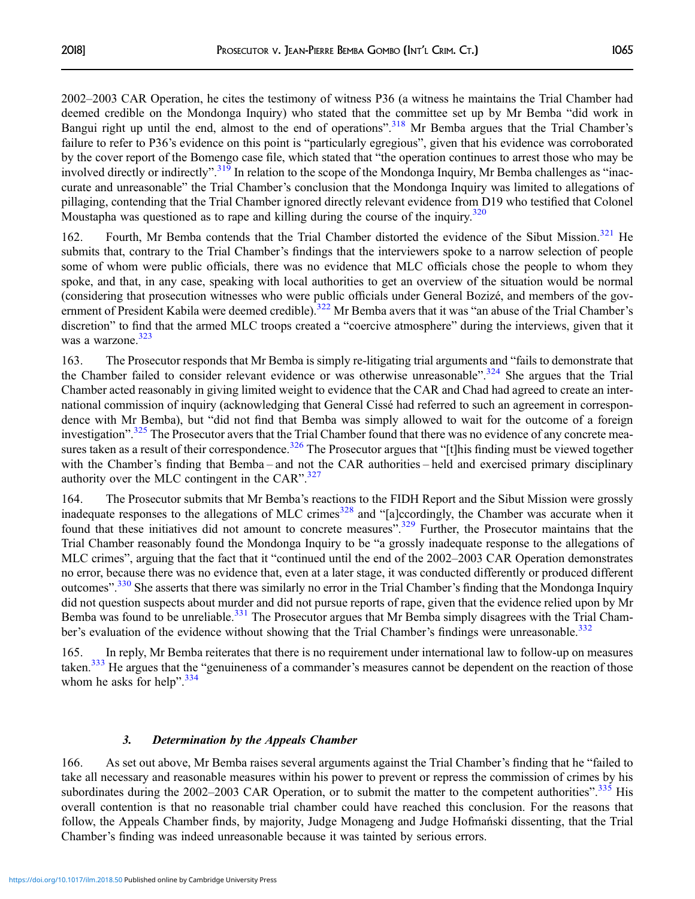2002–2003 CAR Operation, he cites the testimony of witness P36 (a witness he maintains the Trial Chamber had deemed credible on the Mondonga Inquiry) who stated that the committee set up by Mr Bemba "did work in Bangui right up until the end, almost to the end of operations".<sup>[318](#page-46-0)</sup> Mr Bemba argues that the Trial Chamber's failure to refer to P36's evidence on this point is "particularly egregious", given that his evidence was corroborated by the cover report of the Bomengo case file, which stated that "the operation continues to arrest those who may be involved directly or indirectly".<sup>[319](#page-46-0)</sup> In relation to the scope of the Mondonga Inquiry, Mr Bemba challenges as "inaccurate and unreasonable" the Trial Chamber's conclusion that the Mondonga Inquiry was limited to allegations of pillaging, contending that the Trial Chamber ignored directly relevant evidence from D19 who testified that Colonel Moustapha was questioned as to rape and killing during the course of the inquiry.<sup>[320](#page-46-0)</sup>

162. Fourth, Mr Bemba contends that the Trial Chamber distorted the evidence of the Sibut Mission.<sup>[321](#page-46-0)</sup> He submits that, contrary to the Trial Chamber's findings that the interviewers spoke to a narrow selection of people some of whom were public officials, there was no evidence that MLC officials chose the people to whom they spoke, and that, in any case, speaking with local authorities to get an overview of the situation would be normal (considering that prosecution witnesses who were public officials under General Bozizé, and members of the gov-ernment of President Kabila were deemed credible).<sup>[322](#page-47-0)</sup> Mr Bemba avers that it was "an abuse of the Trial Chamber's discretion" to find that the armed MLC troops created a "coercive atmosphere" during the interviews, given that it was a warzone.<sup>[323](#page-47-0)</sup>

163. The Prosecutor responds that Mr Bemba is simply re-litigating trial arguments and "fails to demonstrate that the Chamber failed to consider relevant evidence or was otherwise unreasonable".<sup>[324](#page-47-0)</sup> She argues that the Trial Chamber acted reasonably in giving limited weight to evidence that the CAR and Chad had agreed to create an international commission of inquiry (acknowledging that General Cissé had referred to such an agreement in correspondence with Mr Bemba), but "did not find that Bemba was simply allowed to wait for the outcome of a foreign investigation".<sup>[325](#page-47-0)</sup> The Prosecutor avers that the Trial Chamber found that there was no evidence of any concrete mea-sures taken as a result of their correspondence.<sup>[326](#page-47-0)</sup> The Prosecutor argues that "[t]his finding must be viewed together with the Chamber's finding that Bemba – and not the CAR authorities – held and exercised primary disciplinary authority over the MLC contingent in the CAR".<sup>[327](#page-47-0)</sup>

164. The Prosecutor submits that Mr Bemba's reactions to the FIDH Report and the Sibut Mission were grossly inadequate responses to the allegations of MLC crimes<sup>[328](#page-47-0)</sup> and "[a]ccordingly, the Chamber was accurate when it found that these initiatives did not amount to concrete measures".<sup>[329](#page-47-0)</sup> Further, the Prosecutor maintains that the Trial Chamber reasonably found the Mondonga Inquiry to be "a grossly inadequate response to the allegations of MLC crimes", arguing that the fact that it "continued until the end of the 2002–2003 CAR Operation demonstrates no error, because there was no evidence that, even at a later stage, it was conducted differently or produced different outcomes".<sup>[330](#page-47-0)</sup> She asserts that there was similarly no error in the Trial Chamber's finding that the Mondonga Inquiry did not question suspects about murder and did not pursue reports of rape, given that the evidence relied upon by Mr Bemba was found to be unreliable.<sup>[331](#page-47-0)</sup> The Prosecutor argues that Mr Bemba simply disagrees with the Trial Cham-ber's evaluation of the evidence without showing that the Trial Chamber's findings were unreasonable.<sup>[332](#page-47-0)</sup>

165. In reply, Mr Bemba reiterates that there is no requirement under international law to follow-up on measures taken.<sup>333</sup> He argues that the "genuineness of a commander's measures cannot be dependent on the reaction of those whom he asks for help".<sup>[334](#page-47-0)</sup>

#### 3. Determination by the Appeals Chamber

166. As set out above, Mr Bemba raises several arguments against the Trial Chamber's finding that he "failed to take all necessary and reasonable measures within his power to prevent or repress the commission of crimes by his subordinates during the 2002–2003 CAR Operation, or to submit the matter to the competent authorities".<sup>[335](#page-47-0)</sup> His overall contention is that no reasonable trial chamber could have reached this conclusion. For the reasons that follow, the Appeals Chamber finds, by majority, Judge Monageng and Judge Hofmański dissenting, that the Trial Chamber's finding was indeed unreasonable because it was tainted by serious errors.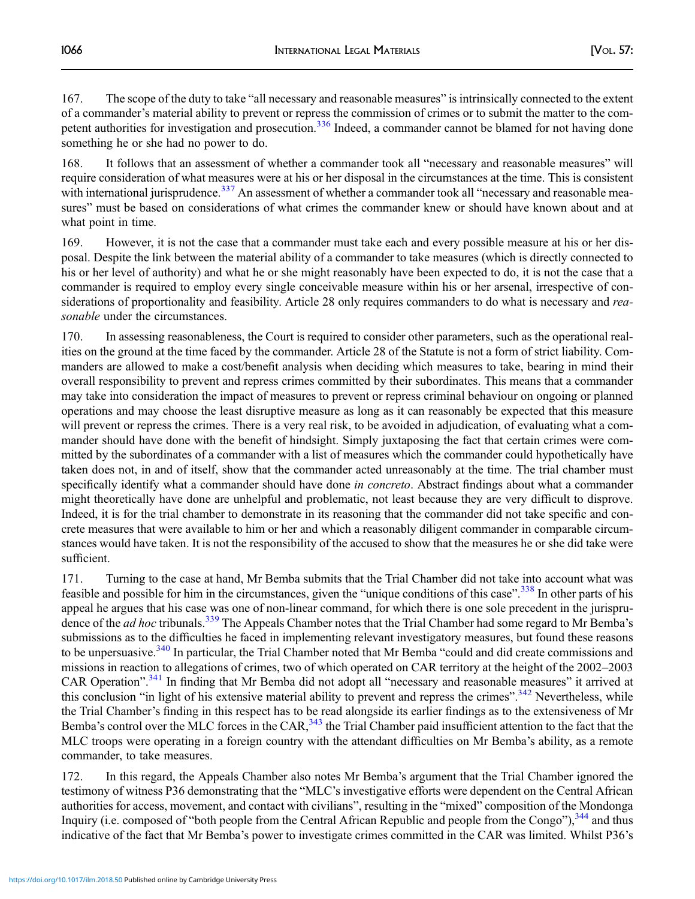167. The scope of the duty to take "all necessary and reasonable measures" is intrinsically connected to the extent of a commander's material ability to prevent or repress the commission of crimes or to submit the matter to the com-petent authorities for investigation and prosecution.<sup>[336](#page-47-0)</sup> Indeed, a commander cannot be blamed for not having done something he or she had no power to do.

168. It follows that an assessment of whether a commander took all "necessary and reasonable measures" will require consideration of what measures were at his or her disposal in the circumstances at the time. This is consistent with international jurisprudence.<sup>[337](#page-47-0)</sup> An assessment of whether a commander took all "necessary and reasonable measures" must be based on considerations of what crimes the commander knew or should have known about and at what point in time.

169. However, it is not the case that a commander must take each and every possible measure at his or her disposal. Despite the link between the material ability of a commander to take measures (which is directly connected to his or her level of authority) and what he or she might reasonably have been expected to do, it is not the case that a commander is required to employ every single conceivable measure within his or her arsenal, irrespective of considerations of proportionality and feasibility. Article 28 only requires commanders to do what is necessary and reasonable under the circumstances.

170. In assessing reasonableness, the Court is required to consider other parameters, such as the operational realities on the ground at the time faced by the commander. Article 28 of the Statute is not a form of strict liability. Commanders are allowed to make a cost/benefit analysis when deciding which measures to take, bearing in mind their overall responsibility to prevent and repress crimes committed by their subordinates. This means that a commander may take into consideration the impact of measures to prevent or repress criminal behaviour on ongoing or planned operations and may choose the least disruptive measure as long as it can reasonably be expected that this measure will prevent or repress the crimes. There is a very real risk, to be avoided in adjudication, of evaluating what a commander should have done with the benefit of hindsight. Simply juxtaposing the fact that certain crimes were committed by the subordinates of a commander with a list of measures which the commander could hypothetically have taken does not, in and of itself, show that the commander acted unreasonably at the time. The trial chamber must specifically identify what a commander should have done *in concreto*. Abstract findings about what a commander might theoretically have done are unhelpful and problematic, not least because they are very difficult to disprove. Indeed, it is for the trial chamber to demonstrate in its reasoning that the commander did not take specific and concrete measures that were available to him or her and which a reasonably diligent commander in comparable circumstances would have taken. It is not the responsibility of the accused to show that the measures he or she did take were sufficient.

171. Turning to the case at hand, Mr Bemba submits that the Trial Chamber did not take into account what was feasible and possible for him in the circumstances, given the "unique conditions of this case".<sup>[338](#page-47-0)</sup> In other parts of his appeal he argues that his case was one of non-linear command, for which there is one sole precedent in the jurisprudence of the *ad hoc* tribunals.<sup>[339](#page-47-0)</sup> The Appeals Chamber notes that the Trial Chamber had some regard to Mr Bemba's submissions as to the difficulties he faced in implementing relevant investigatory measures, but found these reasons to be unpersuasive.<sup>[340](#page-47-0)</sup> In particular, the Trial Chamber noted that Mr Bemba "could and did create commissions and missions in reaction to allegations of crimes, two of which operated on CAR territory at the height of the 2002–2003 CAR Operation".<sup>[341](#page-47-0)</sup> In finding that Mr Bemba did not adopt all "necessary and reasonable measures" it arrived at this conclusion "in light of his extensive material ability to prevent and repress the crimes".<sup>[342](#page-47-0)</sup> Nevertheless, while the Trial Chamber's finding in this respect has to be read alongside its earlier findings as to the extensiveness of Mr Bemba's control over the MLC forces in the CAR,  $343$  the Trial Chamber paid insufficient attention to the fact that the MLC troops were operating in a foreign country with the attendant difficulties on Mr Bemba's ability, as a remote commander, to take measures.

172. In this regard, the Appeals Chamber also notes Mr Bemba's argument that the Trial Chamber ignored the testimony of witness P36 demonstrating that the "MLC's investigative efforts were dependent on the Central African authorities for access, movement, and contact with civilians", resulting in the "mixed" composition of the Mondonga Inquiry (i.e. composed of "both people from the Central African Republic and people from the Congo"),  $344$  and thus indicative of the fact that Mr Bemba's power to investigate crimes committed in the CAR was limited. Whilst P36's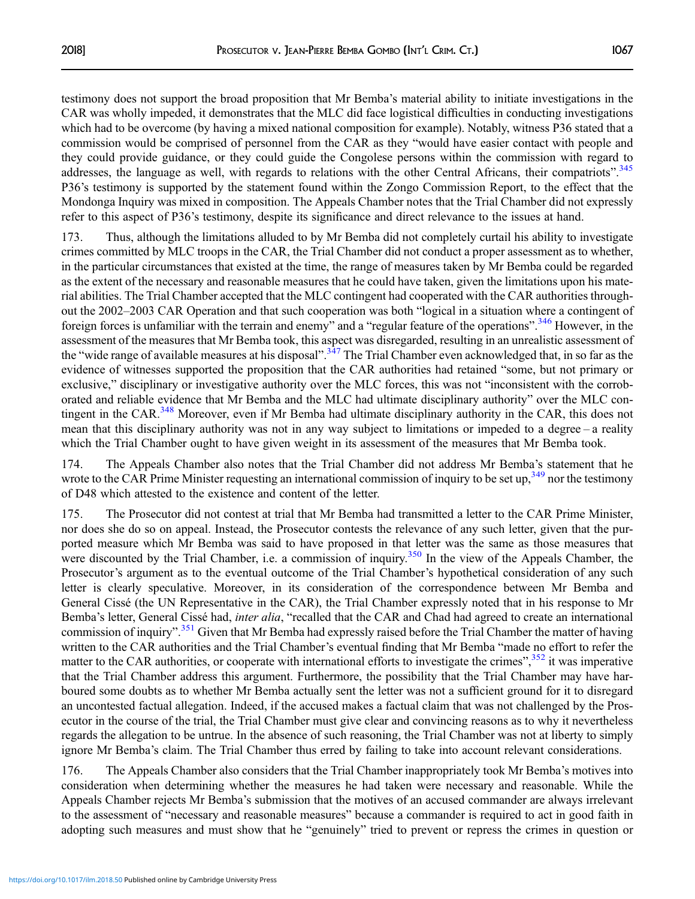testimony does not support the broad proposition that Mr Bemba's material ability to initiate investigations in the CAR was wholly impeded, it demonstrates that the MLC did face logistical difficulties in conducting investigations which had to be overcome (by having a mixed national composition for example). Notably, witness P36 stated that a commission would be comprised of personnel from the CAR as they "would have easier contact with people and they could provide guidance, or they could guide the Congolese persons within the commission with regard to addresses, the language as well, with regards to relations with the other Central Africans, their compatriots".<sup>[345](#page-47-0)</sup> P36's testimony is supported by the statement found within the Zongo Commission Report, to the effect that the Mondonga Inquiry was mixed in composition. The Appeals Chamber notes that the Trial Chamber did not expressly refer to this aspect of P36's testimony, despite its significance and direct relevance to the issues at hand.

173. Thus, although the limitations alluded to by Mr Bemba did not completely curtail his ability to investigate crimes committed by MLC troops in the CAR, the Trial Chamber did not conduct a proper assessment as to whether, in the particular circumstances that existed at the time, the range of measures taken by Mr Bemba could be regarded as the extent of the necessary and reasonable measures that he could have taken, given the limitations upon his material abilities. The Trial Chamber accepted that the MLC contingent had cooperated with the CAR authorities throughout the 2002–2003 CAR Operation and that such cooperation was both "logical in a situation where a contingent of foreign forces is unfamiliar with the terrain and enemy" and a "regular feature of the operations".<sup>[346](#page-47-0)</sup> However, in the assessment of the measures that Mr Bemba took, this aspect was disregarded, resulting in an unrealistic assessment of the "wide range of available measures at his disposal".<sup>[347](#page-47-0)</sup> The Trial Chamber even acknowledged that, in so far as the evidence of witnesses supported the proposition that the CAR authorities had retained "some, but not primary or exclusive," disciplinary or investigative authority over the MLC forces, this was not "inconsistent with the corroborated and reliable evidence that Mr Bemba and the MLC had ultimate disciplinary authority" over the MLC contingent in the CAR.<sup>348</sup> Moreover, even if Mr Bemba had ultimate disciplinary authority in the CAR, this does not mean that this disciplinary authority was not in any way subject to limitations or impeded to a degree – a reality which the Trial Chamber ought to have given weight in its assessment of the measures that Mr Bemba took.

174. The Appeals Chamber also notes that the Trial Chamber did not address Mr Bemba's statement that he wrote to the CAR Prime Minister requesting an international commission of inquiry to be set up,<sup>[349](#page-47-0)</sup> nor the testimony of D48 which attested to the existence and content of the letter.

175. The Prosecutor did not contest at trial that Mr Bemba had transmitted a letter to the CAR Prime Minister, nor does she do so on appeal. Instead, the Prosecutor contests the relevance of any such letter, given that the purported measure which Mr Bemba was said to have proposed in that letter was the same as those measures that were discounted by the Trial Chamber, i.e. a commission of inquiry.<sup>350</sup> In the view of the Appeals Chamber, the Prosecutor's argument as to the eventual outcome of the Trial Chamber's hypothetical consideration of any such letter is clearly speculative. Moreover, in its consideration of the correspondence between Mr Bemba and General Cissé (the UN Representative in the CAR), the Trial Chamber expressly noted that in his response to Mr Bemba's letter, General Cissé had, inter alia, "recalled that the CAR and Chad had agreed to create an international commission of inquiry".<sup>[351](#page-47-0)</sup> Given that Mr Bemba had expressly raised before the Trial Chamber the matter of having written to the CAR authorities and the Trial Chamber's eventual finding that Mr Bemba "made no effort to refer the matter to the CAR authorities, or cooperate with international efforts to investigate the crimes",<sup>[352](#page-47-0)</sup> it was imperative that the Trial Chamber address this argument. Furthermore, the possibility that the Trial Chamber may have harboured some doubts as to whether Mr Bemba actually sent the letter was not a sufficient ground for it to disregard an uncontested factual allegation. Indeed, if the accused makes a factual claim that was not challenged by the Prosecutor in the course of the trial, the Trial Chamber must give clear and convincing reasons as to why it nevertheless regards the allegation to be untrue. In the absence of such reasoning, the Trial Chamber was not at liberty to simply ignore Mr Bemba's claim. The Trial Chamber thus erred by failing to take into account relevant considerations.

176. The Appeals Chamber also considers that the Trial Chamber inappropriately took Mr Bemba's motives into consideration when determining whether the measures he had taken were necessary and reasonable. While the Appeals Chamber rejects Mr Bemba's submission that the motives of an accused commander are always irrelevant to the assessment of "necessary and reasonable measures" because a commander is required to act in good faith in adopting such measures and must show that he "genuinely" tried to prevent or repress the crimes in question or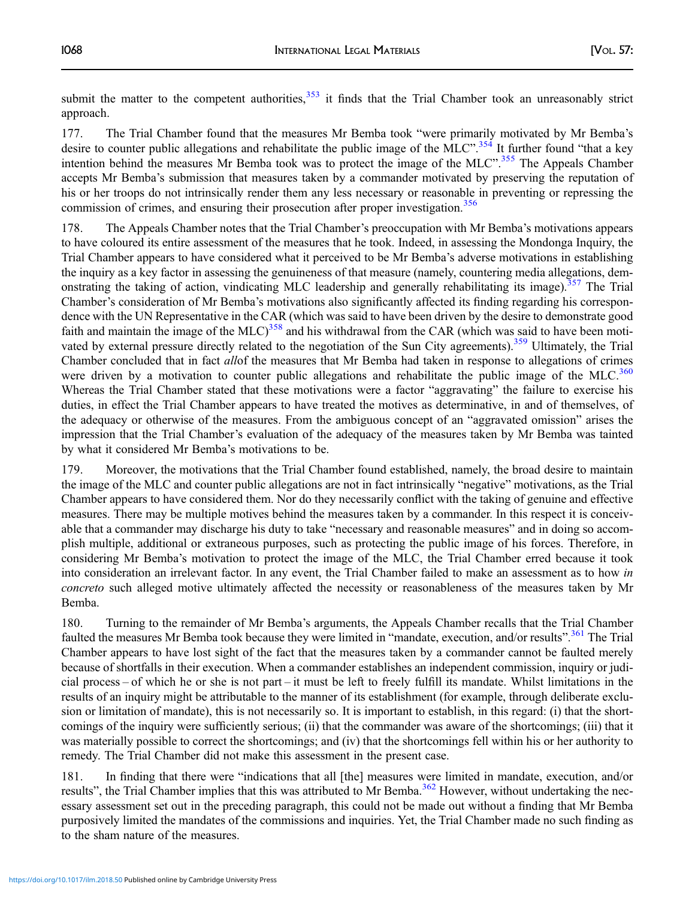submit the matter to the competent authorities,<sup>[353](#page-47-0)</sup> it finds that the Trial Chamber took an unreasonably strict approach.

177. The Trial Chamber found that the measures Mr Bemba took "were primarily motivated by Mr Bemba's desire to counter public allegations and rehabilitate the public image of the MLC".<sup>[354](#page-47-0)</sup> It further found "that a key intention behind the measures Mr Bemba took was to protect the image of the MLC".<sup>[355](#page-47-0)</sup> The Appeals Chamber accepts Mr Bemba's submission that measures taken by a commander motivated by preserving the reputation of his or her troops do not intrinsically render them any less necessary or reasonable in preventing or repressing the commission of crimes, and ensuring their prosecution after proper investigation.<sup>[356](#page-47-0)</sup>

178. The Appeals Chamber notes that the Trial Chamber's preoccupation with Mr Bemba's motivations appears to have coloured its entire assessment of the measures that he took. Indeed, in assessing the Mondonga Inquiry, the Trial Chamber appears to have considered what it perceived to be Mr Bemba's adverse motivations in establishing the inquiry as a key factor in assessing the genuineness of that measure (namely, countering media allegations, dem-onstrating the taking of action, vindicating MLC leadership and generally rehabilitating its image).<sup>[357](#page-47-0)</sup> The Trial Chamber's consideration of Mr Bemba's motivations also significantly affected its finding regarding his correspondence with the UN Representative in the CAR (which was said to have been driven by the desire to demonstrate good faith and maintain the image of the  $MLC$ <sup>[358](#page-47-0)</sup> and his withdrawal from the CAR (which was said to have been moti-vated by external pressure directly related to the negotiation of the Sun City agreements).<sup>[359](#page-47-0)</sup> Ultimately, the Trial Chamber concluded that in fact allof the measures that Mr Bemba had taken in response to allegations of crimes were driven by a motivation to counter public allegations and rehabilitate the public image of the MLC.<sup>[360](#page-47-0)</sup> Whereas the Trial Chamber stated that these motivations were a factor "aggravating" the failure to exercise his duties, in effect the Trial Chamber appears to have treated the motives as determinative, in and of themselves, of the adequacy or otherwise of the measures. From the ambiguous concept of an "aggravated omission" arises the impression that the Trial Chamber's evaluation of the adequacy of the measures taken by Mr Bemba was tainted by what it considered Mr Bemba's motivations to be.

179. Moreover, the motivations that the Trial Chamber found established, namely, the broad desire to maintain the image of the MLC and counter public allegations are not in fact intrinsically "negative" motivations, as the Trial Chamber appears to have considered them. Nor do they necessarily conflict with the taking of genuine and effective measures. There may be multiple motives behind the measures taken by a commander. In this respect it is conceivable that a commander may discharge his duty to take "necessary and reasonable measures" and in doing so accomplish multiple, additional or extraneous purposes, such as protecting the public image of his forces. Therefore, in considering Mr Bemba's motivation to protect the image of the MLC, the Trial Chamber erred because it took into consideration an irrelevant factor. In any event, the Trial Chamber failed to make an assessment as to how in concreto such alleged motive ultimately affected the necessity or reasonableness of the measures taken by Mr Bemba.

180. Turning to the remainder of Mr Bemba's arguments, the Appeals Chamber recalls that the Trial Chamber faulted the measures Mr Bemba took because they were limited in "mandate, execution, and/or results".<sup>[361](#page-47-0)</sup> The Trial Chamber appears to have lost sight of the fact that the measures taken by a commander cannot be faulted merely because of shortfalls in their execution. When a commander establishes an independent commission, inquiry or judicial process – of which he or she is not part – it must be left to freely fulfill its mandate. Whilst limitations in the results of an inquiry might be attributable to the manner of its establishment (for example, through deliberate exclusion or limitation of mandate), this is not necessarily so. It is important to establish, in this regard: (i) that the shortcomings of the inquiry were sufficiently serious; (ii) that the commander was aware of the shortcomings; (iii) that it was materially possible to correct the shortcomings; and (iv) that the shortcomings fell within his or her authority to remedy. The Trial Chamber did not make this assessment in the present case.

181. In finding that there were "indications that all [the] measures were limited in mandate, execution, and/or results", the Trial Chamber implies that this was attributed to Mr Bemba.<sup>[362](#page-47-0)</sup> However, without undertaking the necessary assessment set out in the preceding paragraph, this could not be made out without a finding that Mr Bemba purposively limited the mandates of the commissions and inquiries. Yet, the Trial Chamber made no such finding as to the sham nature of the measures.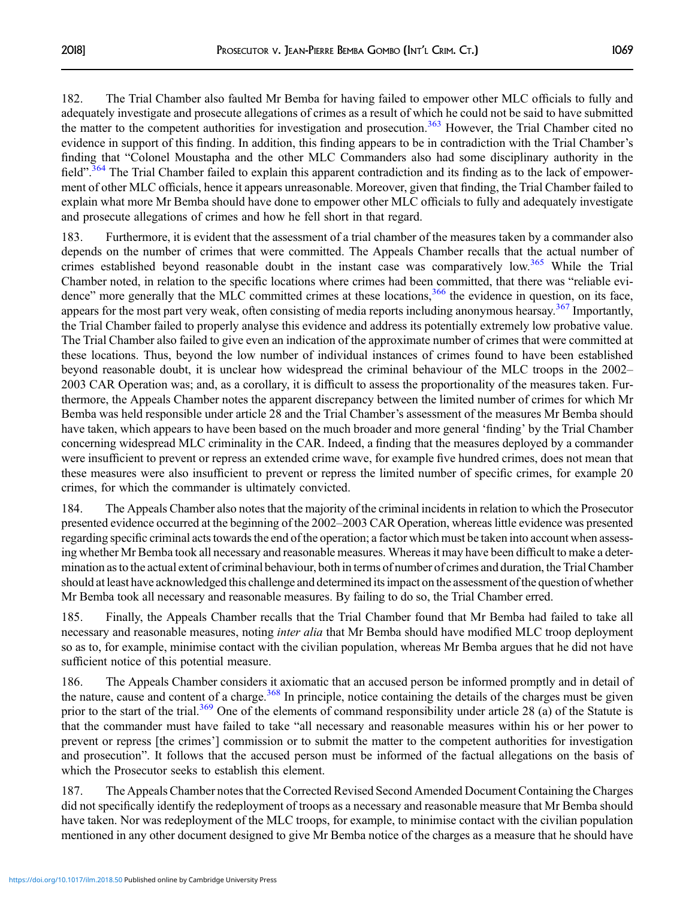182. The Trial Chamber also faulted Mr Bemba for having failed to empower other MLC officials to fully and adequately investigate and prosecute allegations of crimes as a result of which he could not be said to have submitted the matter to the competent authorities for investigation and prosecution.<sup>[363](#page-47-0)</sup> However, the Trial Chamber cited no evidence in support of this finding. In addition, this finding appears to be in contradiction with the Trial Chamber's finding that "Colonel Moustapha and the other MLC Commanders also had some disciplinary authority in the field".<sup>[364](#page-47-0)</sup> The Trial Chamber failed to explain this apparent contradiction and its finding as to the lack of empowerment of other MLC officials, hence it appears unreasonable. Moreover, given that finding, the Trial Chamber failed to explain what more Mr Bemba should have done to empower other MLC officials to fully and adequately investigate and prosecute allegations of crimes and how he fell short in that regard.

183. Furthermore, it is evident that the assessment of a trial chamber of the measures taken by a commander also depends on the number of crimes that were committed. The Appeals Chamber recalls that the actual number of crimes established beyond reasonable doubt in the instant case was comparatively low.<sup>[365](#page-47-0)</sup> While the Trial Chamber noted, in relation to the specific locations where crimes had been committed, that there was "reliable evi-dence" more generally that the MLC committed crimes at these locations,<sup>[366](#page-47-0)</sup> the evidence in question, on its face, appears for the most part very weak, often consisting of media reports including anonymous hearsay.<sup>[367](#page-47-0)</sup> Importantly, the Trial Chamber failed to properly analyse this evidence and address its potentially extremely low probative value. The Trial Chamber also failed to give even an indication of the approximate number of crimes that were committed at these locations. Thus, beyond the low number of individual instances of crimes found to have been established beyond reasonable doubt, it is unclear how widespread the criminal behaviour of the MLC troops in the 2002– 2003 CAR Operation was; and, as a corollary, it is difficult to assess the proportionality of the measures taken. Furthermore, the Appeals Chamber notes the apparent discrepancy between the limited number of crimes for which Mr Bemba was held responsible under article 28 and the Trial Chamber's assessment of the measures Mr Bemba should have taken, which appears to have been based on the much broader and more general 'finding' by the Trial Chamber concerning widespread MLC criminality in the CAR. Indeed, a finding that the measures deployed by a commander were insufficient to prevent or repress an extended crime wave, for example five hundred crimes, does not mean that these measures were also insufficient to prevent or repress the limited number of specific crimes, for example 20 crimes, for which the commander is ultimately convicted.

184. The Appeals Chamber also notes that the majority of the criminal incidents in relation to which the Prosecutor presented evidence occurred at the beginning of the 2002–2003 CAR Operation, whereas little evidence was presented regarding specific criminal acts towards the end of the operation; a factor which must be taken into account when assessing whether Mr Bemba took all necessary and reasonable measures. Whereas it may have been difficult to make a determination as to the actual extent of criminal behaviour, both in terms of number of crimes and duration, the Trial Chamber should at least have acknowledged this challenge and determined its impact on the assessment of the question of whether Mr Bemba took all necessary and reasonable measures. By failing to do so, the Trial Chamber erred.

185. Finally, the Appeals Chamber recalls that the Trial Chamber found that Mr Bemba had failed to take all necessary and reasonable measures, noting *inter alia* that Mr Bemba should have modified MLC troop deployment so as to, for example, minimise contact with the civilian population, whereas Mr Bemba argues that he did not have sufficient notice of this potential measure.

186. The Appeals Chamber considers it axiomatic that an accused person be informed promptly and in detail of the nature, cause and content of a charge.<sup>368</sup> In principle, notice containing the details of the charges must be given prior to the start of the trial.<sup>[369](#page-47-0)</sup> One of the elements of command responsibility under article 28 (a) of the Statute is that the commander must have failed to take "all necessary and reasonable measures within his or her power to prevent or repress [the crimes'] commission or to submit the matter to the competent authorities for investigation and prosecution". It follows that the accused person must be informed of the factual allegations on the basis of which the Prosecutor seeks to establish this element.

187. The Appeals Chamber notes that the Corrected Revised Second Amended Document Containing the Charges did not specifically identify the redeployment of troops as a necessary and reasonable measure that Mr Bemba should have taken. Nor was redeployment of the MLC troops, for example, to minimise contact with the civilian population mentioned in any other document designed to give Mr Bemba notice of the charges as a measure that he should have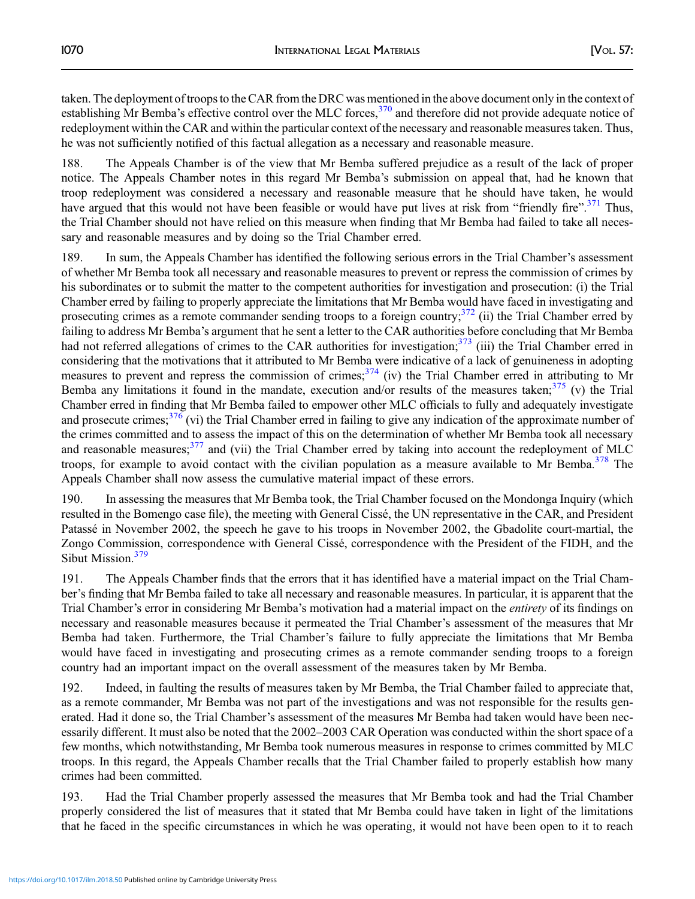taken. The deployment of troops to the CAR from the DRC was mentioned in the above document only in the context of establishing Mr Bemba's effective control over the MLC forces,<sup>[370](#page-47-0)</sup> and therefore did not provide adequate notice of redeployment within the CAR and within the particular context of the necessary and reasonable measures taken. Thus, he was not sufficiently notified of this factual allegation as a necessary and reasonable measure.

188. The Appeals Chamber is of the view that Mr Bemba suffered prejudice as a result of the lack of proper notice. The Appeals Chamber notes in this regard Mr Bemba's submission on appeal that, had he known that troop redeployment was considered a necessary and reasonable measure that he should have taken, he would have argued that this would not have been feasible or would have put lives at risk from "friendly fire".<sup>[371](#page-47-0)</sup> Thus, the Trial Chamber should not have relied on this measure when finding that Mr Bemba had failed to take all necessary and reasonable measures and by doing so the Trial Chamber erred.

189. In sum, the Appeals Chamber has identified the following serious errors in the Trial Chamber's assessment of whether Mr Bemba took all necessary and reasonable measures to prevent or repress the commission of crimes by his subordinates or to submit the matter to the competent authorities for investigation and prosecution: (i) the Trial Chamber erred by failing to properly appreciate the limitations that Mr Bemba would have faced in investigating and prosecuting crimes as a remote commander sending troops to a foreign country; $372$  (ii) the Trial Chamber erred by failing to address Mr Bemba's argument that he sent a letter to the CAR authorities before concluding that Mr Bemba had not referred allegations of crimes to the CAR authorities for investigation;<sup>[373](#page-48-0)</sup> (iii) the Trial Chamber erred in considering that the motivations that it attributed to Mr Bemba were indicative of a lack of genuineness in adopting measures to prevent and repress the commission of crimes; $^{374}$  $^{374}$  $^{374}$  (iv) the Trial Chamber erred in attributing to Mr Bemba any limitations it found in the mandate, execution and/or results of the measures taken; $375$  (v) the Trial Chamber erred in finding that Mr Bemba failed to empower other MLC officials to fully and adequately investigate and prosecute crimes; $376$  (vi) the Trial Chamber erred in failing to give any indication of the approximate number of the crimes committed and to assess the impact of this on the determination of whether Mr Bemba took all necessary and reasonable measures;<sup>[377](#page-48-0)</sup> and (vii) the Trial Chamber erred by taking into account the redeployment of MLC troops, for example to avoid contact with the civilian population as a measure available to Mr Bemba.<sup>[378](#page-48-0)</sup> The Appeals Chamber shall now assess the cumulative material impact of these errors.

190. In assessing the measures that Mr Bemba took, the Trial Chamber focused on the Mondonga Inquiry (which resulted in the Bomengo case file), the meeting with General Cissé, the UN representative in the CAR, and President Patassé in November 2002, the speech he gave to his troops in November 2002, the Gbadolite court-martial, the Zongo Commission, correspondence with General Cissé, correspondence with the President of the FIDH, and the Sibut Mission.<sup>[379](#page-48-0)</sup>

191. The Appeals Chamber finds that the errors that it has identified have a material impact on the Trial Chamber's finding that Mr Bemba failed to take all necessary and reasonable measures. In particular, it is apparent that the Trial Chamber's error in considering Mr Bemba's motivation had a material impact on the entirety of its findings on necessary and reasonable measures because it permeated the Trial Chamber's assessment of the measures that Mr Bemba had taken. Furthermore, the Trial Chamber's failure to fully appreciate the limitations that Mr Bemba would have faced in investigating and prosecuting crimes as a remote commander sending troops to a foreign country had an important impact on the overall assessment of the measures taken by Mr Bemba.

192. Indeed, in faulting the results of measures taken by Mr Bemba, the Trial Chamber failed to appreciate that, as a remote commander, Mr Bemba was not part of the investigations and was not responsible for the results generated. Had it done so, the Trial Chamber's assessment of the measures Mr Bemba had taken would have been necessarily different. It must also be noted that the 2002–2003 CAR Operation was conducted within the short space of a few months, which notwithstanding, Mr Bemba took numerous measures in response to crimes committed by MLC troops. In this regard, the Appeals Chamber recalls that the Trial Chamber failed to properly establish how many crimes had been committed.

193. Had the Trial Chamber properly assessed the measures that Mr Bemba took and had the Trial Chamber properly considered the list of measures that it stated that Mr Bemba could have taken in light of the limitations that he faced in the specific circumstances in which he was operating, it would not have been open to it to reach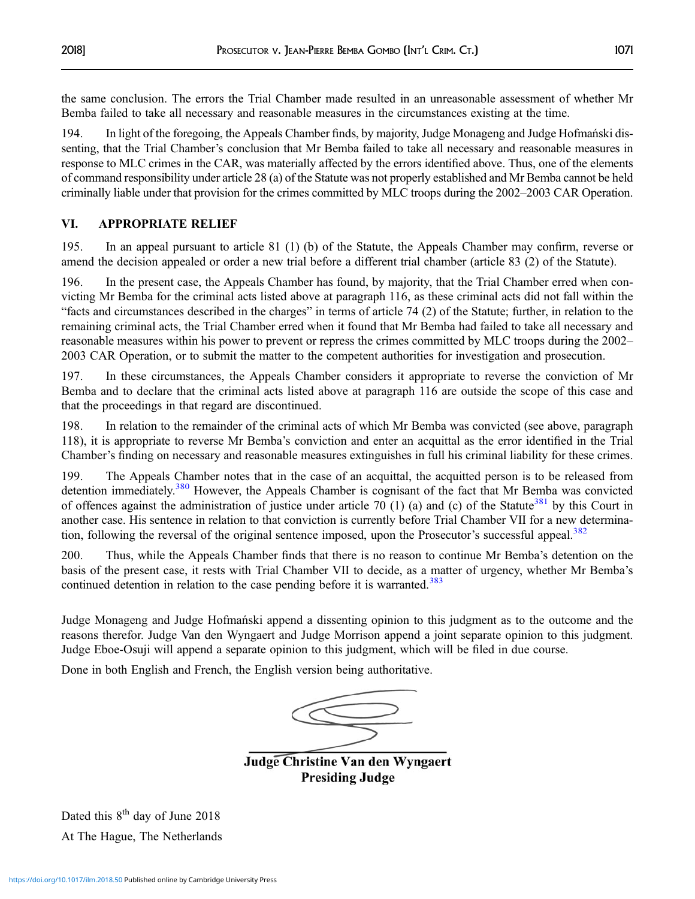the same conclusion. The errors the Trial Chamber made resulted in an unreasonable assessment of whether Mr Bemba failed to take all necessary and reasonable measures in the circumstances existing at the time.

194. In light of the foregoing, the Appeals Chamber finds, by majority, Judge Monageng and Judge Hofmański dissenting, that the Trial Chamber's conclusion that Mr Bemba failed to take all necessary and reasonable measures in response to MLC crimes in the CAR, was materially affected by the errors identified above. Thus, one of the elements of command responsibility under article 28 (a) of the Statute was not properly established and Mr Bemba cannot be held criminally liable under that provision for the crimes committed by MLC troops during the 2002–2003 CAR Operation.

## VI. APPROPRIATE RELIEF

195. In an appeal pursuant to article 81 (1) (b) of the Statute, the Appeals Chamber may confirm, reverse or amend the decision appealed or order a new trial before a different trial chamber (article 83 (2) of the Statute).

196. In the present case, the Appeals Chamber has found, by majority, that the Trial Chamber erred when convicting Mr Bemba for the criminal acts listed above at paragraph 116, as these criminal acts did not fall within the "facts and circumstances described in the charges" in terms of article 74 (2) of the Statute; further, in relation to the remaining criminal acts, the Trial Chamber erred when it found that Mr Bemba had failed to take all necessary and reasonable measures within his power to prevent or repress the crimes committed by MLC troops during the 2002– 2003 CAR Operation, or to submit the matter to the competent authorities for investigation and prosecution.

197. In these circumstances, the Appeals Chamber considers it appropriate to reverse the conviction of Mr Bemba and to declare that the criminal acts listed above at paragraph 116 are outside the scope of this case and that the proceedings in that regard are discontinued.

198. In relation to the remainder of the criminal acts of which Mr Bemba was convicted (see above, paragraph 118), it is appropriate to reverse Mr Bemba's conviction and enter an acquittal as the error identified in the Trial Chamber's finding on necessary and reasonable measures extinguishes in full his criminal liability for these crimes.

199. The Appeals Chamber notes that in the case of an acquittal, the acquitted person is to be released from detention immediately.<sup>[380](#page-48-0)</sup> However, the Appeals Chamber is cognisant of the fact that Mr Bemba was convicted of offences against the administration of justice under article 70 (1) (a) and (c) of the Statute<sup>[381](#page-48-0)</sup> by this Court in another case. His sentence in relation to that conviction is currently before Trial Chamber VII for a new determina-tion, following the reversal of the original sentence imposed, upon the Prosecutor's successful appeal.<sup>[382](#page-48-0)</sup>

200. Thus, while the Appeals Chamber finds that there is no reason to continue Mr Bemba's detention on the basis of the present case, it rests with Trial Chamber VII to decide, as a matter of urgency, whether Mr Bemba's continued detention in relation to the case pending before it is warranted.<sup>[383](#page-48-0)</sup>

Judge Monageng and Judge Hofmański append a dissenting opinion to this judgment as to the outcome and the reasons therefor. Judge Van den Wyngaert and Judge Morrison append a joint separate opinion to this judgment. Judge Eboe-Osuji will append a separate opinion to this judgment, which will be filed in due course.

Done in both English and French, the English version being authoritative.

Judge Christine Van den Wyngaert **Presiding Judge** 

Dated this  $8<sup>th</sup>$  day of June 2018 At The Hague, The Netherlands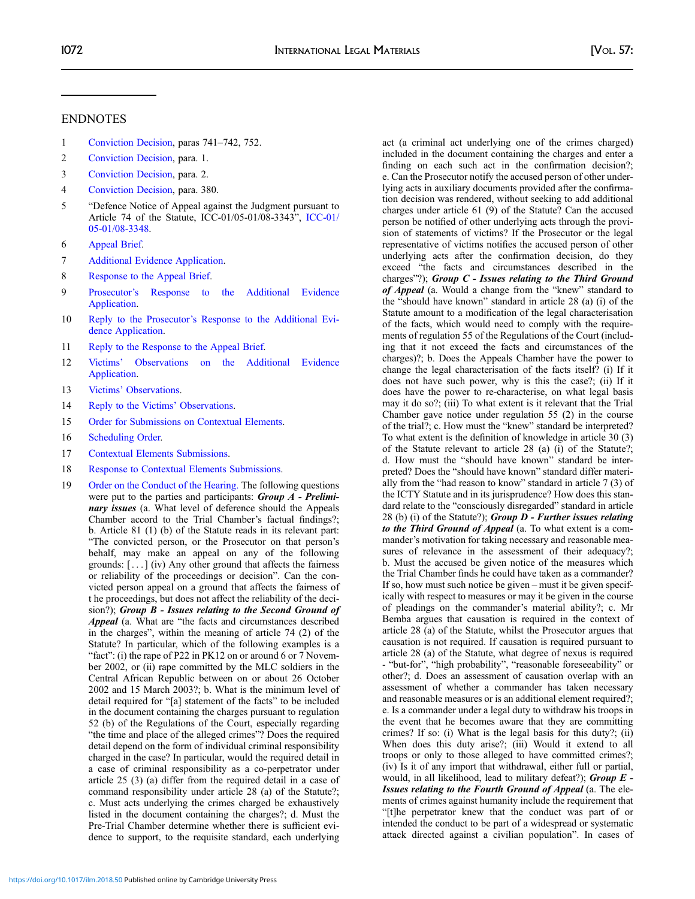#### <span id="page-41-0"></span>ENDNOTES

- 1 [Conviction Decision](http://www.legal-tools.org/en/doc/edb0cf/), paras 741–742, 752.
- 2 [Conviction Decision](http://www.legal-tools.org/en/doc/edb0cf/), para. 1.
- 3 [Conviction Decision](http://www.legal-tools.org/en/doc/edb0cf/), para. 2.
- 4 [Conviction Decision](http://www.legal-tools.org/en/doc/edb0cf/), para. 380.
- 5 "Defence Notice of Appeal against the Judgment pursuant to Article 74 of the Statute, ICC-01/05-01/08-3343", [ICC-01/](http://www.legal-tools.org/doc/90b102/) [05-01/08-3348](http://www.legal-tools.org/doc/90b102/).
- 6 [Appeal Brief.](http://www.legal-tools.org/doc/41ed5b/)
- 7 [Additional Evidence Application.](http://www.legal-tools.org/doc/881de5/)
- 8 [Response to the Appeal Brief.](http://www.legal-tools.org/doc/dc5bd8/)
- 9 Prosecutor'[s Response to the Additional Evidence](http://www.legal-tools.org/doc/fb2999/) [Application](http://www.legal-tools.org/doc/fb2999/).
- 10 Reply to the Prosecutor'[s Response to the Additional Evi](http://www.legal-tools.org/doc/3e2c3e/)[dence Application.](http://www.legal-tools.org/doc/3e2c3e/)
- 11 [Reply to the Response to the Appeal Brief](http://www.legal-tools.org/doc/98f07f/).
- 12 Victims' [Observations on the Additional Evidence](http://www.legal-tools.org/doc/8e18d8/) [Application](http://www.legal-tools.org/doc/8e18d8/).
- 13 Victims' [Observations](http://www.legal-tools.org/doc/c19243/).
- 14 [Reply to the Victims](http://www.legal-tools.org/doc/94a52a/)' Observations.
- 15 [Order for Submissions on Contextual Elements.](http://www.legal-tools.org/doc/83eac1/)
- 16 [Scheduling Order.](http://www.legal-tools.org/doc/3a24da/)
- 17 [Contextual Elements Submissions.](http://www.legal-tools.org/doc/3ce064/)
- 18 [Response to Contextual Elements Submissions](http://www.legal-tools.org/doc/e5e0fe/).
- 19 [Order on the Conduct of the Hearing.](http://www.legal-tools.org/doc/cf387c/) The following questions were put to the parties and participants: **Group A** - Preliminary issues (a. What level of deference should the Appeals Chamber accord to the Trial Chamber's factual findings?; b. Article 81 (1) (b) of the Statute reads in its relevant part: "The convicted person, or the Prosecutor on that person's behalf, may make an appeal on any of the following grounds:  $[...]$  (iv) Any other ground that affects the fairness or reliability of the proceedings or decision". Can the convicted person appeal on a ground that affects the fairness of t he proceedings, but does not affect the reliability of the decision?); Group B - Issues relating to the Second Ground of Appeal (a. What are "the facts and circumstances described in the charges", within the meaning of article 74 (2) of the Statute? In particular, which of the following examples is a "fact": (i) the rape of P22 in PK12 on or around 6 or 7 November 2002, or (ii) rape committed by the MLC soldiers in the Central African Republic between on or about 26 October 2002 and 15 March 2003?; b. What is the minimum level of detail required for "[a] statement of the facts" to be included in the document containing the charges pursuant to regulation 52 (b) of the Regulations of the Court, especially regarding "the time and place of the alleged crimes"? Does the required detail depend on the form of individual criminal responsibility charged in the case? In particular, would the required detail in a case of criminal responsibility as a co-perpetrator under article 25 (3) (a) differ from the required detail in a case of command responsibility under article 28 (a) of the Statute?; c. Must acts underlying the crimes charged be exhaustively listed in the document containing the charges?; d. Must the Pre-Trial Chamber determine whether there is sufficient evidence to support, to the requisite standard, each underlying

act (a criminal act underlying one of the crimes charged) included in the document containing the charges and enter a finding on each such act in the confirmation decision?; e. Can the Prosecutor notify the accused person of other underlying acts in auxiliary documents provided after the confirmation decision was rendered, without seeking to add additional charges under article 61 (9) of the Statute? Can the accused person be notified of other underlying acts through the provision of statements of victims? If the Prosecutor or the legal representative of victims notifies the accused person of other underlying acts after the confirmation decision, do they exceed "the facts and circumstances described in the charges"?); Group  $C$  - Issues relating to the Third Ground of Appeal (a. Would a change from the "knew" standard to the "should have known" standard in article 28 (a) (i) of the Statute amount to a modification of the legal characterisation of the facts, which would need to comply with the requirements of regulation 55 of the Regulations of the Court (including that it not exceed the facts and circumstances of the charges)?; b. Does the Appeals Chamber have the power to change the legal characterisation of the facts itself? (i) If it does not have such power, why is this the case?; (ii) If it does have the power to re-characterise, on what legal basis may it do so?; (iii) To what extent is it relevant that the Trial Chamber gave notice under regulation 55 (2) in the course of the trial?; c. How must the "knew" standard be interpreted? To what extent is the definition of knowledge in article 30 (3) of the Statute relevant to article 28 (a) (i) of the Statute?; d. How must the "should have known" standard be interpreted? Does the "should have known" standard differ materially from the "had reason to know" standard in article 7 (3) of the ICTY Statute and in its jurisprudence? How does this standard relate to the "consciously disregarded" standard in article 28 (b) (i) of the Statute?); Group  $D$  - Further issues relating to the Third Ground of Appeal (a. To what extent is a commander's motivation for taking necessary and reasonable measures of relevance in the assessment of their adequacy?; b. Must the accused be given notice of the measures which the Trial Chamber finds he could have taken as a commander? If so, how must such notice be given – must it be given specifically with respect to measures or may it be given in the course of pleadings on the commander's material ability?; c. Mr Bemba argues that causation is required in the context of article 28 (a) of the Statute, whilst the Prosecutor argues that causation is not required. If causation is required pursuant to article 28 (a) of the Statute, what degree of nexus is required - "but-for", "high probability", "reasonable foreseeability" or other?; d. Does an assessment of causation overlap with an assessment of whether a commander has taken necessary and reasonable measures or is an additional element required?; e. Is a commander under a legal duty to withdraw his troops in the event that he becomes aware that they are committing crimes? If so: (i) What is the legal basis for this duty?; (ii) When does this duty arise?; (iii) Would it extend to all troops or only to those alleged to have committed crimes?; (iv) Is it of any import that withdrawal, either full or partial, would, in all likelihood, lead to military defeat?); Group  $E$  -Issues relating to the Fourth Ground of Appeal (a. The elements of crimes against humanity include the requirement that "[t]he perpetrator knew that the conduct was part of or intended the conduct to be part of a widespread or systematic attack directed against a civilian population". In cases of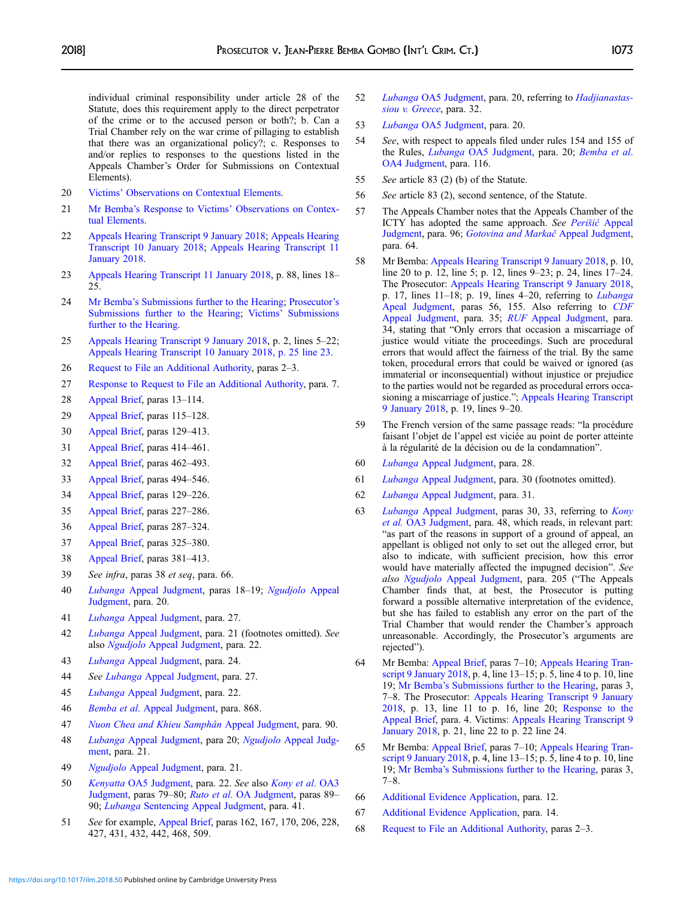<span id="page-42-0"></span>individual criminal responsibility under article 28 of the Statute, does this requirement apply to the direct perpetrator of the crime or to the accused person or both?; b. Can a Trial Chamber rely on the war crime of pillaging to establish that there was an organizational policy?; c. Responses to and/or replies to responses to the questions listed in the Appeals Chamber's Order for Submissions on Contextual Elements).

- 20 Victims' [Observations on Contextual Elements.](http://www.legal-tools.org/doc/9c6079/)
- 21 Mr Bemba's Response to Victims' [Observations on Contex](https://www.legal-tools.org/en/doc/4c8163/)[tual Elements](https://www.legal-tools.org/en/doc/4c8163/).
- 22 [Appeals Hearing Transcript 9 January 2018;](http://www.legal-tools.org/doc/c67518/) [Appeals Hearing](http://www.legal-tools.org/doc/2cf96d/) [Transcript 10 January 2018;](http://www.legal-tools.org/doc/2cf96d/) [Appeals Hearing Transcript 11](http://www.legal-tools.org/doc/023227/) [January 2018](http://www.legal-tools.org/doc/023227/).
- 23 [Appeals Hearing Transcript 11 January 2018,](http://www.legal-tools.org/doc/023227/) p. 88, lines 18–  $25.$
- 24 Mr Bemba'[s Submissions further to the Hearing;](http://www.legal-tools.org/doc/854ab4/) [Prosecutor](http://www.legal-tools.org/doc/70e8cd/)'s [Submissions further to the Hearing;](http://www.legal-tools.org/doc/70e8cd/) Victims' [Submissions](http://www.legal-tools.org/doc/132556/) [further to the Hearing.](http://www.legal-tools.org/doc/132556/)
- 25 [Appeals Hearing Transcript 9 January 2018,](http://www.legal-tools.org/doc/c67518/) p. 2, lines 5–22; [Appeals Hearing Transcript 10 January 2018, p. 25 line 23.](http://www.legal-tools.org/doc/2cf96d/)
- 26 [Request to File an Additional Authority,](http://www.legal-tools.org/doc/c21dbb/) paras 2–3.
- 27 [Response to Request to File an Additional Authority,](http://www.legal-tools.org/doc/e690da/) para. 7.
- 28 [Appeal Brief,](http://www.legal-tools.org/doc/41ed5b/) paras 13–114.
- 29 [Appeal Brief,](http://www.legal-tools.org/doc/41ed5b/) paras 115–128.
- 30 [Appeal Brief,](http://www.legal-tools.org/doc/41ed5b/) paras 129–413.
- 31 [Appeal Brief,](http://www.legal-tools.org/doc/41ed5b/) paras 414–461.
- 32 [Appeal Brief,](http://www.legal-tools.org/doc/41ed5b/) paras 462–493.
- 33 [Appeal Brief,](http://www.legal-tools.org/doc/41ed5b/) paras 494–546.
- 34 [Appeal Brief,](http://www.legal-tools.org/doc/41ed5b/) paras 129–226.
- 35 [Appeal Brief,](http://www.legal-tools.org/doc/41ed5b/) paras 227–286.
- 36 [Appeal Brief,](http://www.legal-tools.org/doc/41ed5b/) paras 287–324.
- 37 [Appeal Brief,](http://www.legal-tools.org/doc/41ed5b/) paras 325–380.
- 38 [Appeal Brief,](http://www.legal-tools.org/doc/41ed5b/) paras 381–413.
- 39 See infra, paras 38 et seq, para. 66.
- 40 Lubanga [Appeal Judgment](http://www.legal-tools.org/doc/585c75/), paras 18–19; [Ngudjolo](https://www.legal-tools.org/doc/efb111/) Appeal [Judgment,](https://www.legal-tools.org/doc/efb111/) para. 20.
- 41 Lubanga [Appeal Judgment,](http://www.legal-tools.org/doc/585c75/) para. 27.
- 42 Lubanga [Appeal Judgment,](http://www.legal-tools.org/doc/585c75/) para. 21 (footnotes omitted). See also Ngudjolo [Appeal Judgment](https://www.legal-tools.org/doc/efb111/pdf/), para. 22.
- 43 Lubanga [Appeal Judgment,](http://www.legal-tools.org/doc/585c75/) para. 24.
- 44 See Lubanga [Appeal Judgment,](http://www.legal-tools.org/doc/585c75/) para. 27.
- 45 Lubanga [Appeal Judgment,](http://www.legal-tools.org/doc/585c75/) para. 22.
- 46 Bemba et al[. Appeal Judgment,](http://www.legal-tools.org/doc/56cfc0/) para. 868.
- 47 [Nuon Chea and Khieu Samphân](http://www.legal-tools.org/doc/e66bb3/) Appeal Judgment, para. 90.
- 48 Lubanga [Appeal Judgment](http://www.legal-tools.org/doc/585c75/), para 20; Ngudjolo [Appeal Judg](https://www.legal-tools.org/doc/efb111/pdf/)[ment,](https://www.legal-tools.org/doc/efb111/pdf/) para. 21.
- 49 Ngudjolo [Appeal Judgment](https://www.legal-tools.org/doc/efb111/pdf/), para. 21.
- 50 Kenyatta [OA5 Judgment,](http://www.legal-tools.org/doc/23bed6-1/) para. 22. See also [Kony et al](http://www.legal-tools.org/doc/c40d73/). OA3 [Judgment,](http://www.legal-tools.org/doc/c40d73/) paras 79–80; Ruto et al. [OA Judgment,](http://www.legal-tools.org/doc/ac5d46/) paras 89– 90; Lubanga [Sentencing Appeal Judgment](http://www.legal-tools.org/doc/a9bd07/), para. 41.
- 51 See for example, [Appeal Brief,](https://www.legal-tools.org/en/doc/41ed5b/) paras 162, 167, 170, 206, 228, 427, 431, 432, 442, 468, 509.
- 52 Lubanga [OA5 Judgment](https://www.legal-tools.org/en/doc/883722/), para. 20, referring to [Hadjianastas](https://www.legal-tools.org/doc/0c4d17/)[siou v. Greece](https://www.legal-tools.org/doc/0c4d17/), para. 32.
- 53 Lubanga [OA5 Judgment,](https://www.legal-tools.org/en/doc/883722/) para. 20.
- 54 See, with respect to appeals filed under rules 154 and 155 of the Rules, *Lubanga* [OA5 Judgment,](https://www.legal-tools.org/en/doc/883722/) para. 20; *[Bemba et al](https://www.legal-tools.org/doc/174fc3/).* [OA4 Judgment,](https://www.legal-tools.org/doc/174fc3/) para. 116.
- 55 See article 83 (2) (b) of the Statute.
- 56 See article 83 (2), second sentence, of the Statute.
- 57 The Appeals Chamber notes that the Appeals Chamber of the ICTY has adopted the same approach. See Perišić [Appeal](http://www.legal-tools.org/doc/f006ba/) [Judgment,](http://www.legal-tools.org/doc/f006ba/) para. 96; [Gotovina and Marka](http://www.legal-tools.org/doc/03b685/)č Appeal Judgment, para. 64.
- 58 Mr Bemba: [Appeals Hearing Transcript 9 January 2018,](http://www.legal-tools.org/doc/c67518/) p. 10, line 20 to p. 12, line 5; p. 12, lines 9–23; p. 24, lines 17–24. The Prosecutor: [Appeals Hearing Transcript 9 January 2018,](http://www.legal-tools.org/doc/c67518/) p. 17, lines  $11-18$ ; p. 19, lines  $4-20$ , referring to *[Lubanga](http://www.legal-tools.org/doc/585c75/)* [Apeal Judgment,](http://www.legal-tools.org/doc/585c75/) paras 56, 155. Also referring to [CDF](http://www.legal-tools.org/doc/b31512/) [Appeal Judgment](http://www.legal-tools.org/doc/b31512/), para. 35; RUF [Appeal Judgment,](http://www.legal-tools.org/doc/133b48/) para. 34, stating that "Only errors that occasion a miscarriage of justice would vitiate the proceedings. Such are procedural errors that would affect the fairness of the trial. By the same token, procedural errors that could be waived or ignored (as immaterial or inconsequential) without injustice or prejudice to the parties would not be regarded as procedural errors occasioning a miscarriage of justice."; [Appeals Hearing Transcript](http://www.legal-tools.org/doc/c67518/) [9 January 2018,](http://www.legal-tools.org/doc/c67518/) p. 19, lines 9–20.
- 59 The French version of the same passage reads: "la procédure faisant l'objet de l'appel est viciée au point de porter atteinte à la régularité de la décision ou de la condamnation".
- 60 Lubanga [Appeal Judgment,](http://www.legal-tools.org/doc/585c75/) para. 28.
- 61 Lubanga [Appeal Judgment,](http://www.legal-tools.org/doc/585c75/) para. 30 (footnotes omitted).
- 62 Lubanga [Appeal Judgment,](http://www.legal-tools.org/doc/585c75/) para. 31.
- 63 Lubanga [Appeal Judgment,](http://www.legal-tools.org/doc/585c75/) paras 30, 33, referring to [Kony](https://www.legal-tools.org/doc/c40d73/pdf/) et al. [OA3 Judgment](https://www.legal-tools.org/doc/c40d73/pdf/), para. 48, which reads, in relevant part: "as part of the reasons in support of a ground of appeal, an appellant is obliged not only to set out the alleged error, but also to indicate, with sufficient precision, how this error would have materially affected the impugned decision". See also Ngudjolo [Appeal Judgment](https://www.legal-tools.org/doc/efb111/pdf/), para. 205 ("The Appeals Chamber finds that, at best, the Prosecutor is putting forward a possible alternative interpretation of the evidence, but she has failed to establish any error on the part of the Trial Chamber that would render the Chamber's approach unreasonable. Accordingly, the Prosecutor's arguments are rejected").
- 64 Mr Bemba: [Appeal Brief,](https://www.legal-tools.org/en/doc/41ed5b/) paras 7–10; [Appeals Hearing Tran](http://www.legal-tools.org/doc/c67518/)[script 9 January 2018](http://www.legal-tools.org/doc/c67518/), p. 4, line 13–15; p. 5, line 4 to p. 10, line 19; Mr Bemba'[s Submissions further to the Hearing,](http://www.legal-tools.org/doc/854ab4/) paras 3, 7–8. The Prosecutor: [Appeals Hearing Transcript 9 January](http://www.legal-tools.org/doc/c67518/) [2018](http://www.legal-tools.org/doc/c67518/), p. 13, line 11 to p. 16, line 20; [Response to the](http://www.legal-tools.org/doc/dc5bd8/) [Appeal Brief,](http://www.legal-tools.org/doc/dc5bd8/) para. 4. Victims: [Appeals Hearing Transcript 9](http://www.legal-tools.org/doc/c67518/) [January 2018](http://www.legal-tools.org/doc/c67518/), p. 21, line 22 to p. 22 line 24.
- 65 Mr Bemba: [Appeal Brief,](https://www.legal-tools.org/en/doc/41ed5b/) paras 7–10; [Appeals Hearing Tran](http://www.legal-tools.org/doc/c67518/)[script 9 January 2018](http://www.legal-tools.org/doc/c67518/), p. 4, line 13–15; p. 5, line 4 to p. 10, line 19; Mr Bemba'[s Submissions further to the Hearing,](http://www.legal-tools.org/doc/854ab4/) paras 3, 7–8.
- 66 [Additional Evidence Application,](http://www.legal-tools.org/doc/881de5/) para. 12.
- 67 [Additional Evidence Application,](http://www.legal-tools.org/doc/881de5/) para. 14.
- 68 [Request to File an Additional Authority,](http://www.legal-tools.org/doc/c21dbb/) paras 2–3.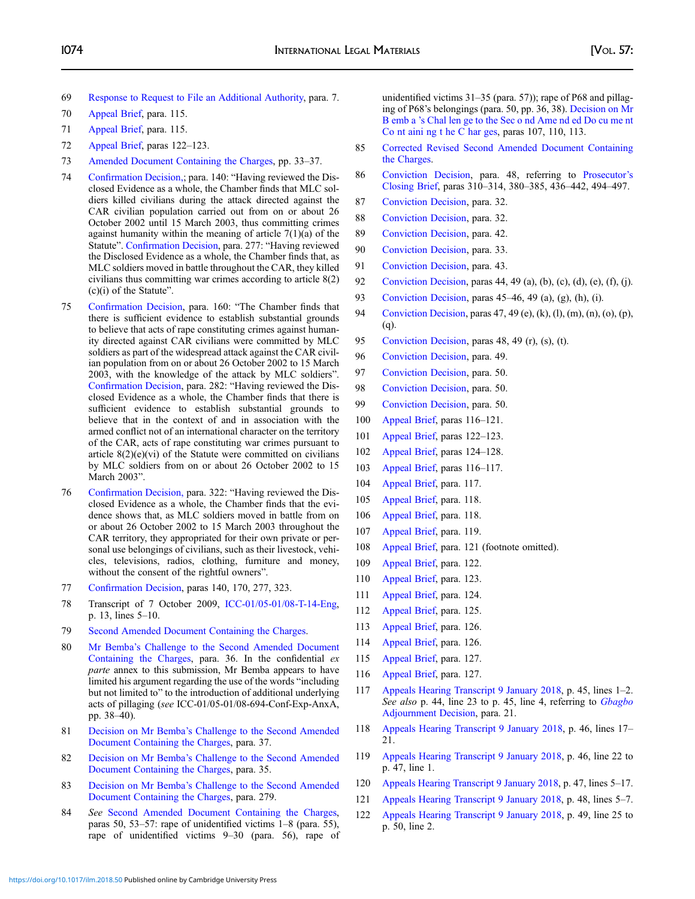- <span id="page-43-0"></span>69 [Response to Request to File an Additional Authority,](http://www.legal-tools.org/doc/e690da/) para. 7.
- 70 [Appeal Brief,](http://www.legal-tools.org/doc/41ed5b/) para. 115.
- 71 [Appeal Brief,](http://www.legal-tools.org/doc/41ed5b/) para. 115.
- 72 [Appeal Brief,](http://www.legal-tools.org/doc/41ed5b/) paras 122–123.
- 73 [Amended Document Containing the Charges](http://www.legal-tools.org/doc/d7f72e/), pp. 33–37.
- 74 Confi[rmation Decision,;](http://www.legal-tools.org/doc/07965c/) para. 140: "Having reviewed the Disclosed Evidence as a whole, the Chamber finds that MLC soldiers killed civilians during the attack directed against the CAR civilian population carried out from on or about 26 October 2002 until 15 March 2003, thus committing crimes against humanity within the meaning of article 7(1)(a) of the Statute". Confi[rmation Decision](http://www.legal-tools.org/doc/07965c/), para. 277: "Having reviewed the Disclosed Evidence as a whole, the Chamber finds that, as MLC soldiers moved in battle throughout the CAR, they killed civilians thus committing war crimes according to article 8(2) (c)(i) of the Statute".
- 75 Confi[rmation Decision,](http://www.legal-tools.org/doc/07965c/) para. 160: "The Chamber finds that there is sufficient evidence to establish substantial grounds to believe that acts of rape constituting crimes against humanity directed against CAR civilians were committed by MLC soldiers as part of the widespread attack against the CAR civilian population from on or about 26 October 2002 to 15 March 2003, with the knowledge of the attack by MLC soldiers". Confi[rmation Decision,](http://www.legal-tools.org/doc/07965c/) para. 282: "Having reviewed the Disclosed Evidence as a whole, the Chamber finds that there is sufficient evidence to establish substantial grounds to believe that in the context of and in association with the armed conflict not of an international character on the territory of the CAR, acts of rape constituting war crimes pursuant to article  $8(2)(e)(vi)$  of the Statute were committed on civilians by MLC soldiers from on or about 26 October 2002 to 15 March 2003".
- 76 Confi[rmation Decision,](http://www.legal-tools.org/doc/07965c/) para. 322: "Having reviewed the Disclosed Evidence as a whole, the Chamber finds that the evidence shows that, as MLC soldiers moved in battle from on or about 26 October 2002 to 15 March 2003 throughout the CAR territory, they appropriated for their own private or personal use belongings of civilians, such as their livestock, vehicles, televisions, radios, clothing, furniture and money, without the consent of the rightful owners".
- 77 Confi[rmation Decision,](http://www.legal-tools.org/doc/07965c/) paras 140, 170, 277, 323.
- 78 Transcript of 7 October 2009, [ICC-01/05-01/08-T-14-Eng,](http://www.legal-tools.org/doc/5f6ad1/) p. 13, lines 5–10.
- 79 [Second Amended Document Containing the Charges](http://www.legal-tools.org/doc/ee980a/).
- 80 Mr Bemba'[s Challenge to the Second Amended Document](http://www.legal-tools.org/doc/126f74/) [Containing the Charges](http://www.legal-tools.org/doc/126f74/), para. 36. In the confidential ex parte annex to this submission, Mr Bemba appears to have limited his argument regarding the use of the words "including but not limited to" to the introduction of additional underlying acts of pillaging (see ICC-01/05-01/08-694-Conf-Exp-AnxA, pp. 38–40).
- 81 Decision on Mr Bemba'[s Challenge to the Second Amended](http://www.legal-tools.org/doc/670c33/) [Document Containing the Charges](http://www.legal-tools.org/doc/670c33/), para. 37.
- 82 Decision on Mr Bemba'[s Challenge to the Second Amended](http://www.legal-tools.org/doc/670c33/) [Document Containing the Charges](http://www.legal-tools.org/doc/670c33/), para. 35.
- 83 Decision on Mr Bemba'[s Challenge to the Second Amended](http://www.legal-tools.org/doc/670c33/) [Document Containing the Charges](http://www.legal-tools.org/doc/670c33/), para. 279.
- 84 See [Second Amended Document Containing the Charges,](http://www.legal-tools.org/doc/ee980a/) paras 50, 53–57: rape of unidentified victims 1–8 (para. 55), rape of unidentified victims 9–30 (para. 56), rape of

unidentified victims 31–35 (para. 57)); rape of P68 and pillaging of P68's belongings (para. 50, pp. 36, 38). [Decision on Mr](http://www.legal-tools.org/doc/670c33/) B emb a '[s Chal len ge to the Sec o nd Ame nd ed Do cu me nt](http://www.legal-tools.org/doc/670c33/) [Co nt aini ng t he C har ges](http://www.legal-tools.org/doc/670c33/), paras 107, 110, 113.

- 85 [Corrected Revised Second Amended Document Containing](http://www.legal-tools.org/doc/2d3bfa/) [the Charges.](http://www.legal-tools.org/doc/2d3bfa/)
- 86 [Conviction Decision](http://www.legal-tools.org/doc/edb0cf/), para. 48, referring to [Prosecutor](http://www.legal-tools.org/doc/7eaa5c/)'s [Closing Brief,](http://www.legal-tools.org/doc/7eaa5c/) paras 310–314, 380–385, 436–442, 494–497.
- 87 [Conviction Decision](http://www.legal-tools.org/doc/edb0cf/), para. 32.
- 88 [Conviction Decision](http://www.legal-tools.org/doc/edb0cf/), para. 32.
- 89 [Conviction Decision](http://www.legal-tools.org/doc/edb0cf/), para. 42.
- 90 [Conviction Decision](http://www.legal-tools.org/doc/edb0cf/), para. 33.
- 91 [Conviction Decision](http://www.legal-tools.org/doc/edb0cf/), para. 43.
- 92 [Conviction Decision,](http://www.legal-tools.org/doc/edb0cf/) paras 44, 49 (a), (b), (c), (d), (e), (f), (j).
- 93 [Conviction Decision](http://www.legal-tools.org/doc/edb0cf/), paras 45–46, 49 (a), (g), (h), (i).
- 94 [Conviction Decision](http://www.legal-tools.org/doc/edb0cf/), paras 47, 49 (e), (k), (l), (m), (n), (o), (p), (q).
- 95 [Conviction Decision](http://www.legal-tools.org/doc/edb0cf/), paras 48, 49 (r), (s), (t).
- 96 [Conviction Decision](http://www.legal-tools.org/doc/edb0cf/), para. 49.
- 97 [Conviction Decision](http://www.legal-tools.org/doc/edb0cf/), para. 50.
- 98 [Conviction Decision](http://www.legal-tools.org/doc/edb0cf/), para. 50.
- 99 [Conviction Decision](http://www.legal-tools.org/doc/edb0cf/), para. 50.
- 100 [Appeal Brief,](http://www.legal-tools.org/doc/41ed5b/) paras 116–121.
- 101 [Appeal Brief,](http://www.legal-tools.org/doc/41ed5b/) paras 122–123.
- 102 [Appeal Brief,](http://www.legal-tools.org/doc/41ed5b/) paras 124–128.
- 103 [Appeal Brief,](http://www.legal-tools.org/doc/41ed5b/) paras 116–117.
- 104 [Appeal Brief,](http://www.legal-tools.org/doc/41ed5b/) para. 117.
- 105 [Appeal Brief,](http://www.legal-tools.org/doc/41ed5b/) para. 118.
- 106 [Appeal Brief,](http://www.legal-tools.org/doc/41ed5b/) para. 118.
- 107 [Appeal Brief,](http://www.legal-tools.org/doc/41ed5b/) para. 119.
- 108 [Appeal Brief,](http://www.legal-tools.org/doc/41ed5b/) para. 121 (footnote omitted).
- 109 [Appeal Brief,](http://www.legal-tools.org/doc/41ed5b/) para. 122.
- 110 [Appeal Brief,](http://www.legal-tools.org/doc/41ed5b/) para. 123.
- 111 [Appeal Brief,](http://www.legal-tools.org/doc/41ed5b/) para. 124.
- 112 [Appeal Brief,](http://www.legal-tools.org/doc/41ed5b/) para. 125.
- 113 [Appeal Brief,](http://www.legal-tools.org/doc/41ed5b/) para. 126.
- 114 [Appeal Brief,](http://www.legal-tools.org/doc/41ed5b/) para. 126.
- 115 [Appeal Brief,](http://www.legal-tools.org/doc/41ed5b/) para. 127.
- 116 [Appeal Brief,](http://www.legal-tools.org/doc/41ed5b/) para. 127.
- 117 [Appeals Hearing Transcript 9 January 2018,](http://www.legal-tools.org/doc/c67518/) p. 45, lines 1–2. See also p. 44, line 23 to p. 45, line 4, referring to *[Gbagbo](http://www.legal-tools.org/doc/2682d8/)* [Adjournment Decision,](http://www.legal-tools.org/doc/2682d8/) para. 21.
- 118 [Appeals Hearing Transcript 9 January 2018,](http://www.legal-tools.org/doc/c67518/) p. 46, lines 17– 21.
- 119 [Appeals Hearing Transcript 9 January 2018,](http://www.legal-tools.org/doc/c67518/) p. 46, line 22 to p. 47, line 1.
- 120 [Appeals Hearing Transcript 9 January 2018](http://www.legal-tools.org/doc/c67518/), p. 47, lines 5–17.
- 121 [Appeals Hearing Transcript 9 January 2018,](http://www.legal-tools.org/doc/c67518/) p. 48, lines 5–7.
- 122 [Appeals Hearing Transcript 9 January 2018,](http://www.legal-tools.org/doc/c67518/) p. 49, line 25 to p. 50, line 2.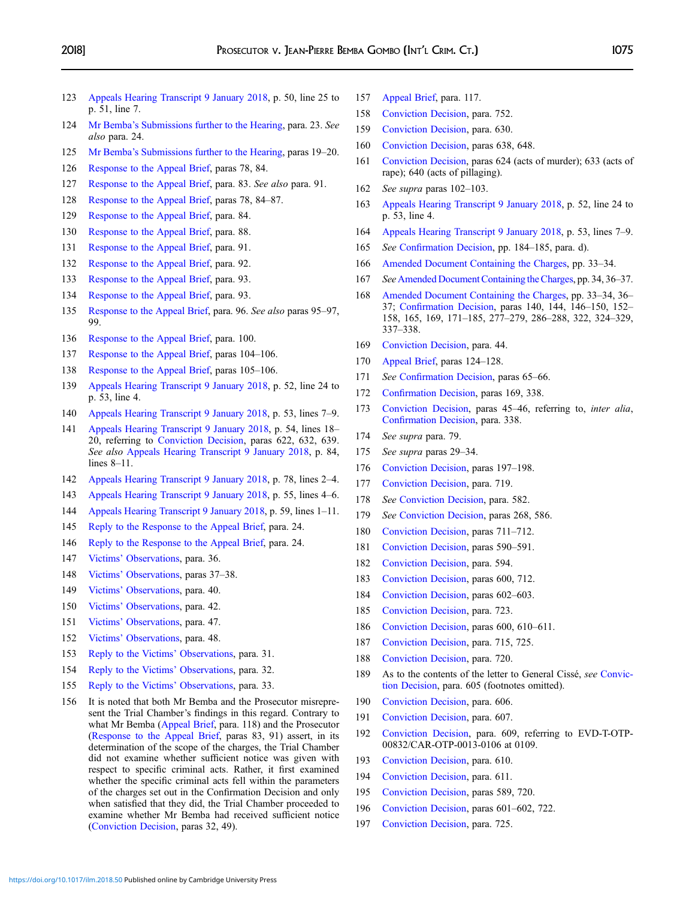- <span id="page-44-0"></span> [Appeals Hearing Transcript 9 January 2018,](http://www.legal-tools.org/doc/c67518/) p. 50, line 25 to p. 51, line 7.
- Mr Bemba'[s Submissions further to the Hearing,](http://www.legal-tools.org/doc/854ab4/) para. 23. See also para. 24.
- Mr Bemba'[s Submissions further to the Hearing,](http://www.legal-tools.org/doc/854ab4/) paras 19–20.
- [Response to the Appeal Brief,](http://www.legal-tools.org/doc/dc5bd8/) paras 78, 84.
- [Response to the Appeal Brief,](http://www.legal-tools.org/doc/dc5bd8/) para. 83. See also para. 91.
- [Response to the Appeal Brief,](http://www.legal-tools.org/doc/dc5bd8/) paras 78, 84–87.
- [Response to the Appeal Brief,](http://www.legal-tools.org/doc/dc5bd8/) para. 84.
- [Response to the Appeal Brief,](http://www.legal-tools.org/doc/dc5bd8/) para. 88.
- [Response to the Appeal Brief,](http://www.legal-tools.org/doc/dc5bd8/) para. 91.
- [Response to the Appeal Brief,](http://www.legal-tools.org/doc/dc5bd8/) para. 92.
- [Response to the Appeal Brief,](http://www.legal-tools.org/doc/dc5bd8/) para. 93.
- [Response to the Appeal Brief,](http://www.legal-tools.org/doc/dc5bd8/) para. 93.
- [Response to the Appeal Brief](http://www.legal-tools.org/doc/dc5bd8/), para. 96. See also paras 95–97, 99.
- [Response to the Appeal Brief,](http://www.legal-tools.org/doc/dc5bd8/) para. 100.
- [Response to the Appeal Brief,](http://www.legal-tools.org/doc/dc5bd8/) paras 104–106.
- [Response to the Appeal Brief,](http://www.legal-tools.org/doc/dc5bd8/) paras 105–106.
- [Appeals Hearing Transcript 9 January 2018,](http://www.legal-tools.org/doc/c67518/) p. 52, line 24 to p. 53, line 4.
- [Appeals Hearing Transcript 9 January 2018,](http://www.legal-tools.org/doc/c67518/) p. 53, lines 7–9.
- [Appeals Hearing Transcript 9 January 2018,](http://www.legal-tools.org/doc/c67518/) p. 54, lines 18– 20, referring to [Conviction Decision,](http://www.legal-tools.org/doc/edb0cf/) paras 622, 632, 639. See also [Appeals Hearing Transcript 9 January 2018](http://www.legal-tools.org/doc/c67518/), p. 84, lines 8–11.
- [Appeals Hearing Transcript 9 January 2018,](http://www.legal-tools.org/doc/c67518/) p. 78, lines 2–4.
- [Appeals Hearing Transcript 9 January 2018,](http://www.legal-tools.org/doc/c67518/) p. 55, lines 4–6.
- [Appeals Hearing Transcript 9 January 2018](http://www.legal-tools.org/doc/c67518/), p. 59, lines 1–11.
- [Reply to the Response to the Appeal Brief](http://www.legal-tools.org/doc/98f07f/), para. 24.
- [Reply to the Response to the Appeal Brief](http://www.legal-tools.org/doc/98f07f/), para. 24.
- Victims' [Observations](http://www.legal-tools.org/doc/c19243/), para. 36.
- Victims' [Observations](http://www.legal-tools.org/doc/c19243/), paras 37–38.
- Victims' [Observations](http://www.legal-tools.org/doc/c19243/), para. 40.
- Victims' [Observations](http://www.legal-tools.org/doc/c19243/), para. 42.
- Victims' [Observations](http://www.legal-tools.org/doc/c19243/), para. 47.
- Victims' [Observations](http://www.legal-tools.org/doc/c19243/), para. 48.
- [Reply to the Victims](http://www.legal-tools.org/doc/94a52a/)' Observations, para. 31.
- [Reply to the Victims](http://www.legal-tools.org/doc/94a52a/)' Observations, para. 32.
- [Reply to the Victims](http://www.legal-tools.org/doc/94a52a/)' Observations, para. 33.
- 156 It is noted that both Mr Bemba and the Prosecutor misrepresent the Trial Chamber's findings in this regard. Contrary to what Mr Bemba [\(Appeal Brief,](http://www.legal-tools.org/doc/41ed5b/) para. 118) and the Prosecutor ([Response to the Appeal Brief](http://www.legal-tools.org/doc/dc5bd8/), paras 83, 91) assert, in its determination of the scope of the charges, the Trial Chamber did not examine whether sufficient notice was given with respect to specific criminal acts. Rather, it first examined whether the specific criminal acts fell within the parameters of the charges set out in the Confirmation Decision and only when satisfied that they did, the Trial Chamber proceeded to examine whether Mr Bemba had received sufficient notice ([Conviction Decision,](http://www.legal-tools.org/doc/edb0cf/) paras 32, 49).
- [Appeal Brief,](http://www.legal-tools.org/doc/41ed5b/) para. 117.
- [Conviction Decision](http://www.legal-tools.org/doc/edb0cf/), para. 752.
- [Conviction Decision](http://www.legal-tools.org/doc/edb0cf/), para. 630.
- [Conviction Decision](http://www.legal-tools.org/doc/edb0cf/), paras 638, 648.
- [Conviction Decision,](http://www.legal-tools.org/doc/edb0cf/) paras 624 (acts of murder); 633 (acts of rape); 640 (acts of pillaging).
- See supra paras 102–103.
- [Appeals Hearing Transcript 9 January 2018,](http://www.legal-tools.org/doc/c67518/) p. 52, line 24 to p. 53, line 4.
- [Appeals Hearing Transcript 9 January 2018,](http://www.legal-tools.org/doc/c67518/) p. 53, lines 7–9.
- See Confi[rmation Decision,](http://www.legal-tools.org/doc/07965c/) pp. 184–185, para. d).
- [Amended Document Containing the Charges](http://www.legal-tools.org/doc/d7f72e/), pp. 33–34.
- See [Amended Document Containing the Charges](http://www.legal-tools.org/doc/d7f72e/), pp. 34, 36–37.
- [Amended Document Containing the Charges,](http://www.legal-tools.org/doc/d7f72e/) pp. 33–34, 36– 37; Confi[rmation Decision](http://www.legal-tools.org/doc/07965c/), paras 140, 144, 146–150, 152– 158, 165, 169, 171–185, 277–279, 286–288, 322, 324–329, –338.
- [Conviction Decision](http://www.legal-tools.org/doc/edb0cf/), para. 44.
- [Appeal Brief,](http://www.legal-tools.org/doc/41ed5b/) paras 124–128.
- 171 See Confi[rmation Decision,](http://www.legal-tools.org/doc/07965c/) paras 65–66.
- Confi[rmation Decision,](http://www.legal-tools.org/doc/07965c/) paras 169, 338.
- [Conviction Decision,](http://www.legal-tools.org/doc/edb0cf/) paras 45–46, referring to, inter alia, Confi[rmation Decision,](http://www.legal-tools.org/doc/07965c/) para. 338.
- See supra para. 79.
- See supra paras 29–34.
- [Conviction Decision](https://www.legal-tools.org/en/doc/edb0cf/), paras 197–198.
- [Conviction Decision](https://www.legal-tools.org/en/doc/edb0cf/), para. 719.
- 178 See [Conviction Decision](https://www.legal-tools.org/en/doc/edb0cf/), para. 582.
- See [Conviction Decision](https://www.legal-tools.org/en/doc/edb0cf/), paras 268, 586.
- [Conviction Decision](https://www.legal-tools.org/en/doc/edb0cf/), paras 711–712.
- [Conviction Decision](https://www.legal-tools.org/en/doc/edb0cf/), paras 590–591.
- [Conviction Decision](https://www.legal-tools.org/en/doc/edb0cf/), para. 594.
- [Conviction Decision](https://www.legal-tools.org/en/doc/edb0cf/), paras 600, 712.
- [Conviction Decision](https://www.legal-tools.org/en/doc/edb0cf/), paras 602–603.
- [Conviction Decision](https://www.legal-tools.org/en/doc/edb0cf/), para. 723.
- [Conviction Decision](https://www.legal-tools.org/en/doc/edb0cf/), paras 600, 610–611.
- [Conviction Decision](https://www.legal-tools.org/en/doc/edb0cf/), para. 715, 725.
- [Conviction Decision](https://www.legal-tools.org/en/doc/edb0cf/), para. 720.
- 189 As to the contents of the letter to General Cissé, see [Convic](https://www.legal-tools.org/en/doc/edb0cf/)[tion Decision](https://www.legal-tools.org/en/doc/edb0cf/), para. 605 (footnotes omitted).
- [Conviction Decision](https://www.legal-tools.org/en/doc/edb0cf/), para. 606.
- [Conviction Decision](https://www.legal-tools.org/en/doc/edb0cf/), para. 607.
- [Conviction Decision](https://www.legal-tools.org/en/doc/edb0cf/), para. 609, referring to EVD-T-OTP-00832/CAR-OTP-0013-0106 at 0109.
- [Conviction Decision](https://www.legal-tools.org/en/doc/edb0cf/), para. 610.
- [Conviction Decision](https://www.legal-tools.org/en/doc/edb0cf/), para. 611.
- [Conviction Decision](https://www.legal-tools.org/en/doc/edb0cf/), paras 589, 720.
- [Conviction Decision](https://www.legal-tools.org/en/doc/edb0cf/), paras 601–602, 722.
- [Conviction Decision](https://www.legal-tools.org/en/doc/edb0cf/), para. 725.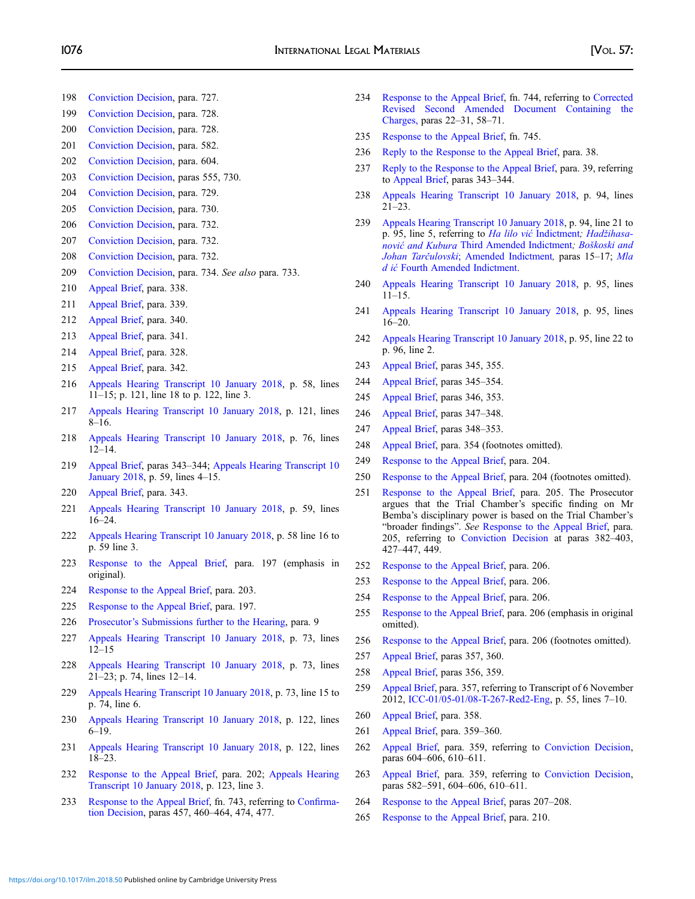- <span id="page-45-0"></span>[Conviction Decision](https://www.legal-tools.org/en/doc/edb0cf/), para. 727.
- [Conviction Decision](https://www.legal-tools.org/en/doc/edb0cf/), para. 728.
- [Conviction Decision](https://www.legal-tools.org/en/doc/edb0cf/), para. 728.
- [Conviction Decision](https://www.legal-tools.org/en/doc/edb0cf/), para. 582.
- [Conviction Decision](https://www.legal-tools.org/en/doc/edb0cf/), para. 604.
- [Conviction Decision](https://www.legal-tools.org/en/doc/edb0cf/), paras 555, 730.
- [Conviction Decision](https://www.legal-tools.org/en/doc/edb0cf/), para. 729.
- [Conviction Decision](https://www.legal-tools.org/en/doc/edb0cf/), para. 730.
- [Conviction Decision](https://www.legal-tools.org/en/doc/edb0cf/), para. 732.
- [Conviction Decision](https://www.legal-tools.org/en/doc/edb0cf/), para. 732.
- [Conviction Decision](https://www.legal-tools.org/en/doc/edb0cf/), para. 732.
- [Conviction Decision](https://www.legal-tools.org/en/doc/edb0cf/), para. 734. See also para. 733.
- [Appeal Brief,](https://www.legal-tools.org/en/doc/41ed5b/) para. 338.
- [Appeal Brief,](https://www.legal-tools.org/en/doc/41ed5b/) para. 339.
- [Appeal Brief,](https://www.legal-tools.org/en/doc/41ed5b/) para. 340.
- [Appeal Brief,](https://www.legal-tools.org/en/doc/41ed5b/) para. 341.
- [Appeal Brief,](https://www.legal-tools.org/en/doc/41ed5b/) para. 328.
- [Appeal Brief,](https://www.legal-tools.org/en/doc/41ed5b/) para. 342.
- [Appeals Hearing Transcript 10 January 2018,](http://www.legal-tools.org/doc/2cf96d/) p. 58, lines –15; p. 121, line 18 to p. 122, line 3.
- [Appeals Hearing Transcript 10 January 2018](http://www.legal-tools.org/doc/2cf96d/), p. 121, lines –16.
- [Appeals Hearing Transcript 10 January 2018,](http://www.legal-tools.org/doc/2cf96d/) p. 76, lines –14.
- [Appeal Brief,](https://www.legal-tools.org/en/doc/41ed5b/) paras 343–344; [Appeals Hearing Transcript 10](http://www.legal-tools.org/doc/2cf96d/) [January 2018](http://www.legal-tools.org/doc/2cf96d/), p. 59, lines 4–15.
- [Appeal Brief,](https://www.legal-tools.org/en/doc/41ed5b/) para. 343.
- [Appeals Hearing Transcript 10 January 2018,](http://www.legal-tools.org/doc/2cf96d/) p. 59, lines –24.
- [Appeals Hearing Transcript 10 January 2018](http://www.legal-tools.org/doc/2cf96d/), p. 58 line 16 to p. 59 line 3.
- [Response to the Appeal Brief](https://www.legal-tools.org/en/doc/dc5bd8/), para. 197 (emphasis in original).
- [Response to the Appeal Brief,](https://www.legal-tools.org/en/doc/dc5bd8/) para. 203.
- [Response to the Appeal Brief,](https://www.legal-tools.org/en/doc/dc5bd8/) para. 197.
- Prosecutor'[s Submissions further to the Hearing](http://www.legal-tools.org/doc/70e8cd/), para. 9
- [Appeals Hearing Transcript 10 January 2018,](http://www.legal-tools.org/doc/2cf96d/) p. 73, lines –15
- [Appeals Hearing Transcript 10 January 2018,](http://www.legal-tools.org/doc/2cf96d/) p. 73, lines –23; p. 74, lines 12–14.
- [Appeals Hearing Transcript 10 January 2018](http://www.legal-tools.org/doc/2cf96d/), p. 73, line 15 to p. 74, line 6.
- [Appeals Hearing Transcript 10 January 2018,](http://www.legal-tools.org/doc/2cf96d/) p. 122, lines –19.
- [Appeals Hearing Transcript 10 January 2018,](http://www.legal-tools.org/doc/2cf96d/) p. 122, lines –23.
- [Response to the Appeal Brief,](https://www.legal-tools.org/en/doc/dc5bd8/) para. 202; [Appeals Hearing](http://www.legal-tools.org/doc/2cf96d/) [Transcript 10 January 2018,](http://www.legal-tools.org/doc/2cf96d/) p. 123, line 3.
- [Response to the Appeal Brief](https://www.legal-tools.org/en/doc/dc5bd8/), fn. 743, referring to Confi[rma](https://www.legal-tools.org/en/doc/07965c/)[tion Decision](https://www.legal-tools.org/en/doc/07965c/), paras 457, 460–464, 474, 477.
- [Response to the Appeal Brief,](https://www.legal-tools.org/en/doc/dc5bd8/) fn. 744, referring to [Corrected](http://www.legal-tools.org/doc/2d3bfa/) [Revised Second Amended Document Containing the](http://www.legal-tools.org/doc/2d3bfa/) [Charges,](http://www.legal-tools.org/doc/2d3bfa/) paras 22–31, 58–71.
- [Response to the Appeal Brief,](https://www.legal-tools.org/en/doc/dc5bd8/) fn. 745.
- [Reply to the Response to the Appeal Brief](https://www.legal-tools.org/en/doc/98f07f/), para. 38.
- [Reply to the Response to the Appeal Brief,](https://www.legal-tools.org/en/doc/98f07f/) para. 39, referring to [Appeal Brief](https://www.legal-tools.org/en/doc/41ed5b/), paras 343–344.
- [Appeals Hearing Transcript 10 January 2018,](http://www.legal-tools.org/doc/2cf96d/) p. 94, lines –23.
- [Appeals Hearing Transcript 10 January 2018](http://www.legal-tools.org/doc/2cf96d/), p. 94, line 21 to p. 95, line 5, referring to Ha lilo vić [Indictment](http://www.legal-tools.org/doc/dbbbf8/); Hadž[ihasa](http://www.legal-tools.org/doc/55e956/)nović and Kubura [Third Amended Indictment](http://www.legal-tools.org/doc/55e956/); Boš[koski and](http://www.legal-tools.org/doc/c0553a/) Johan Tarčulovski[; Amended Indictment](http://www.legal-tools.org/doc/c0553a/), paras 15–17; [Mla](http://www.legal-tools.org/doc/b863f7/) d ić [Fourth Amended Indictment.](http://www.legal-tools.org/doc/b863f7/)
- [Appeals Hearing Transcript 10 January 2018,](http://www.legal-tools.org/doc/2cf96d/) p. 95, lines –15.
- [Appeals Hearing Transcript 10 January 2018,](http://www.legal-tools.org/doc/2cf96d/) p. 95, lines –20.
- [Appeals Hearing Transcript 10 January 2018](http://www.legal-tools.org/doc/2cf96d/), p. 95, line 22 to p. 96, line 2.
- [Appeal Brief,](https://www.legal-tools.org/en/doc/41ed5b/) paras 345, 355.
- [Appeal Brief,](https://www.legal-tools.org/en/doc/41ed5b/) paras 345–354.
- [Appeal Brief,](https://www.legal-tools.org/en/doc/41ed5b/) paras 346, 353.
- [Appeal Brief,](https://www.legal-tools.org/en/doc/41ed5b/) paras 347–348.
- [Appeal Brief,](https://www.legal-tools.org/en/doc/41ed5b/) paras 348–353.
- [Appeal Brief,](https://www.legal-tools.org/en/doc/41ed5b/) para. 354 (footnotes omitted).
- [Response to the Appeal Brief,](http://www.legal-tools.org/doc/dc5bd8/) para. 204.
- [Response to the Appeal Brief,](http://www.legal-tools.org/doc/dc5bd8/) para. 204 (footnotes omitted).
- [Response to the Appeal Brief,](http://www.legal-tools.org/doc/dc5bd8/) para. 205. The Prosecutor argues that the Trial Chamber's specific finding on Mr Bemba's disciplinary power is based on the Trial Chamber's "broader findings". See [Response to the Appeal Brief,](http://www.legal-tools.org/doc/dc5bd8/) para. 205, referring to [Conviction Decision](https://www.legal-tools.org/en/doc/edb0cf/) at paras 382–403, –447, 449.
- [Response to the Appeal Brief,](http://www.legal-tools.org/doc/dc5bd8/) para. 206.
- [Response to the Appeal Brief,](http://www.legal-tools.org/doc/dc5bd8/) para. 206.
- [Response to the Appeal Brief,](http://www.legal-tools.org/doc/dc5bd8/) para. 206.
- [Response to the Appeal Brief](http://www.legal-tools.org/doc/dc5bd8/), para. 206 (emphasis in original omitted).
- [Response to the Appeal Brief,](http://www.legal-tools.org/doc/dc5bd8/) para. 206 (footnotes omitted).
- [Appeal Brief,](https://www.legal-tools.org/en/doc/41ed5b/) paras 357, 360.
- [Appeal Brief,](https://www.legal-tools.org/en/doc/41ed5b/) paras 356, 359.
- [Appeal Brief,](https://www.legal-tools.org/en/doc/41ed5b/) para. 357, referring to Transcript of 6 November 2012, [ICC-01/05-01/08-T-267-Red2-Eng,](http://www.legal-tools.org/doc/3c1ea6/) p. 55, lines 7–10.
- [Appeal Brief,](https://www.legal-tools.org/en/doc/41ed5b/) para. 358.
- [Appeal Brief,](https://www.legal-tools.org/en/doc/41ed5b/) para. 359–360.
- [Appeal Brief](https://www.legal-tools.org/en/doc/41ed5b/), para. 359, referring to [Conviction Decision,](https://www.legal-tools.org/en/doc/edb0cf/) paras 604–606, 610–611.
- [Appeal Brief](https://www.legal-tools.org/en/doc/41ed5b/), para. 359, referring to [Conviction Decision,](https://www.legal-tools.org/en/doc/edb0cf/) paras 582–591, 604–606, 610–611.
- [Response to the Appeal Brief,](http://www.legal-tools.org/doc/dc5bd8/) paras 207–208.
- [Response to the Appeal Brief,](http://www.legal-tools.org/doc/dc5bd8/) para. 210.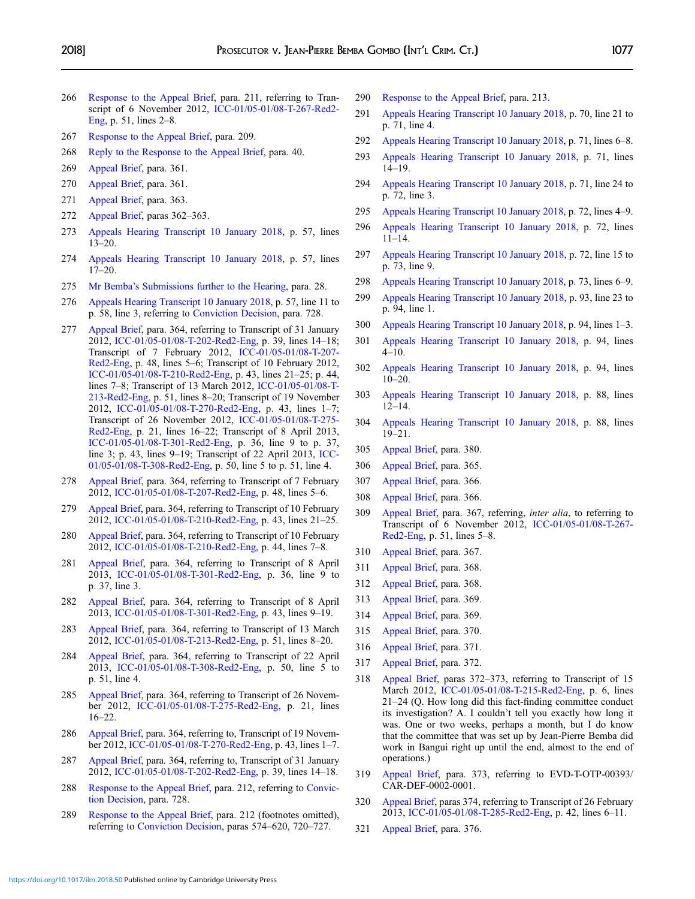- <span id="page-46-0"></span>266 [Response to the Appeal Brief](http://www.legal-tools.org/doc/dc5bd8/), para. 211, referring to Transcript of 6 November 2012, [ICC-01/05-01/08-T-267-Red2-](http://www.legal-tools.org/doc/3c1ea6/) [Eng](http://www.legal-tools.org/doc/3c1ea6/), p. 51, lines 2–8.
- 267 [Response to the Appeal Brief,](http://www.legal-tools.org/doc/dc5bd8/) para. 209.
- 268 [Reply to the Response to the Appeal Brief](https://www.legal-tools.org/en/doc/98f07f/), para. 40.
- 269 [Appeal Brief,](https://www.legal-tools.org/en/doc/41ed5b/) para. 361.
- 270 [Appeal Brief,](https://www.legal-tools.org/en/doc/41ed5b/) para. 361.
- 271 [Appeal Brief,](https://www.legal-tools.org/en/doc/41ed5b/) para. 363.
- 272 [Appeal Brief,](https://www.legal-tools.org/en/doc/41ed5b/) paras 362–363.
- 273 [Appeals Hearing Transcript 10 January 2018,](http://www.legal-tools.org/doc/2cf96d/) p. 57, lines 13–20.
- 274 [Appeals Hearing Transcript 10 January 2018,](http://www.legal-tools.org/doc/2cf96d/) p. 57, lines 17–20.
- 275 Mr Bemba'[s Submissions further to the Hearing,](http://www.legal-tools.org/doc/854ab4/) para. 28.
- 276 [Appeals Hearing Transcript 10 January 2018](http://www.legal-tools.org/doc/2cf96d/), p. 57, line 11 to p. 58, line 3, referring to [Conviction Decision](https://www.legal-tools.org/en/doc/edb0cf/), para. 728.
- 277 [Appeal Brief,](https://www.legal-tools.org/en/doc/41ed5b/) para. 364, referring to Transcript of 31 January 2012, [ICC-01/05-01/08-T-202-Red2-Eng,](http://www.legal-tools.org/doc/ac842f/) p. 39, lines 14–18; Transcript of 7 February 2012, [ICC-01/05-01/08-T-207-](http://www.legal-tools.org/doc/a94dbc/) [Red2-Eng](http://www.legal-tools.org/doc/a94dbc/), p. 48, lines 5–6; Transcript of 10 February 2012, [ICC-01/05-01/08-T-210-Red2-Eng,](http://www.legal-tools.org/doc/42f4d6/) p. 43, lines 21–25; p. 44, lines 7–8; Transcript of 13 March 2012, [ICC-01/05-01/08-T-](http://www.legal-tools.org/doc/8dbb69/)[213-Red2-Eng,](http://www.legal-tools.org/doc/8dbb69/) p. 51, lines 8–20; Transcript of 19 November 2012, [ICC-01/05-01/08-T-270-Red2-Eng,](http://www.legal-tools.org/doc/4467a8/) p. 43, lines 1–7; Transcript of 26 November 2012, [ICC-01/05-01/08-T-275-](http://www.legal-tools.org/doc/6313e2/) [Red2-Eng](http://www.legal-tools.org/doc/6313e2/), p. 21, lines 16–22; Transcript of 8 April 2013, [ICC-01/05-01/08-T-301-Red2-Eng,](http://www.legal-tools.org/doc/c29ad5/) p. 36, line 9 to p. 37, line 3; p. 43, lines 9–19; Transcript of 22 April 2013, [ICC-](http://www.legal-tools.org/doc/e109f9/)[01/05-01/08-T-308-Red2-Eng,](http://www.legal-tools.org/doc/e109f9/) p. 50, line 5 to p. 51, line 4.
- 278 [Appeal Brief,](https://www.legal-tools.org/en/doc/41ed5b/) para. 364, referring to Transcript of 7 February 2012, [ICC-01/05-01/08-T-207-Red2-Eng,](http://www.legal-tools.org/doc/a94dbc/) p. 48, lines 5–6.
- 279 [Appeal Brief](https://www.legal-tools.org/en/doc/41ed5b/), para. 364, referring to Transcript of 10 February 2012, [ICC-01/05-01/08-T-210-Red2-Eng,](http://www.legal-tools.org/doc/42f4d6/) p. 43, lines 21–25.
- 280 [Appeal Brief](https://www.legal-tools.org/en/doc/41ed5b/), para. 364, referring to Transcript of 10 February 2012, [ICC-01/05-01/08-T-210-Red2-Eng,](http://www.legal-tools.org/doc/42f4d6/) p. 44, lines 7–8.
- 281 [Appeal Brief](https://www.legal-tools.org/en/doc/41ed5b/), para. 364, referring to Transcript of 8 April 2013, [ICC-01/05-01/08-T-301-Red2-Eng](http://www.legal-tools.org/doc/c29ad5/), p. 36, line 9 to p. 37, line 3.
- 282 [Appeal Brief](https://www.legal-tools.org/en/doc/41ed5b/), para. 364, referring to Transcript of 8 April 2013, [ICC-01/05-01/08-T-301-Red2-Eng,](http://www.legal-tools.org/doc/c29ad5/) p. 43, lines 9–19.
- 283 [Appeal Brief](https://www.legal-tools.org/en/doc/41ed5b/), para. 364, referring to Transcript of 13 March 2012, [ICC-01/05-01/08-T-213-Red2-Eng,](http://www.legal-tools.org/doc/8dbb69/) p. 51, lines 8–20.
- 284 [Appeal Brief,](https://www.legal-tools.org/en/doc/41ed5b/) para. 364, referring to Transcript of 22 April 2013, [ICC-01/05-01/08-T-308-Red2-Eng](http://www.legal-tools.org/doc/e109f9/), p. 50, line 5 to p. 51, line 4.
- 285 [Appeal Brief](https://www.legal-tools.org/en/doc/41ed5b/), para. 364, referring to Transcript of 26 November 2012, [ICC-01/05-01/08-T-275-Red2-Eng](http://www.legal-tools.org/doc/6313e2/), p. 21, lines 16–22.
- 286 [Appeal Brief](https://www.legal-tools.org/en/doc/41ed5b/), para. 364, referring to, Transcript of 19 November 2012, [ICC-01/05-01/08-T-270-Red2-Eng](http://www.legal-tools.org/doc/4467a8/), p. 43, lines 1–7.
- 287 [Appeal Brief](https://www.legal-tools.org/en/doc/41ed5b/), para. 364, referring to, Transcript of 31 January 2012, [ICC-01/05-01/08-T-202-Red2-Eng,](http://www.legal-tools.org/doc/ac842f/) p. 39, lines 14–18.
- 288 [Response to the Appeal Brief](http://www.legal-tools.org/doc/dc5bd8/), para. 212, referring to [Convic](https://www.legal-tools.org/en/doc/edb0cf/)[tion Decision](https://www.legal-tools.org/en/doc/edb0cf/), para. 728.
- 289 [Response to the Appeal Brief,](http://www.legal-tools.org/doc/dc5bd8/) para. 212 (footnotes omitted), referring to [Conviction Decision](https://www.legal-tools.org/en/doc/edb0cf/), paras 574–620, 720–727.
- 290 [Response to the Appeal Brief,](http://www.legal-tools.org/doc/dc5bd8/) para. 213.
- 291 [Appeals Hearing Transcript 10 January 2018](http://www.legal-tools.org/doc/2cf96d/), p. 70, line 21 to p. 71, line 4.
- 292 [Appeals Hearing Transcript 10 January 2018,](http://www.legal-tools.org/doc/2cf96d/) p. 71, lines 6–8.
- 293 [Appeals Hearing Transcript 10 January 2018,](http://www.legal-tools.org/doc/2cf96d/) p. 71, lines 14–19.
- 294 [Appeals Hearing Transcript 10 January 2018](http://www.legal-tools.org/doc/2cf96d/), p. 71, line 24 to p. 72, line 3.
- 295 [Appeals Hearing Transcript 10 January 2018,](http://www.legal-tools.org/doc/2cf96d/) p. 72, lines 4–9.
- 296 [Appeals Hearing Transcript 10 January 2018,](http://www.legal-tools.org/doc/2cf96d/) p. 72, lines 11–14.
- 297 [Appeals Hearing Transcript 10 January 2018](http://www.legal-tools.org/doc/2cf96d/), p. 72, line 15 to p. 73, line 9.
- 298 [Appeals Hearing Transcript 10 January 2018,](http://www.legal-tools.org/doc/2cf96d/) p. 73, lines 6–9.
- 299 [Appeals Hearing Transcript 10 January 2018](http://www.legal-tools.org/doc/2cf96d/), p. 93, line 23 to p. 94, line 1.
- 300 [Appeals Hearing Transcript 10 January 2018,](http://www.legal-tools.org/doc/2cf96d/) p. 94, lines 1–3.
- 301 [Appeals Hearing Transcript 10 January 2018,](http://www.legal-tools.org/doc/2cf96d/) p. 94, lines 4–10.
- 302 [Appeals Hearing Transcript 10 January 2018,](http://www.legal-tools.org/doc/2cf96d/) p. 94, lines  $10-20$ .
- 303 [Appeals Hearing Transcript 10 January 2018,](http://www.legal-tools.org/doc/2cf96d/) p. 88, lines 12–14.
- 304 [Appeals Hearing Transcript 10 January 2018,](http://www.legal-tools.org/doc/2cf96d/) p. 88, lines 19–21.
- 305 [Appeal Brief,](https://www.legal-tools.org/en/doc/41ed5b/) para. 380.
- 306 [Appeal Brief,](https://www.legal-tools.org/en/doc/41ed5b/) para. 365.
- 307 [Appeal Brief,](https://www.legal-tools.org/en/doc/41ed5b/) para. 366.
- 308 [Appeal Brief,](https://www.legal-tools.org/en/doc/41ed5b/) para. 366.
- 309 [Appeal Brief](https://www.legal-tools.org/en/doc/41ed5b/), para. 367, referring, inter alia, to referring to Transcript of 6 November 2012, [ICC-01/05-01/08-T-267-](http://www.legal-tools.org/doc/3c1ea6/) [Red2-Eng](http://www.legal-tools.org/doc/3c1ea6/), p. 51, lines 5–8.
- 310 [Appeal Brief,](https://www.legal-tools.org/en/doc/41ed5b/) para. 367.
- 311 [Appeal Brief,](https://www.legal-tools.org/en/doc/41ed5b/) para. 368.
- 312 [Appeal Brief,](https://www.legal-tools.org/en/doc/41ed5b/) para. 368.
- 313 [Appeal Brief,](https://www.legal-tools.org/en/doc/41ed5b/) para. 369.
- 314 [Appeal Brief,](https://www.legal-tools.org/en/doc/41ed5b/) para. 369.
- 315 [Appeal Brief,](https://www.legal-tools.org/en/doc/41ed5b/) para. 370.
- 316 [Appeal Brief,](https://www.legal-tools.org/en/doc/41ed5b/) para. 371.
- 317 [Appeal Brief,](https://www.legal-tools.org/en/doc/41ed5b/) para. 372.
- 318 [Appeal Brief,](https://www.legal-tools.org/en/doc/41ed5b/) paras 372–373, referring to Transcript of 15 March 2012, [ICC-01/05-01/08-T-215-Red2-Eng](http://www.legal-tools.org/doc/58ae50/), p. 6, lines 21–24 (Q. How long did this fact-finding committee conduct its investigation? A. I couldn't tell you exactly how long it was. One or two weeks, perhaps a month, but I do know that the committee that was set up by Jean-Pierre Bemba did work in Bangui right up until the end, almost to the end of operations.)
- 319 [Appeal Brief,](https://www.legal-tools.org/en/doc/41ed5b/) para. 373, referring to EVD-T-OTP-00393/ CAR-DEF-0002-0001.
- 320 [Appeal Brief,](https://www.legal-tools.org/en/doc/41ed5b/) paras 374, referring to Transcript of 26 February 2013, [ICC-01/05-01/08-T-285-Red2-Eng,](http://www.legal-tools.org/doc/5c9de7/) p. 42, lines 6–11.
- 321 [Appeal Brief,](https://www.legal-tools.org/en/doc/41ed5b/) para. 376.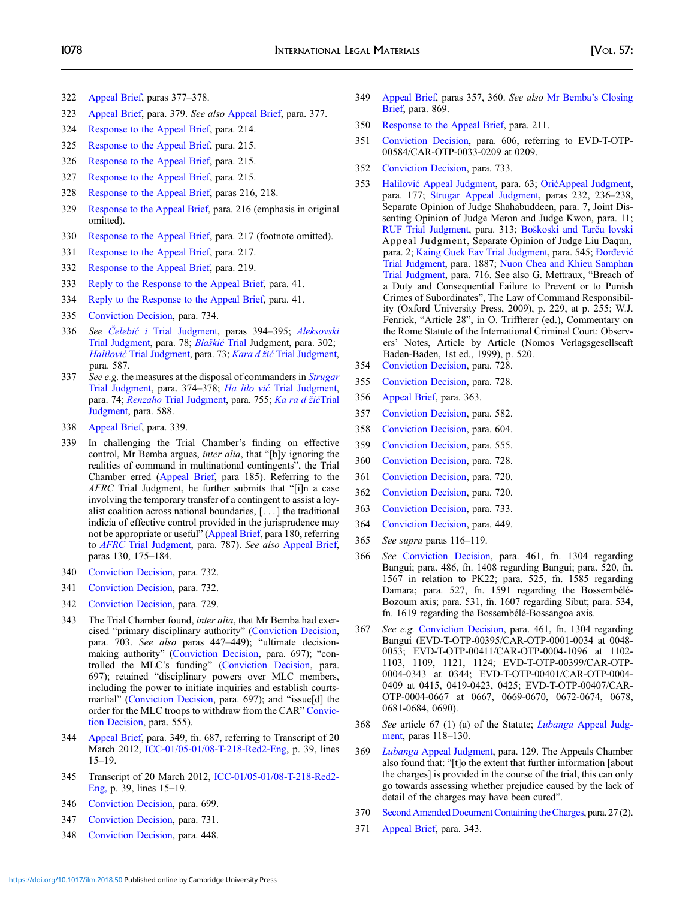- <span id="page-47-0"></span>322 [Appeal Brief,](https://www.legal-tools.org/en/doc/41ed5b/) paras 377–378.
- 323 [Appeal Brief,](https://www.legal-tools.org/en/doc/41ed5b/) para. 379. See also [Appeal Brief,](https://www.legal-tools.org/en/doc/41ed5b/) para. 377.
- 324 [Response to the Appeal Brief,](http://www.legal-tools.org/doc/dc5bd8/) para. 214.
- 325 [Response to the Appeal Brief,](http://www.legal-tools.org/doc/dc5bd8/) para. 215.
- 326 [Response to the Appeal Brief,](http://www.legal-tools.org/doc/dc5bd8/) para. 215.
- 327 [Response to the Appeal Brief,](http://www.legal-tools.org/doc/dc5bd8/) para. 215.
- 328 [Response to the Appeal Brief,](http://www.legal-tools.org/doc/dc5bd8/) paras 216, 218.
- 329 [Response to the Appeal Brief](http://www.legal-tools.org/doc/dc5bd8/), para. 216 (emphasis in original omitted).
- 330 [Response to the Appeal Brief,](http://www.legal-tools.org/doc/dc5bd8/) para. 217 (footnote omitted).
- 331 [Response to the Appeal Brief,](http://www.legal-tools.org/doc/dc5bd8/) para. 217.
- 332 [Response to the Appeal Brief,](http://www.legal-tools.org/doc/dc5bd8/) para. 219.
- 333 [Reply to the Response to the Appeal Brief](http://www.legal-tools.org/doc/98f07f/), para. 41.
- 334 [Reply to the Response to the Appeal Brief](http://www.legal-tools.org/doc/98f07f/), para. 41.
- 335 [Conviction Decision](https://www.legal-tools.org/en/doc/edb0cf/), para. 734.
- 336 See Čelebić i [Trial Judgment,](http://www.legal-tools.org/doc/6b4a33/) paras 394–395; [Aleksovski](http://www.legal-tools.org/doc/52d982/) [Trial Judgment](http://www.legal-tools.org/doc/52d982/), para. 78; Blaškić [Trial](https://www.legal-tools.org/en/doc/e1ae55/) Judgment, para. 302; Halilović [Trial Judgment](http://www.legal-tools.org/doc/abda04/), para. 73; Kara d žić [Trial Judgment,](http://www.legal-tools.org/doc/173e23/) para. 587.
- 337 See e.g. the measures at the disposal of commanders in *[Strugar](http://www.legal-tools.org/doc/927ba5/)* [Trial Judgment](http://www.legal-tools.org/doc/927ba5/), para. 374–378; Ha lilo vić [Trial Judgment,](http://www.legal-tools.org/doc/abda04/) para. 74; Renzaho [Trial Judgment](http://www.legal-tools.org/doc/9bbd8a/), para. 755; [Ka ra d](http://www.legal-tools.org/doc/173e23/) žićTrial [Judgment,](http://www.legal-tools.org/doc/173e23/) para. 588.
- 338 [Appeal Brief,](https://www.legal-tools.org/en/doc/41ed5b/) para. 339.
- 339 In challenging the Trial Chamber's finding on effective control, Mr Bemba argues, inter alia, that "[b]y ignoring the realities of command in multinational contingents", the Trial Chamber erred ([Appeal Brief,](https://www.legal-tools.org/en/doc/41ed5b/) para 185). Referring to the AFRC Trial Judgment, he further submits that "[i]n a case involving the temporary transfer of a contingent to assist a loyalist coalition across national boundaries, [ . . . ] the traditional indicia of effective control provided in the jurisprudence may not be appropriate or useful" ([Appeal Brief](https://www.legal-tools.org/en/doc/41ed5b/), para 180, referring to AFRC [Trial Judgment](http://www.legal-tools.org/doc/87ef08/), para. 787). See also [Appeal Brief,](https://www.legal-tools.org/en/doc/41ed5b/) paras 130, 175–184.
- 340 [Conviction Decision](https://www.legal-tools.org/en/doc/edb0cf/), para. 732.
- 341 [Conviction Decision](https://www.legal-tools.org/en/doc/edb0cf/), para. 732.
- 342 [Conviction Decision](https://www.legal-tools.org/en/doc/edb0cf/), para. 729.
- 343 The Trial Chamber found, inter alia, that Mr Bemba had exercised "primary disciplinary authority" [\(Conviction Decision,](https://www.legal-tools.org/en/doc/edb0cf/) para. 703. See also paras 447–449); "ultimate decisionmaking authority" [\(Conviction Decision,](https://www.legal-tools.org/en/doc/edb0cf/) para. 697); "controlled the MLC's funding" ([Conviction Decision](https://www.legal-tools.org/en/doc/edb0cf/), para. 697); retained "disciplinary powers over MLC members, including the power to initiate inquiries and establish courtsmartial" [\(Conviction Decision,](https://www.legal-tools.org/en/doc/edb0cf/) para. 697); and "issue[d] the order for the MLC troops to withdraw from the CAR" [Convic](https://www.legal-tools.org/en/doc/edb0cf/)[tion Decision](https://www.legal-tools.org/en/doc/edb0cf/), para. 555).
- 344 [Appeal Brief](https://www.legal-tools.org/en/doc/41ed5b/), para. 349, fn. 687, referring to Transcript of 20 March 2012, [ICC-01/05-01/08-T-218-Red2-Eng](http://www.legal-tools.org/doc/188e70/), p. 39, lines 15–19.
- 345 Transcript of 20 March 2012, [ICC-01/05-01/08-T-218-Red2-](http://www.legal-tools.org/doc/188e70/) [Eng,](http://www.legal-tools.org/doc/188e70/) p. 39, lines 15–19.
- 346 [Conviction Decision](https://www.legal-tools.org/en/doc/edb0cf/), para. 699.
- 347 [Conviction Decision](https://www.legal-tools.org/en/doc/edb0cf/), para. 731.
- 348 [Conviction Decision](https://www.legal-tools.org/en/doc/edb0cf/), para. 448.
- 349 [Appeal Brief,](https://www.legal-tools.org/en/doc/41ed5b/) paras 357, 360. See also [Mr Bemba](http://www.legal-tools.org/doc/60c79a/)'s Closing [Brief](http://www.legal-tools.org/doc/60c79a/), para. 869.
- 350 [Response to the Appeal Brief,](http://www.legal-tools.org/doc/dc5bd8/) para. 211.
- 351 [Conviction Decision](https://www.legal-tools.org/en/doc/edb0cf/), para. 606, referring to EVD-T-OTP-00584/CAR-OTP-0033-0209 at 0209.
- 352 [Conviction Decision](https://www.legal-tools.org/en/doc/edb0cf/), para. 733.
- 353 Halilović [Appeal Judgment](http://www.legal-tools.org/doc/d97ef6/), para. 63; Orić[Appeal Judgment,](http://www.legal-tools.org/doc/e053a4/) para. 177; [Strugar Appeal Judgment,](http://www.legal-tools.org/doc/981b62/) paras 232, 236–238, Separate Opinion of Judge Shahabuddeen, para. 7, Joint Dissenting Opinion of Judge Meron and Judge Kwon, para. 11; [RUF Trial Judgment](https://www.legal-tools.org/doc/7f05b7/), para. 313; Boš[koski and Tar](https://www.legal-tools.org/en/doc/54398a/)ču lovski Appeal Judgment, Separate Opinion of Judge Liu Daqun, para. 2; [Kaing Guek Eav Trial Judgment](http://www.legal-tools.org/doc/dbdb62/), para. 545; [Ðor](http://www.legal-tools.org/doc/653651/)đević [Trial Judgment](http://www.legal-tools.org/doc/653651/), para. 1887; [Nuon Chea and Khieu Samphan](http://www.legal-tools.org/doc/39cee8/) [Trial Judgment](http://www.legal-tools.org/doc/39cee8/), para. 716. See also G. Mettraux, "Breach of a Duty and Consequential Failure to Prevent or to Punish Crimes of Subordinates", The Law of Command Responsibility (Oxford University Press, 2009), p. 229, at p. 255; W.J. Fenrick, "Article 28", in O. Triffterer (ed.), Commentary on the Rome Statute of the International Criminal Court: Observers' Notes, Article by Article (Nomos Verlagsgesellscaft Baden-Baden, 1st ed., 1999), p. 520.
- 354 [Conviction Decision](https://www.legal-tools.org/en/doc/edb0cf/), para. 728.
- 355 [Conviction Decision](https://www.legal-tools.org/en/doc/edb0cf/), para. 728.
- 356 [Appeal Brief,](https://www.legal-tools.org/en/doc/41ed5b/) para. 363.
- 357 [Conviction Decision](https://www.legal-tools.org/en/doc/edb0cf/), para. 582.
- 358 [Conviction Decision](https://www.legal-tools.org/en/doc/edb0cf/), para. 604.
- 359 [Conviction Decision](https://www.legal-tools.org/en/doc/edb0cf/), para. 555.
- 360 [Conviction Decision](https://www.legal-tools.org/en/doc/edb0cf/), para. 728.
- 361 [Conviction Decision](https://www.legal-tools.org/en/doc/edb0cf/), para. 720.
- 362 [Conviction Decision](https://www.legal-tools.org/en/doc/edb0cf/), para. 720.
- 363 [Conviction Decision](https://www.legal-tools.org/en/doc/edb0cf/), para. 733.
- 364 [Conviction Decision](https://www.legal-tools.org/en/doc/edb0cf/), para. 449.
- 365 See supra paras 116–119.
- 366 See [Conviction Decision](https://www.legal-tools.org/en/doc/edb0cf/), para. 461, fn. 1304 regarding Bangui; para. 486, fn. 1408 regarding Bangui; para. 520, fn. 1567 in relation to PK22; para. 525, fn. 1585 regarding Damara; para. 527, fn. 1591 regarding the Bossembélé-Bozoum axis; para. 531, fn. 1607 regarding Sibut; para. 534, fn. 1619 regarding the Bossembélé-Bossangoa axis.
- 367 See e.g. [Conviction Decision,](https://www.legal-tools.org/en/doc/edb0cf/) para. 461, fn. 1304 regarding Bangui (EVD-T-OTP-00395/CAR-OTP-0001-0034 at 0048- 0053; EVD-T-OTP-00411/CAR-OTP-0004-1096 at 1102- 1103, 1109, 1121, 1124; EVD-T-OTP-00399/CAR-OTP-0004-0343 at 0344; EVD-T-OTP-00401/CAR-OTP-0004- 0409 at 0415, 0419-0423, 0425; EVD-T-OTP-00407/CAR-OTP-0004-0667 at 0667, 0669-0670, 0672-0674, 0678, 0681-0684, 0690).
- 368 See article 67 (1) (a) of the Statute; Lubanga [Appeal Judg](http://www.legal-tools.org/doc/585c75/)[ment,](http://www.legal-tools.org/doc/585c75/) paras 118–130.
- 369 Lubanga [Appeal Judgment](http://www.legal-tools.org/doc/585c75/), para. 129. The Appeals Chamber also found that: "[t]o the extent that further information [about the charges] is provided in the course of the trial, this can only go towards assessing whether prejudice caused by the lack of detail of the charges may have been cured".
- 370 Second Amended Document Containing the Charges, para. 27 (2).
- 371 [Appeal Brief,](https://www.legal-tools.org/en/doc/41ed5b/) para. 343.